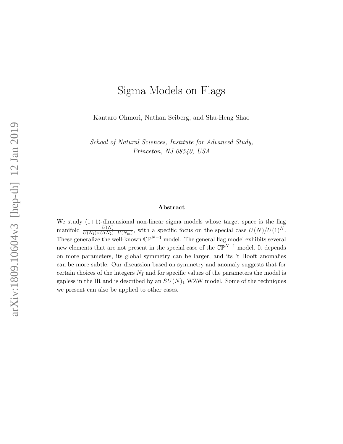# Sigma Models on Flags

Kantaro Ohmori, Nathan Seiberg, and Shu-Heng Shao

School of Natural Sciences, Institute for Advanced Study, Princeton, NJ 08540, USA

#### Abstract

We study  $(1+1)$ -dimensional non-linear sigma models whose target space is the flag manifold  $\frac{U(N)}{U(N_1)\times U(N_2)\cdots U(N_m)}$ , with a specific focus on the special case  $U(N)/U(1)^N$ . These generalize the well-known  $\mathbb{CP}^{N-1}$  model. The general flag model exhibits several new elements that are not present in the special case of the  $\mathbb{CP}^{N-1}$  model. It depends on more parameters, its global symmetry can be larger, and its 't Hooft anomalies can be more subtle. Our discussion based on symmetry and anomaly suggests that for certain choices of the integers  $N_I$  and for specific values of the parameters the model is gapless in the IR and is described by an  $SU(N)_1$  WZW model. Some of the techniques we present can also be applied to other cases.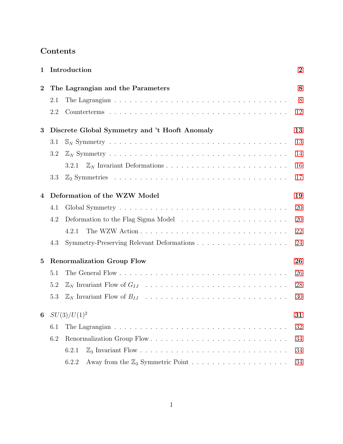| $\mathbf 1$ | Introduction                                  |                                   |    |  |  |
|-------------|-----------------------------------------------|-----------------------------------|----|--|--|
| $\bf{2}$    |                                               | The Lagrangian and the Parameters |    |  |  |
|             | 2.1                                           |                                   | 8  |  |  |
|             | 2.2                                           |                                   | 12 |  |  |
| 3           | Discrete Global Symmetry and 't Hooft Anomaly |                                   |    |  |  |
|             | 3.1                                           |                                   | 13 |  |  |
|             | 3.2                                           |                                   | 14 |  |  |
|             |                                               | 3.2.1                             | 16 |  |  |
|             | 3.3                                           |                                   | 17 |  |  |
| 4           | Deformation of the WZW Model                  |                                   |    |  |  |
|             | 4.1                                           |                                   | 20 |  |  |
|             | 4.2                                           |                                   | 20 |  |  |
|             |                                               | 4.2.1                             | 22 |  |  |
|             | 4.3                                           |                                   | 24 |  |  |
| $\bf{5}$    | <b>Renormalization Group Flow</b>             |                                   |    |  |  |
|             | 5.1                                           |                                   | 26 |  |  |
|             | 5.2                                           |                                   | 28 |  |  |
|             | 5.3                                           |                                   | 30 |  |  |
|             | 6 $SU(3)/U(1)^2$                              |                                   |    |  |  |
|             | 6.1                                           |                                   | 32 |  |  |
|             | 6.2                                           |                                   | 34 |  |  |
|             |                                               | 6.2.1                             | 34 |  |  |
|             |                                               | 6.2.2                             | 34 |  |  |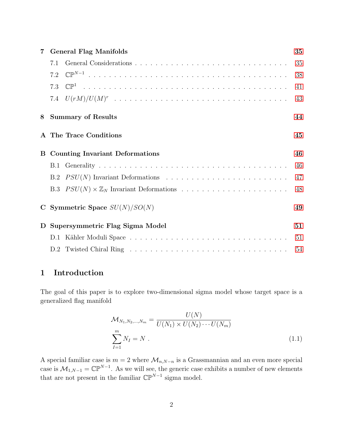| 7        | <b>General Flag Manifolds</b>                           |    |  |  |
|----------|---------------------------------------------------------|----|--|--|
|          | 7.1                                                     | 35 |  |  |
|          | 7.2                                                     | 38 |  |  |
|          | 7.3                                                     | 41 |  |  |
|          |                                                         | 43 |  |  |
| 8        | <b>Summary of Results</b>                               |    |  |  |
|          | A The Trace Conditions                                  | 45 |  |  |
| $\bf{B}$ | <b>Counting Invariant Deformations</b>                  |    |  |  |
|          |                                                         | 46 |  |  |
|          |                                                         | 47 |  |  |
|          | B.3 $PSU(N) \times \mathbb{Z}_N$ Invariant Deformations | 48 |  |  |
|          | C Symmetric Space $SU(N)/SO(N)$<br>49                   |    |  |  |
| D        | Supersymmetric Flag Sigma Model                         |    |  |  |
|          |                                                         | 51 |  |  |
|          |                                                         | 54 |  |  |

## <span id="page-2-0"></span>1 Introduction

The goal of this paper is to explore two-dimensional sigma model whose target space is a generalized flag manifold

$$
\mathcal{M}_{N_1, N_2, \dots, N_m} = \frac{U(N)}{U(N_1) \times U(N_2) \cdots U(N_m)}
$$
  

$$
\sum_{I=1}^{m} N_I = N .
$$
 (1.1)

A special familiar case is  $m = 2$  where  $\mathcal{M}_{n,N-n}$  is a Grassmannian and an even more special case is  $\mathcal{M}_{1,N-1} = \mathbb{CP}^{N-1}$ . As we will see, the generic case exhibits a number of new elements that are not present in the familiar  $\mathbb{CP}^{N-1}$  sigma model.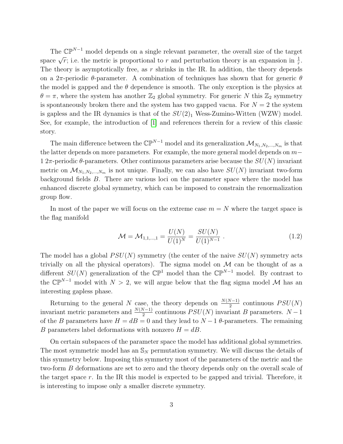The  $\mathbb{CP}^{N-1}$  model depends on a single relevant parameter, the overall size of the target space  $\sqrt{r}$ ; i.e. the metric is proportional to r and perturbation theory is an expansion in  $\frac{1}{r}$ . The theory is asymptotically free, as  $r$  shrinks in the IR. In addition, the theory depends on a 2π-periodic  $\theta$ -parameter. A combination of techniques has shown that for generic  $\theta$ the model is gapped and the  $\theta$  dependence is smooth. The only exception is the physics at  $\theta = \pi$ , where the system has another  $\mathbb{Z}_2$  global symmetry. For generic N this  $\mathbb{Z}_2$  symmetry is spontaneously broken there and the system has two gapped vacua. For  $N = 2$  the system is gapless and the IR dynamics is that of the  $SU(2)_1$  Wess-Zumino-Witten (WZW) model. See, for example, the introduction of [\[1\]](#page-57-0) and references therein for a review of this classic story.

The main difference between the  $\mathbb{CP}^{N-1}$  model and its generalization  $\mathcal{M}_{N_1,N_2,...,N_m}$  is that the latter depends on more parameters. For example, the more general model depends on m− 1 2π-periodic  $\theta$ -parameters. Other continuous parameters arise because the  $SU(N)$  invariant metric on  $\mathcal{M}_{N_1,N_2,...,N_m}$  is not unique. Finally, we can also have  $SU(N)$  invariant two-form background fields B. There are various loci on the parameter space where the model has enhanced discrete global symmetry, which can be imposed to constrain the renormalization group flow.

In most of the paper we will focus on the extreme case  $m = N$  where the target space is the flag manifold

<span id="page-3-0"></span>
$$
\mathcal{M} = \mathcal{M}_{1,1,\dots,1} = \frac{U(N)}{U(1)^N} = \frac{SU(N)}{U(1)^{N-1}}.
$$
\n(1.2)

The model has a global  $PSU(N)$  symmetry (the center of the naive  $SU(N)$  symmetry acts trivially on all the physical operators). The sigma model on  $\mathcal M$  can be thought of as a different  $SU(N)$  generalization of the  $\mathbb{CP}^1$  model than the  $\mathbb{CP}^{N-1}$  model. By contrast to the  $\mathbb{CP}^{N-1}$  model with  $N > 2$ , we will argue below that the flag sigma model M has an interesting gapless phase.

Returning to the general N case, the theory depends on  $\frac{N(N-1)}{2}$  continuous  $PSU(N)$ invariant metric parameters and  $\frac{N(N-1)}{2}$  continuous  $PSU(N)$  invariant B parameters.  $N-1$ of the B parameters have  $H = dB = 0$  and they lead to  $N - 1$  θ-parameters. The remaining B parameters label deformations with nonzero  $H = dB$ .

On certain subspaces of the parameter space the model has additional global symmetries. The most symmetric model has an  $\mathbb{S}_N$  permutation symmetry. We will discuss the details of this symmetry below. Imposing this symmetry most of the parameters of the metric and the two-form B deformations are set to zero and the theory depends only on the overall scale of the target space  $r$ . In the IR this model is expected to be gapped and trivial. Therefore, it is interesting to impose only a smaller discrete symmetry.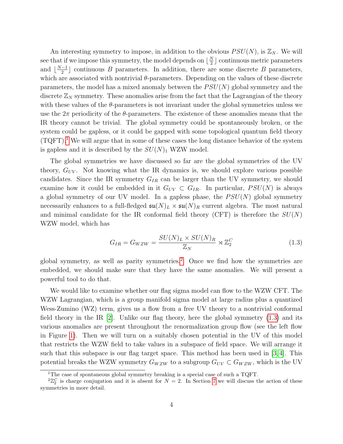An interesting symmetry to impose, in addition to the obvious  $PSU(N)$ , is  $\mathbb{Z}_N$ . We will see that if we impose this symmetry, the model depends on  $\lfloor \frac{N}{2} \rfloor$  $\frac{N}{2}$  continuous metric parameters and  $\lfloor \frac{N-1}{2} \rfloor$  $\frac{-1}{2}$  continuous *B* parameters. In addition, there are some discrete *B* parameters, which are associated with nontrivial  $\theta$ -parameters. Depending on the values of these discrete parameters, the model has a mixed anomaly between the  $PSU(N)$  global symmetry and the discrete  $\mathbb{Z}_N$  symmetry. These anomalies arise from the fact that the Lagrangian of the theory with these values of the  $\theta$ -parameters is not invariant under the global symmetries unless we use the  $2\pi$  periodicity of the  $\theta$ -parameters. The existence of these anomalies means that the IR theory cannot be trivial. The global symmetry could be spontaneously broken, or the system could be gapless, or it could be gapped with some topological quantum field theory  $(TQFT)^{1}$  $(TQFT)^{1}$  $(TQFT)^{1}$ . We will argue that in some of these cases the long distance behavior of the system is gapless and it is described by the  $SU(N)_1$  WZW model.

The global symmetries we have discussed so far are the global symmetries of the UV theory,  $G_{UV}$ . Not knowing what the IR dynamics is, we should explore various possible candidates. Since the IR symmetry  $G_{IR}$  can be larger than the UV symmetry, we should examine how it could be embedded in it  $G_{UV} \subset G_{IR}$ . In particular,  $PSU(N)$  is always a global symmetry of our UV model. In a gapless phase, the  $PSU(N)$  global symmetry necessarily enhances to a full-fledged  $\mathfrak{su}(N)_L \times \mathfrak{su}(N)_R$  current algebra. The most natural and minimal candidate for the IR conformal field theory (CFT) is therefore the  $SU(N)$ WZW model, which has

<span id="page-4-2"></span>
$$
G_{IR} = G_{WZW} = \frac{SU(N)_L \times SU(N)_R}{\mathbb{Z}_N} \rtimes \mathbb{Z}_2^C \tag{1.3}
$$

global symmetry, as well as parity symmetries.<sup>[2](#page-4-1)</sup> Once we find how the symmetries are embedded, we should make sure that they have the same anomalies. We will present a powerful tool to do that.

We would like to examine whether our flag sigma model can flow to the WZW CFT. The WZW Lagrangian, which is a group manifold sigma model at large radius plus a quantized Wess-Zumino (WZ) term, gives us a flow from a free UV theory to a nontrivial conformal field theory in the IR  $[2]$ . Unlike our flag theory, here the global symmetry  $(1.3)$  and its various anomalies are present throughout the renormalization group flow (see the left flow in Figure [1\)](#page-5-0). Then we will turn on a suitably chosen potential in the UV of this model that restricts the WZW field to take values in a subspace of field space. We will arrange it such that this subspace is our flag target space. This method has been used in [\[3,](#page-57-2) [4\]](#page-57-3). This potential breaks the WZW symmetry  $G_{WZW}$  to a subgroup  $G_{UV} \subset G_{WZW}$ , which is the UV

<span id="page-4-1"></span><span id="page-4-0"></span><sup>&</sup>lt;sup>1</sup>The case of spontaneous global symmetry breaking is a special case of such a TQFT.

 ${}^{2}\mathbb{Z}_{2}^{C}$  is charge conjugation and it is absent for  $N=2$ . In Section [7](#page-35-0) we will discuss the action of these symmetries in more detail.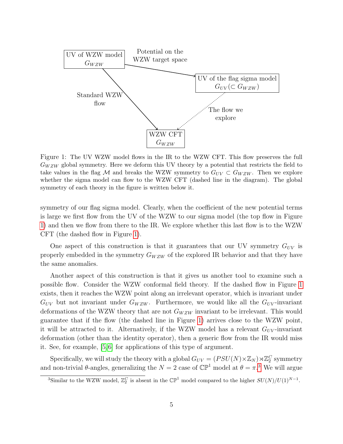<span id="page-5-0"></span>

Figure 1: The UV WZW model flows in the IR to the WZW CFT. This flow preserves the full  $G_{WZW}$  global symmetry. Here we deform this UV theory by a potential that restricts the field to take values in the flag M and breaks the WZW symmetry to  $G_{UV} \subset G_{WZW}$ . Then we explore whether the sigma model can flow to the WZW CFT (dashed line in the diagram). The global symmetry of each theory in the figure is written below it.

symmetry of our flag sigma model. Clearly, when the coefficient of the new potential terms is large we first flow from the UV of the WZW to our sigma model (the top flow in Figure [1\)](#page-5-0) and then we flow from there to the IR. We explore whether this last flow is to the WZW CFT (the dashed flow in Figure [1\)](#page-5-0).

One aspect of this construction is that it guarantees that our UV symmetry  $G_{UV}$  is properly embedded in the symmetry  $G_{WZW}$  of the explored IR behavior and that they have the same anomalies.

Another aspect of this construction is that it gives us another tool to examine such a possible flow. Consider the WZW conformal field theory. If the dashed flow in Figure [1](#page-5-0) exists, then it reaches the WZW point along an irrelevant operator, which is invariant under  $G_{UV}$  but not invariant under  $G_{WZW}$ . Furthermore, we would like all the  $G_{UV}$ -invariant deformations of the WZW theory that are not  $G_{WZW}$  invariant to be irrelevant. This would guarantee that if the flow (the dashed line in Figure [1\)](#page-5-0) arrives close to the WZW point, it will be attracted to it. Alternatively, if the WZW model has a relevant  $G_{UV}$ -invariant deformation (other than the identity operator), then a generic flow from the IR would miss it. See, for example, [\[5,](#page-57-4) [6\]](#page-57-5) for applications of this type of argument.

Specifically, we will study the theory with a global  $G_{UV} = (PSU(N) \times \mathbb{Z}_N) \rtimes \mathbb{Z}_2^C$  symmetry and non-trivial  $\theta$ -angles, generalizing the  $N = 2$  case of  $\mathbb{CP}^1$  model at  $\theta = \pi$ .<sup>[3](#page-5-1)</sup> We will argue

<span id="page-5-1"></span><sup>&</sup>lt;sup>3</sup>Similar to the WZW model,  $\mathbb{Z}_2^C$  is absent in the  $\mathbb{CP}^1$  model compared to the higher  $SU(N)/U(1)^{N-1}$ .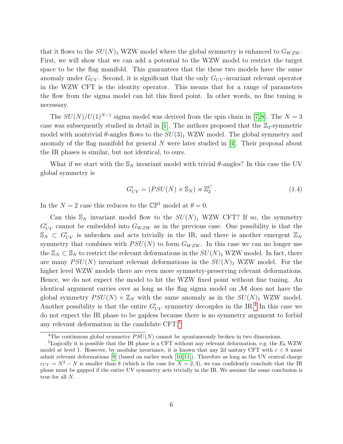that it flows to the  $SU(N)_1$  WZW model where the global symmetry is enhanced to  $G_{WZW}$ . First, we will show that we can add a potential to the WZW model to restrict the target space to be the flag manifold. This guarantees that the these two models have the same anomaly under  $G_{UV}$ . Second, it is significant that the only  $G_{UV}$ -invariant relevant operator in the WZW CFT is the identity operator. This means that for a range of parameters the flow from the sigma model can hit this fixed point. In other words, no fine tuning is necessary.

The  $SU(N)/U(1)^{N-1}$  sigma model was derived from the spin chain in [\[7,](#page-57-6)8]. The  $N=3$ case was subsequently studied in detail in [\[1\]](#page-57-0). The authors proposed that the  $\mathbb{Z}_3$ -symmetric model with nontrivial  $\theta$ -angles flows to the  $SU(3)_1$  WZW model. The global symmetry and anomaly of the flag manifold for general N were later studied in  $|4|$ . Their proposal about the IR phases is similar, but not identical, to ours.

What if we start with the  $\mathbb{S}_N$  invariant model with trivial  $\theta$ -angles? In this case the UV global symmetry is

$$
G'_{UV} = (PSU(N) \times \mathbb{S}_N) \rtimes \mathbb{Z}_2^C \ . \tag{1.4}
$$

In the  $N = 2$  case this reduces to the  $\mathbb{CP}^1$  model at  $\theta = 0$ .

Can this  $\mathbb{S}_N$  invariant model flow to the  $SU(N)_1$  WZW CFT? If so, the symmetry  $G'_{UV}$  cannot be embedded into  $G_{WZW}$  as in the previous case. One possibility is that the  $\mathbb{S}_N \subset G'_{UV}$  is unbroken and acts trivially in the IR, and there is another emergent  $\mathbb{Z}_N$ symmetry that combines with  $PSU(N)$  to form  $G_{WZW}$ . In this case we can no longer use the  $\mathbb{Z}_N \subset \mathbb{S}_N$  to restrict the relevant deformations in the  $SU(N)_1$  WZW model. In fact, there are many  $PSU(N)$  invariant relevant deformations in the  $SU(N)_1$  WZW model. For the higher level WZW models there are even more symmetry-preserving relevant deformations. Hence, we do not expect the model to hit the WZW fixed point without fine tuning. An identical argument carries over as long as the flag sigma model on  $M$  does not have the global symmetry  $PSU(N) \times \mathbb{Z}_N$  with the same anomaly as in the  $SU(N)_1$  WZW model. Another possibility is that the entire  $G'_{UV}$  symmetry decouples in the IR.<sup>[4](#page-6-0)</sup> In this case we do not expect the IR phase to be gapless because there is no symmetry argument to forbid any relevant deformation in the candidate CFT.[5](#page-6-1)

<span id="page-6-1"></span><span id="page-6-0"></span><sup>&</sup>lt;sup>4</sup>The continuous global symmetry  $PSU(N)$  cannot be spontaneously broken in two dimensions.

<sup>&</sup>lt;sup>5</sup>Logically it is possible that the IR phase is a CFT without any relevant deformation, e.g. the  $E_8$  WZW model at level 1. However, by modular invariance, it is known that any 2d unitary CFT with  $c < 8$  must admit relevant deformations [\[9\]](#page-57-8) (based on earlier work [\[10,](#page-58-0) [11\]](#page-58-1)). Therefore as long as the UV central charge  $c_{UV} = N^2 - N$  is smaller than 8 (which is the case for  $N = 2, 3$ ), we can confidently conclude that the IR phase must be gapped if the entire UV symmetry acts trivially in the IR. We assume the same conclusion is true for all N.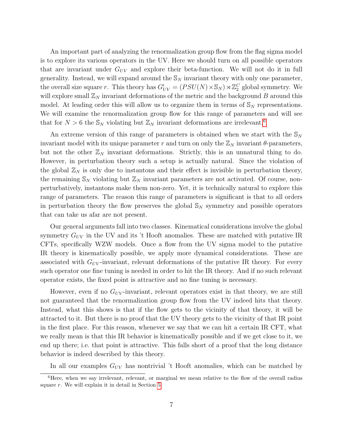An important part of analyzing the renormalization group flow from the flag sigma model is to explore its various operators in the UV. Here we should turn on all possible operators that are invariant under  $G_{UV}$  and explore their beta-function. We will not do it in full generality. Instead, we will expand around the  $\mathcal{S}_N$  invariant theory with only one parameter, the overall size square r. This theory has  $G'_{UV} = (PSU(N) \times \mathbb{S}_N) \rtimes \mathbb{Z}_2^C$  global symmetry. We will explore small  $\mathbb{Z}_N$  invariant deformations of the metric and the background B around this model. At leading order this will allow us to organize them in terms of  $\mathbb{S}_N$  representations. We will examine the renormalization group flow for this range of parameters and will see that for  $N > 6$  $N > 6$  the  $\mathbb{S}_N$  violating but  $\mathbb{Z}_N$  invariant deformations are irrelevant.<sup>6</sup>

An extreme version of this range of parameters is obtained when we start with the  $\mathbb{S}_N$ invariant model with its unique parameter r and turn on only the  $\mathbb{Z}_N$  invariant  $\theta$ -parameters, but not the other  $\mathbb{Z}_N$  invariant deformations. Strictly, this is an unnatural thing to do. However, in perturbation theory such a setup is actually natural. Since the violation of the global  $\mathbb{Z}_N$  is only due to instantons and their effect is invisible in perturbation theory, the remaining  $\mathbb{S}_N$  violating but  $\mathbb{Z}_N$  invariant parameters are not activated. Of course, nonperturbatively, instantons make them non-zero. Yet, it is technically natural to explore this range of parameters. The reason this range of parameters is significant is that to all orders in perturbation theory the flow preserves the global  $\mathcal{S}_N$  symmetry and possible operators that can take us afar are not present.

Our general arguments fall into two classes. Kinematical considerations involve the global symmetry  $G_{UV}$  in the UV and its 't Hooft anomalies. These are matched with putative IR CFTs, specifically WZW models. Once a flow from the UV sigma model to the putative IR theory is kinematically possible, we apply more dynamical considerations. These are associated with  $G_{UV}$ -invariant, relevant deformations of the putative IR theory. For every such operator one fine tuning is needed in order to hit the IR theory. And if no such relevant operator exists, the fixed point is attractive and no fine tuning is necessary.

However, even if no  $G_{UV}$ -invariant, relevant operators exist in that theory, we are still not guaranteed that the renormalization group flow from the UV indeed hits that theory. Instead, what this shows is that if the flow gets to the vicinity of that theory, it will be attracted to it. But there is no proof that the UV theory gets to the vicinity of that IR point in the first place. For this reason, whenever we say that we can hit a certain IR CFT, what we really mean is that this IR behavior is kinematically possible and if we get close to it, we end up there; i.e. that point is attractive. This falls short of a proof that the long distance behavior is indeed described by this theory.

<span id="page-7-0"></span>In all our examples  $G_{UV}$  has nontrivial 't Hooft anomalies, which can be matched by

<sup>&</sup>lt;sup>6</sup>Here, when we say irrelevant, relevant, or marginal we mean relative to the flow of the overall radius square r. We will explain it in detail in Section [5.](#page-26-0)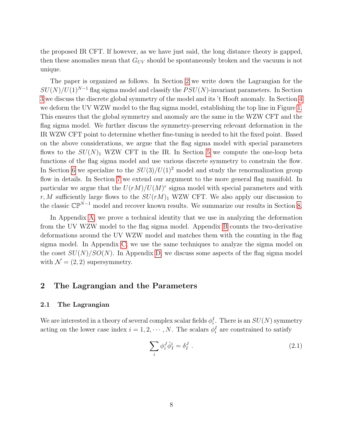the proposed IR CFT. If however, as we have just said, the long distance theory is gapped, then these anomalies mean that  $G_{UV}$  should be spontaneously broken and the vacuum is not unique.

The paper is organized as follows. In Section [2](#page-8-0) we write down the Lagrangian for the  $SU(N)/U(1)^{N-1}$  flag sigma model and classify the  $PSU(N)$ -invariant parameters. In Section [3](#page-13-0) we discuss the discrete global symmetry of the model and its 't Hooft anomaly. In Section [4](#page-19-0) we deform the UV WZW model to the flag sigma model, establishing the top line in Figure [1.](#page-5-0) This ensures that the global symmetry and anomaly are the same in the WZW CFT and the flag sigma model. We further discuss the symmetry-preserving relevant deformation in the IR WZW CFT point to determine whether fine-tuning is needed to hit the fixed point. Based on the above considerations, we argue that the flag sigma model with special parameters flows to the  $SU(N)_1$  WZW CFT in the IR. In Section [5](#page-26-0) we compute the one-loop beta functions of the flag sigma model and use various discrete symmetry to constrain the flow. In Section [6](#page-31-0) we specialize to the  $SU(3)/U(1)^2$  model and study the renormalization group flow in details. In Section [7](#page-35-0) we extend our argument to the more general flag manifold. In particular we argue that the  $U(rM)/U(M)^r$  sigma model with special parameters and with r, M sufficiently large flows to the  $SU(rM)_1$  WZW CFT. We also apply our discussion to the classic  $\mathbb{CP}^{\tilde{N}-1}$  model and recover known results. We summarize our results in Section [8.](#page-44-0)

In Appendix [A,](#page-45-0) we prove a technical identity that we use in analyzing the deformation from the UV WZW model to the flag sigma model. Appendix [B](#page-46-0) counts the two-derivative deformations around the UV WZW model and matches them with the counting in the flag sigma model. In Appendix [C,](#page-49-0) we use the same techniques to analyze the sigma model on the coset  $SU(N)/SO(N)$ . In Appendix [D,](#page-51-0) we discuss some aspects of the flag sigma model with  $\mathcal{N} = (2, 2)$  supersymmetry.

## <span id="page-8-0"></span>2 The Lagrangian and the Parameters

#### <span id="page-8-1"></span>2.1 The Lagrangian

We are interested in a theory of several complex scalar fields  $\phi_i^I$ . There is an  $SU(N)$  symmetry acting on the lower case index  $i = 1, 2, \dots, N$ . The scalars  $\phi_i^I$  are constrained to satisfy

<span id="page-8-2"></span>
$$
\sum_{i} \phi_i^J \bar{\phi}_I^i = \delta_I^J \tag{2.1}
$$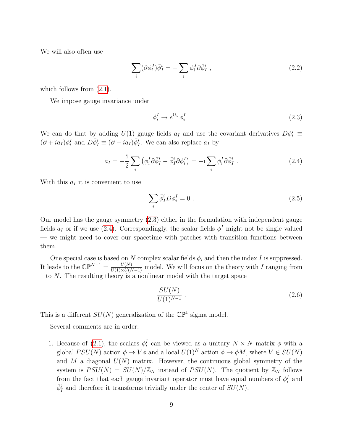We will also often use

$$
\sum_{i} (\partial \phi_i^J) \bar{\phi}_I^i = -\sum_{i} \phi_i^J \partial \bar{\phi}_I^i , \qquad (2.2)
$$

which follows from  $(2.1)$ .

We impose gauge invariance under

<span id="page-9-2"></span><span id="page-9-1"></span><span id="page-9-0"></span>
$$
\phi_i^I \to e^{i\lambda_I} \phi_i^I \tag{2.3}
$$

We can do that by adding  $U(1)$  gauge fields  $a_I$  and use the covariant derivatives  $D\phi_i^I$   $\equiv$  $(\partial + ia_I)\phi_i^I$  and  $D\overline{\phi}_I^i \equiv (\partial - ia_I)\overline{\phi}_I^i$ . We can also replace  $a_I$  by

$$
a_I = -\frac{i}{2} \sum_i \left( \phi_i^I \partial \bar{\phi}_I^i - \bar{\phi}_I^i \partial \phi_i^I \right) = -i \sum_i \phi_i^I \partial \bar{\phi}_I^i . \qquad (2.4)
$$

With this  $a_I$  it is convenient to use

<span id="page-9-3"></span>
$$
\sum_{i} \bar{\phi}_I^i D \phi_i^I = 0 \tag{2.5}
$$

Our model has the gauge symmetry [\(2.3\)](#page-9-0) either in the formulation with independent gauge fields  $a_I$  or if we use [\(2.4\)](#page-9-1). Correspondingly, the scalar fields  $\phi^I$  might not be single valued — we might need to cover our spacetime with patches with transition functions between them.

One special case is based on N complex scalar fields  $\phi_i$  and then the index I is suppressed. It leads to the  $\mathbb{CP}^{N-1} = \frac{U(N)}{U(1) \times U(N-1)}$  model. We will focus on the theory with I ranging from 1 to N. The resulting theory is a nonlinear model with the target space

$$
\frac{SU(N)}{U(1)^{N-1}}\ .\tag{2.6}
$$

This is a different  $SU(N)$  generalization of the  $\mathbb{CP}^1$  sigma model.

Several comments are in order:

1. Because of [\(2.1\)](#page-8-2), the scalars  $\phi_i^I$  can be viewed as a unitary  $N \times N$  matrix  $\phi$  with a global  $PSU(N)$  action  $\phi \to V\phi$  and a local  $U(1)^N$  action  $\phi \to \phi M$ , where  $V \in SU(N)$ and M a diagonal  $U(N)$  matrix. However, the continuous global symmetry of the system is  $PSU(N) = SU(N)/\mathbb{Z}_N$  instead of  $PSU(N)$ . The quotient by  $\mathbb{Z}_N$  follows from the fact that each gauge invariant operator must have equal numbers of  $\phi_i^I$  and  $\bar{\phi}_I^j$  and therefore it transforms trivially under the center of  $SU(N)$ .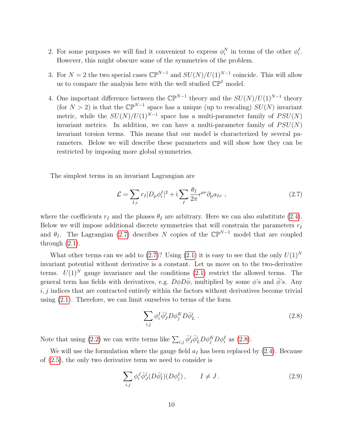- 2. For some purposes we will find it convenient to express  $\phi_i^N$  in terms of the other  $\phi_i^I$ . However, this might obscure some of the symmetries of the problem.
- 3. For  $N = 2$  the two special cases  $\mathbb{CP}^{N-1}$  and  $SU(N)/U(1)^{N-1}$  coincide. This will allow us to compare the analysis here with the well studied  $\mathbb{CP}^1$  model.
- 4. One important difference between the  $\mathbb{CP}^{N-1}$  theory and the  $SU(N)/U(1)^{N-1}$  theory (for  $N > 2$ ) is that the  $\mathbb{CP}^{N-1}$  space has a unique (up to rescaling)  $SU(N)$  invariant metric, while the  $SU(N)/U(1)^{N-1}$  space has a multi-parameter family of  $PSU(N)$ invariant metrics. In addition, we can have a multi-parameter family of  $PSU(N)$ invariant torsion terms. This means that our model is characterized by several parameters. Below we will describe these parameters and will show how they can be restricted by imposing more global symmetries.

The simplest terms in an invariant Lagrangian are

<span id="page-10-0"></span>
$$
\mathcal{L} = \sum_{I,i} r_I |D_\mu \phi_i^I|^2 + i \sum_I \frac{\theta_I}{2\pi} \epsilon^{\mu\nu} \partial_\mu a_{I\nu} , \qquad (2.7)
$$

where the coefficients  $r_I$  and the phases  $\theta_I$  are arbitrary. Here we can also substitute [\(2.4\)](#page-9-1). Below we will impose additional discrete symmetries that will constrain the parameters  $r_I$ and  $\theta_I$ . The Lagrangian [\(2.7\)](#page-10-0) describes N copies of the  $\mathbb{CP}^{N-1}$  model that are coupled through  $(2.1)$ .

What other terms can we add to [\(2.7\)](#page-10-0)? Using [\(2.1\)](#page-8-2) it is easy to see that the only  $U(1)^N$ invariant potential without derivative is a constant. Let us move on to the two-derivative terms.  $U(1)^N$  gauge invariance and the conditions [\(2.1\)](#page-8-2) restrict the allowed terms. The general term has fields with derivatives, e.g.  $D\phi D\bar{\phi}$ , multiplied by some  $\phi$ 's and  $\bar{\phi}$ 's. Any  $i, j$  indices that are contracted entirely within the factors without derivatives become trivial using [\(2.1\)](#page-8-2). Therefore, we can limit ourselves to terms of the form

<span id="page-10-2"></span><span id="page-10-1"></span>
$$
\sum_{i,j} \phi_i^I \bar{\phi}_j^j D \phi_j^K D \bar{\phi}_L^i . \tag{2.8}
$$

Note that using [\(2.2\)](#page-9-2) we can write terms like  $\sum_{i,j} \bar{\phi}_J^j \bar{\phi}_L^i D \phi_j^K D \phi_i^I$  as [\(2.8\)](#page-10-1).

We will use the formulation where the gauge field  $a_I$  has been replaced by  $(2.4)$ . Because of [\(2.5\)](#page-9-3), the only two derivative term we need to consider is

$$
\sum_{i,j} \phi_i^J \bar{\phi}_J^j(D\bar{\phi}_I^i)(D\phi_j^I), \qquad I \neq J. \tag{2.9}
$$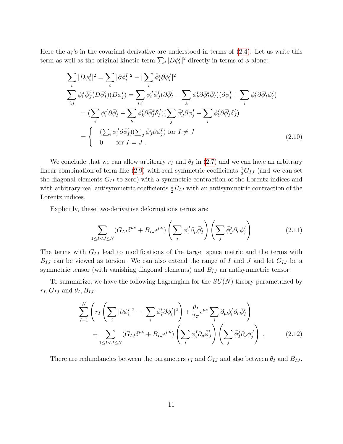Here the  $a_I$ 's in the covariant derivative are understood in terms of  $(2.4)$ . Let us write this term as well as the original kinetic term  $\sum_{i} |D\phi_i^I|^2$  directly in terms of  $\phi$  alone:

$$
\sum_{i} |D\phi_i^I|^2 = \sum_{i} |\partial\phi_i^I|^2 - |\sum_{i} \bar{\phi}_I^i \partial\phi_i^I|^2
$$
\n
$$
\sum_{i,j} \phi_i^J \bar{\phi}_j^j (D\bar{\phi}_I^i)(D\phi_j^I) = \sum_{i,j} \phi_i^J \bar{\phi}_j^j (\partial\bar{\phi}_I^i - \sum_{k} \phi_k^I \partial\bar{\phi}_I^k \bar{\phi}_I^i)(\partial\phi_j^I + \sum_{l} \phi_l^I \partial\bar{\phi}_I^l \phi_j^I)
$$
\n
$$
= (\sum_{i} \phi_i^J \partial\bar{\phi}_I^i - \sum_{k} \phi_k^I \partial\bar{\phi}_I^k \delta_I^J)(\sum_{j} \bar{\phi}_j^j \partial\phi_j^I + \sum_{l} \phi_l^I \partial\bar{\phi}_I^l \delta_J^I)
$$
\n
$$
= \begin{cases}\n(\sum_{i} \phi_i^J \partial\bar{\phi}_I^i)(\sum_{j} \bar{\phi}_j^j \partial\phi_j^I) & \text{for } I \neq J \\
0 & \text{for } I = J.\n\end{cases} (2.10)
$$

We conclude that we can allow arbitrary  $r_I$  and  $\theta_I$  in [\(2.7\)](#page-10-0) and we can have an arbitrary linear combination of term like  $(2.9)$  with real symmetric coefficients  $\frac{1}{2}G_{IJ}$  (and we can set the diagonal elements  $G_{II}$  to zero) with a symmetric contraction of the Lorentz indices and with arbitrary real antisymmetric coefficients  $\frac{1}{2}B_{IJ}$  with an antisymmetric contraction of the Lorentz indices.

Explicitly, these two-derivative deformations terms are:

<span id="page-11-1"></span>
$$
\sum_{1 \leq I < J \leq N} (G_{IJ} \delta^{\mu\nu} + B_{IJ} \epsilon^{\mu\nu}) \left( \sum_i \phi_i^J \partial_\mu \bar{\phi}_I^i \right) \left( \sum_j \bar{\phi}_J^j \partial_\nu \phi_j^I \right) \tag{2.11}
$$

The terms with  $G_{IJ}$  lead to modifications of the target space metric and the terms with  $B_{IJ}$  can be viewed as torsion. We can also extend the range of I and J and let  $G_{IJ}$  be a symmetric tensor (with vanishing diagonal elements) and  $B_{IJ}$  an antisymmetric tensor.

To summarize, we have the following Lagrangian for the  $SU(N)$  theory parametrized by  $r_I, G_{IJ}$  and  $\theta_I, B_{IJ}$ :

<span id="page-11-0"></span>
$$
\sum_{I=1}^{N} \left( r_I \left( \sum_i |\partial \phi_i^I|^2 - |\sum_i \bar{\phi}_I^i \partial \phi_i^I|^2 \right) + \frac{\theta_I}{2\pi} \epsilon^{\mu\nu} \sum_i \partial_\mu \phi_i^I \partial_\nu \bar{\phi}_I^i \right) + \sum_{1 \leq I < J \leq N} (G_{IJ} \delta^{\mu\nu} + B_{IJ} \epsilon^{\mu\nu}) \left( \sum_i \phi_i^I \partial_\mu \bar{\phi}_J^i \right) \left( \sum_j \bar{\phi}_I^j \partial_\nu \phi_j^J \right) , \tag{2.12}
$$

There are redundancies between the parameters  $r_I$  and  $G_{IJ}$  and also between  $\theta_I$  and  $B_{IJ}$ .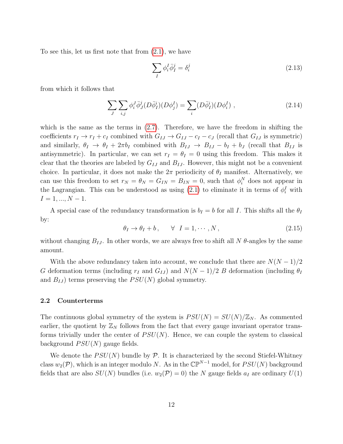To see this, let us first note that from [\(2.1\)](#page-8-2), we have

$$
\sum_{I} \phi_i^I \bar{\phi}_I^j = \delta_i^j \tag{2.13}
$$

from which it follows that

$$
\sum_{J} \sum_{i,j} \phi_i^J \overline{\phi}_J^j(D\overline{\phi}_I^i)(D\phi_j^I) = \sum_i (D\overline{\phi}_I^i)(D\phi_i^I) , \qquad (2.14)
$$

which is the same as the terms in  $(2.7)$ . Therefore, we have the freedom in shifting the coefficients  $r_I \to r_I + c_I$  combined with  $G_{IJ} \to G_{IJ} - c_I - c_J$  (recall that  $G_{IJ}$  is symmetric) and similarly,  $\theta_I \to \theta_I + 2\pi b_I$  combined with  $B_{IJ} \to B_{IJ} - b_I + b_J$  (recall that  $B_{IJ}$  is antisymmetric). In particular, we can set  $r_I = \theta_I = 0$  using this freedom. This makes it clear that the theories are labeled by  $G_{IJ}$  and  $B_{IJ}$ . However, this might not be a convenient choice. In particular, it does not make the  $2\pi$  periodicity of  $\theta_I$  manifest. Alternatively, we can use this freedom to set  $r_N = \theta_N = G_{IN} = B_{IN} = 0$ , such that  $\phi_i^N$  does not appear in the Lagrangian. This can be understood as using  $(2.1)$  to eliminate it in terms of  $\phi_i^I$  with  $I = 1, ..., N - 1.$ 

A special case of the redundancy transformation is  $b_I = b$  for all I. This shifts all the  $\theta_I$ by:

<span id="page-12-1"></span>
$$
\theta_I \to \theta_I + b \,, \qquad \forall \quad I = 1, \cdots, N \,, \tag{2.15}
$$

without changing  $B_{IJ}$ . In other words, we are always free to shift all N  $\theta$ -angles by the same amount.

With the above redundancy taken into account, we conclude that there are  $N(N-1)/2$ G deformation terms (including  $r_I$  and  $G_{IJ}$ ) and  $N(N-1)/2$  B deformation (including  $\theta_I$ and  $B_{IJ}$ ) terms preserving the  $PSU(N)$  global symmetry.

#### <span id="page-12-0"></span>2.2 Counterterms

The continuous global symmetry of the system is  $PSU(N) = SU(N)/\mathbb{Z}_N$ . As commented earlier, the quotient by  $\mathbb{Z}_N$  follows from the fact that every gauge invariant operator transforms trivially under the center of  $PSU(N)$ . Hence, we can couple the system to classical background  $PSU(N)$  gauge fields.

We denote the  $PSU(N)$  bundle by  $\mathcal P$ . It is characterized by the second Stiefel-Whitney class  $w_2(\mathcal{P})$ , which is an integer modulo N. As in the  $\mathbb{CP}^{N-1}$  model, for  $PSU(N)$  background fields that are also  $SU(N)$  bundles (i.e.  $w_2(\mathcal{P}) = 0$ ) the N gauge fields  $a_I$  are ordinary  $U(1)$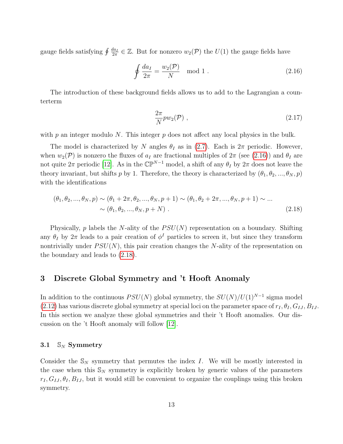gauge fields satisfying  $\oint \frac{da_I}{2\pi}$  $\frac{da_I}{2\pi} \in \mathbb{Z}$ . But for nonzero  $w_2(\mathcal{P})$  the  $U(1)$  the gauge fields have

$$
\oint \frac{da_I}{2\pi} = \frac{w_2(\mathcal{P})}{N} \mod 1. \tag{2.16}
$$

The introduction of these background fields allows us to add to the Lagrangian a counterterm

<span id="page-13-4"></span><span id="page-13-3"></span><span id="page-13-2"></span>
$$
\frac{2\pi}{N}pw_2(\mathcal{P})\ ,\qquad (2.17)
$$

with  $p$  an integer modulo N. This integer  $p$  does not affect any local physics in the bulk.

The model is characterized by N angles  $\theta_I$  as in [\(2.7\)](#page-10-0). Each is  $2\pi$  periodic. However, when  $w_2(\mathcal{P})$  is nonzero the fluxes of  $a_I$  are fractional multiples of  $2\pi$  (see [\(2.16\)](#page-13-2)) and  $\theta_I$  are not quite  $2\pi$  periodic [\[12\]](#page-58-2). As in the  $\mathbb{CP}^{N-1}$  model, a shift of any  $\theta_I$  by  $2\pi$  does not leave the theory invariant, but shifts p by 1. Therefore, the theory is characterized by  $(\theta_1, \theta_2, ..., \theta_N, p)$ with the identifications

$$
(\theta_1, \theta_2, ..., \theta_N, p) \sim (\theta_1 + 2\pi, \theta_2, ..., \theta_N, p + 1) \sim (\theta_1, \theta_2 + 2\pi, ..., \theta_N, p + 1) \sim ...
$$
  
 
$$
\sim (\theta_1, \theta_2, ..., \theta_N, p + N) .
$$
 (2.18)

Physically,  $p$  labels the N-ality of the  $PSU(N)$  representation on a boundary. Shifting any  $\theta_I$  by  $2\pi$  leads to a pair creation of  $\phi^I$  particles to screen it, but since they transform nontrivially under  $PSU(N)$ , this pair creation changes the N-ality of the representation on the boundary and leads to [\(2.18\)](#page-13-3).

## <span id="page-13-0"></span>3 Discrete Global Symmetry and 't Hooft Anomaly

In addition to the continuous  $PSU(N)$  global symmetry, the  $SU(N)/U(1)^{N-1}$  sigma model [\(2.12\)](#page-11-0) has various discrete global symmetry at special loci on the parameter space of  $r_I, \theta_I, G_{IJ}, B_{IJ}$ . In this section we analyze these global symmetries and their 't Hooft anomalies. Our discussion on the 't Hooft anomaly will follow [\[12\]](#page-58-2).

#### <span id="page-13-1"></span>3.1  $\mathbb{S}_N$  Symmetry

Consider the  $\mathbb{S}_N$  symmetry that permutes the index I. We will be mostly interested in the case when this  $\mathbb{S}_N$  symmetry is explicitly broken by generic values of the parameters  $r_I, G_{IJ}, \theta_I, B_{IJ}$ , but it would still be convenient to organize the couplings using this broken symmetry.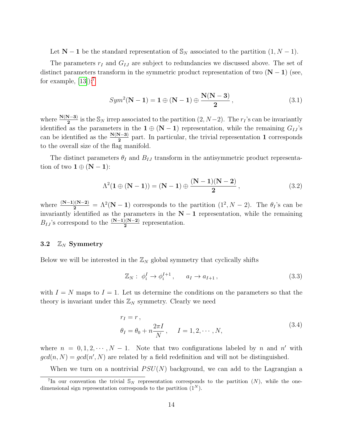Let  $N-1$  be the standard representation of  $\mathcal{S}_N$  associated to the partition  $(1, N-1)$ .

The parameters  $r_I$  and  $G_{IJ}$  are subject to redundancies we discussed above. The set of distinct parameters transform in the symmetric product representation of two  $(N - 1)$  (see, for example,  $[13]$ :<sup>[7](#page-14-1)</sup>

<span id="page-14-4"></span>
$$
Sym2(N-1) = 1 \oplus (N-1) \oplus \frac{N(N-3)}{2}, \qquad (3.1)
$$

where  $\frac{N(N-3)}{2}$  is the  $\mathbb{S}_N$  irrep associated to the partition  $(2, N-2)$ . The  $r_I$ 's can be invariantly identified as the parameters in the  $1 \oplus (N-1)$  representation, while the remaining  $G_{IJ}$ 's can be identified as the  $\frac{N(N-3)}{2}$  part. In particular, the trivial representation 1 corresponds to the overall size of the flag manifold.

The distinct parameters  $\theta_I$  and  $B_{IJ}$  transform in the antisymmetric product representation of two  $1 \oplus (N-1)$ :

<span id="page-14-5"></span>
$$
\Lambda^{2}(1 \oplus (N-1)) = (N-1) \oplus \frac{(N-1)(N-2)}{2}, \qquad (3.2)
$$

where  $\frac{(N-1)(N-2)}{2} = \Lambda^2(N-1)$  corresponds to the partition  $(1^2, N-2)$ . The  $\theta_I$ 's can be invariantly identified as the parameters in the  $N - 1$  representation, while the remaining  $B_{IJ}$ 's correspond to the  $\frac{(N-1)(N-2)}{2}$  representation.

#### <span id="page-14-0"></span>3.2  $\mathbb{Z}_N$  Symmetry

Below we will be interested in the  $\mathbb{Z}_N$  global symmetry that cyclically shifts

<span id="page-14-3"></span>
$$
\mathbb{Z}_N: \phi_i^I \to \phi_i^{I+1}, \qquad a_I \to a_{I+1}, \tag{3.3}
$$

with  $I = N$  maps to  $I = 1$ . Let us determine the conditions on the parameters so that the theory is invariant under this  $\mathbb{Z}_N$  symmetry. Clearly we need

<span id="page-14-2"></span>
$$
r_I = r,
$$
  
\n
$$
\theta_I = \theta_0 + n \frac{2\pi I}{N}, \qquad I = 1, 2, \cdots, N,
$$
\n(3.4)

where  $n = 0, 1, 2, \cdots, N - 1$ . Note that two configurations labeled by n and n' with  $gcd(n, N) = gcd(n', N)$  are related by a field redefinition and will not be distinguished.

<span id="page-14-1"></span>When we turn on a nontrivial  $PSU(N)$  background, we can add to the Lagrangian a

<sup>&</sup>lt;sup>7</sup>In our convention the trivial  $\mathbb{S}_N$  representation corresponds to the partition  $(N)$ , while the onedimensional sign representation corresponds to the partition  $(1^N)$ .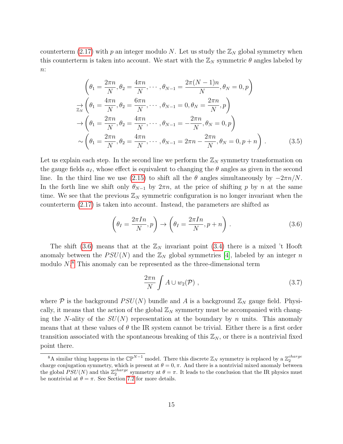counterterm [\(2.17\)](#page-13-4) with p an integer modulo N. Let us study the  $\mathbb{Z}_N$  global symmetry when this counterterm is taken into account. We start with the  $\mathbb{Z}_N$  symmetric  $\theta$  angles labeled by  $n$ :

$$
\left(\theta_{1} = \frac{2\pi n}{N}, \theta_{2} = \frac{4\pi n}{N}, \cdots, \theta_{N-1} = \frac{2\pi (N-1)n}{N}, \theta_{N} = 0, p\right)
$$
  
\n
$$
\Rightarrow \left(\theta_{1} = \frac{4\pi n}{N}, \theta_{2} = \frac{6\pi n}{N}, \cdots, \theta_{N-1} = 0, \theta_{N} = \frac{2\pi n}{N}, p\right)
$$
  
\n
$$
\rightarrow \left(\theta_{1} = \frac{2\pi n}{N}, \theta_{2} = \frac{4\pi n}{N}, \cdots, \theta_{N-1} = -\frac{2\pi n}{N}, \theta_{N} = 0, p\right)
$$
  
\n
$$
\sim \left(\theta_{1} = \frac{2\pi n}{N}, \theta_{2} = \frac{4\pi n}{N}, \cdots, \theta_{N-1} = 2\pi n - \frac{2\pi n}{N}, \theta_{N} = 0, p + n\right).
$$
 (3.5)

Let us explain each step. In the second line we perform the  $\mathbb{Z}_N$  symmetry transformation on the gauge fields  $a_I$ , whose effect is equivalent to changing the  $\theta$  angles as given in the second line. In the third line we use [\(2.15\)](#page-12-1) to shift all the  $\theta$  angles simultaneously by  $-2\pi n/N$ . In the forth line we shift only  $\theta_{N-1}$  by  $2\pi n$ , at the price of shifting p by n at the same time. We see that the previous  $\mathbb{Z}_N$  symmetric configuration is no longer invariant when the counterterm [\(2.17\)](#page-13-4) is taken into account. Instead, the parameters are shifted as

$$
\left(\theta_I = \frac{2\pi In}{N}, p\right) \to \left(\theta_I = \frac{2\pi In}{N}, p + n\right). \tag{3.6}
$$

The shift [\(3.6\)](#page-15-0) means that at the  $\mathbb{Z}_N$  invariant point [\(3.4\)](#page-14-2) there is a mixed 't Hooft anomaly between the  $PSU(N)$  and the  $\mathbb{Z}_N$  global symmetries [\[4\]](#page-57-3), labeled by an integer n modulo  $N$ <sup>[8](#page-15-1)</sup>. This anomaly can be represented as the three-dimensional term

<span id="page-15-0"></span>
$$
\frac{2\pi n}{N} \int A \cup w_2(\mathcal{P}) , \qquad (3.7)
$$

where P is the background  $PSU(N)$  bundle and A is a background  $\mathbb{Z}_N$  gauge field. Physically, it means that the action of the global  $\mathbb{Z}_N$  symmetry must be accompanied with changing the N-ality of the  $SU(N)$  representation at the boundary by n units. This anomaly means that at these values of  $\theta$  the IR system cannot be trivial. Either there is a first order transition associated with the spontaneous breaking of this  $\mathbb{Z}_N$ , or there is a nontrivial fixed point there.

<span id="page-15-1"></span><sup>&</sup>lt;sup>8</sup>A similar thing happens in the  $\mathbb{CP}^{N-1}$  model. There this discrete  $\mathbb{Z}_N$  symmetry is replaced by a  $\mathbb{Z}_2^{charge}$ charge conjugation symmetry, which is present at  $\theta = 0, \pi$ . And there is a nontrivial mixed anomaly between the global  $PSU(N)$  and this  $\mathbb{Z}_2^{charge}$  symmetry at  $\theta = \pi$ . It leads to the conclusion that the IR physics must be nontrivial at  $\theta = \pi$ . See Section [7.2](#page-38-0) for more details.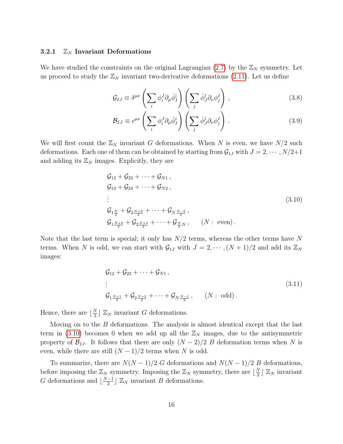#### <span id="page-16-0"></span>3.2.1  $\mathbb{Z}_N$  Invariant Deformations

We have studied the constraints on the original Lagrangian  $(2.7)$  by the  $\mathbb{Z}_N$  symmetry. Let us proceed to study the  $\mathbb{Z}_N$  invariant two-derivative deformations [\(2.11\)](#page-11-1). Let us define

$$
\mathcal{G}_{IJ} \equiv \delta^{\mu\nu} \left( \sum_i \phi_i^J \partial_\mu \bar{\phi}_I^i \right) \left( \sum_j \bar{\phi}_J^j \partial_\nu \phi_j^I \right), \tag{3.8}
$$

$$
\mathcal{B}_{IJ} \equiv \epsilon^{\mu\nu} \left( \sum_i \phi_i^J \partial_\mu \bar{\phi}_I^i \right) \left( \sum_j \bar{\phi}_J^j \partial_\nu \phi_j^I \right) . \tag{3.9}
$$

We will first count the  $\mathbb{Z}_N$  invariant G deformations. When N is even, we have  $N/2$  such deformations. Each one of them can be obtained by starting from  $\mathcal{G}_{1J}$  with  $J = 2, \cdots, N/2+1$ and adding its  $\mathbb{Z}_N$  images. Explicitly, they are

<span id="page-16-1"></span>
$$
G_{12} + G_{23} + \cdots + G_{N1},
$$
  
\n
$$
G_{13} + G_{24} + \cdots + G_{N2},
$$
  
\n:  
\n
$$
G_{1\frac{N}{2}} + G_{2\frac{N+2}{2}} + \cdots + G_{N\frac{N-2}{2}},
$$
  
\n
$$
G_{1\frac{N+2}{2}} + G_{2\frac{N+4}{2}} + \cdots + G_{\frac{N}{2}N}, \qquad (N : \text{ even}).
$$
\n(3.10)

Note that the last term is special; it only has  $N/2$  terms, whereas the other terms have N terms. When N is odd, we can start with  $\mathcal{G}_{1J}$  with  $J = 2, \cdots, (N + 1)/2$  and add its  $\mathbb{Z}_N$ images:

$$
G_{12} + G_{23} + \dots + G_{N1},
$$
  
\n:  
\n
$$
G_{1\frac{N+1}{2}} + G_{2\frac{N+3}{2}} + \dots + G_{N\frac{N-1}{2}}, \qquad (N : \text{ odd}).
$$
\n(3.11)

Hence, there are  $\lfloor \frac{N}{2} \rfloor$  $\frac{N}{2}$   $\mathbb{Z}_N$  invariant G deformations.

Moving on to the  $B$  deformations. The analysis is almost identical except that the last term in [\(3.10\)](#page-16-1) becomes 0 when we add up all the  $\mathbb{Z}_N$  images, due to the antisymmetric property of  $\mathcal{B}_{IJ}$ . It follows that there are only  $(N-2)/2$  B deformation terms when N is even, while there are still  $(N-1)/2$  terms when N is odd.

To summarize, there are  $N(N-1)/2$  G deformations and  $N(N-1)/2$  B deformations, before imposing the  $\mathbb{Z}_N$  symmetry. Imposing the  $\mathbb{Z}_N$  symmetry, there are  $\lfloor \frac{N}{2} \rfloor$  $\frac{N}{2}$   $\mathbb{Z}_N$  invariant G deformations and  $\lfloor \frac{N-1}{2} \rfloor$  $\frac{[-1]}{2}$   $\mathbb{Z}_N$  invariant *B* deformations.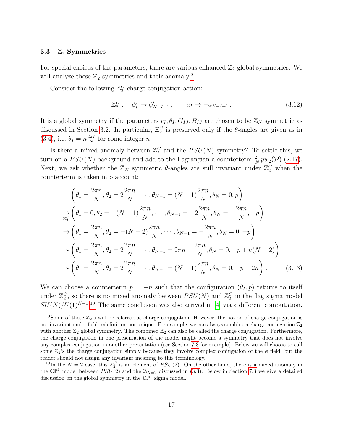#### <span id="page-17-0"></span>3.3  $\mathbb{Z}_2$  Symmetries

For special choices of the parameters, there are various enhanced  $\mathbb{Z}_2$  global symmetries. We will analyze these  $\mathbb{Z}_2$  symmetries and their anomaly.<sup>[9](#page-17-1)</sup>

Consider the following  $\mathbb{Z}_2^C$  charge conjugation action:

<span id="page-17-3"></span>
$$
\mathbb{Z}_2^C: \quad \phi_i^I \to \bar{\phi}_{N-I+1}^i, \qquad a_I \to -a_{N-I+1}.
$$
\n
$$
(3.12)
$$

It is a global symmetry if the parameters  $r_I, \theta_I, G_{IJ}, B_{IJ}$  are chosen to be  $\mathbb{Z}_N$  symmetric as discussed in Section [3.2.](#page-14-0) In particular,  $\mathbb{Z}_2^C$  is preserved only if the  $\theta$ -angles are given as in  $(3.4)$ , i.e.  $\theta_I = n \frac{2\pi I}{N}$  $\frac{n\pi I}{N}$  for some integer *n*.

Is there a mixed anomaly between  $\mathbb{Z}_2^C$  and the  $PSU(N)$  symmetry? To settle this, we turn on a  $PSU(N)$  background and add to the Lagrangian a counterterm  $\frac{2\pi}{N}pw_2(\mathcal{P})$  [\(2.17\)](#page-13-4). Next, we ask whether the  $\mathbb{Z}_N$  symmetric  $\theta$ -angles are still invariant under  $\mathbb{Z}_2^C$  when the counterterm is taken into account:

$$
\left(\theta_{1} = \frac{2\pi n}{N}, \theta_{2} = 2\frac{2\pi n}{N}, \cdots, \theta_{N-1} = (N-1)\frac{2\pi n}{N}, \theta_{N} = 0, p\right)
$$
  
\n
$$
\Rightarrow \left(\theta_{1} = 0, \theta_{2} = -(N-1)\frac{2\pi n}{N}, \cdots, \theta_{N-1} = -2\frac{2\pi n}{N}, \theta_{N} = -\frac{2\pi n}{N}, -p\right)
$$
  
\n
$$
\rightarrow \left(\theta_{1} = \frac{2\pi n}{N}, \theta_{2} = -(N-2)\frac{2\pi n}{N}, \cdots, \theta_{N-1} = -\frac{2\pi n}{N}, \theta_{N} = 0, -p\right)
$$
  
\n
$$
\sim \left(\theta_{1} = \frac{2\pi n}{N}, \theta_{2} = 2\frac{2\pi n}{N}, \cdots, \theta_{N-1} = 2\pi n - \frac{2\pi n}{N}, \theta_{N} = 0, -p + n(N-2)\right)
$$
  
\n
$$
\sim \left(\theta_{1} = \frac{2\pi n}{N}, \theta_{2} = 2\frac{2\pi n}{N}, \cdots, \theta_{N-1} = (N-1)\frac{2\pi n}{N}, \theta_{N} = 0, -p - 2n\right).
$$
 (3.13)

We can choose a counterterm  $p = -n$  such that the configuration  $(\theta_I, p)$  returns to itself under  $\mathbb{Z}_2^C$ , so there is no mixed anomaly between  $PSU(N)$  and  $\mathbb{Z}_2^C$  in the flag sigma model  $SU(N)/U(1)^{N-1}$ <sup>[10](#page-17-2)</sup>. The same conclusion was also arrived in [\[4\]](#page-57-3) via a different computation.

<span id="page-17-1"></span><sup>&</sup>lt;sup>9</sup>Some of these  $\mathbb{Z}_2$ 's will be referred as charge conjugation. However, the notion of charge conjugation is not invariant under field redefinition nor unique. For example, we can always combine a charge conjugation  $\mathbb{Z}_2$ with another  $\mathbb{Z}_2$  global symmetry. The combined  $\mathbb{Z}_2$  can also be called the charge conjugation. Furthermore, the charge conjugation in one presentation of the model might become a symmetry that does not involve any complex conjugation in another presentation (see Section [7.3](#page-41-0) for example). Below we will choose to call some  $\mathbb{Z}_2$ 's the charge conjugation simply because they involve complex conjugation of the  $\phi$  field, but the reader should not assign any invariant meaning to this terminology.

<span id="page-17-2"></span><sup>&</sup>lt;sup>10</sup>In the  $N=2$  case, this  $\mathbb{Z}_2^C$  is an element of  $PSU(2)$ . On the other hand, there is a mixed anomaly in the  $\mathbb{CP}^1$  model between  $PSU(2)$  and the  $\mathbb{Z}_{N=2}$  discussed in [\(3.3\)](#page-14-3). Below in Section [7.3](#page-41-0) we give a detailed discussion on the global symmetry in the  $\mathbb{CP}^1$  sigma model.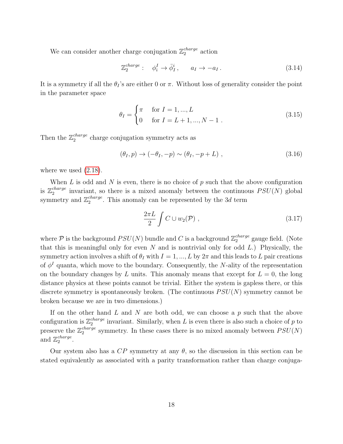We can consider another charge conjugation  $\mathbb{Z}_2^{charge}$  $_2^{charge}$  action

<span id="page-18-0"></span>
$$
\mathbb{Z}_2^{charge}: \quad \phi_i^I \to \bar{\phi}_I^i, \qquad a_I \to -a_I. \tag{3.14}
$$

It is a symmetry if all the  $\theta_I$ 's are either 0 or  $\pi$ . Without loss of generality consider the point in the parameter space

$$
\theta_I = \begin{cases} \pi & \text{for } I = 1, ..., L \\ 0 & \text{for } I = L + 1, ..., N - 1 \end{cases}
$$
 (3.15)

Then the  $\mathbb{Z}_2^{charge}$  $_{2}^{charge}$  charge conjugation symmetry acts as

$$
(\theta_I, p) \to (-\theta_I, -p) \sim (\theta_I, -p + L) , \qquad (3.16)
$$

where we used  $(2.18)$ .

When L is odd and N is even, there is no choice of p such that the above configuration is  $\mathbb{Z}_2^{charge}$  $_2^{charge}$  invariant, so there is a mixed anomaly between the continuous  $PSU(N)$  global symmetry and  $\mathbb{Z}_2^{charge}$  $_{2}^{charge}$ . This anomaly can be represented by the 3*d* term

$$
\frac{2\pi L}{2} \int C \cup w_2(\mathcal{P}) , \qquad (3.17)
$$

where  $P$  is the background  $PSU(N)$  bundle and C is a background  $\mathbb{Z}_2^{charge}$  $_2^{charge}$  gauge field. (Note that this is meaningful only for even  $N$  and is nontrivial only for odd  $L$ .) Physically, the symmetry action involves a shift of  $\theta_I$  with  $I = 1, ..., L$  by  $2\pi$  and this leads to L pair creations of  $\phi^I$  quanta, which move to the boundary. Consequently, the N-ality of the representation on the boundary changes by L units. This anomaly means that except for  $L = 0$ , the long distance physics at these points cannot be trivial. Either the system is gapless there, or this discrete symmetry is spontaneously broken. (The continuous  $PSU(N)$  symmetry cannot be broken because we are in two dimensions.)

If on the other hand L and N are both odd, we can choose a  $p$  such that the above configuration is  $\mathbb{Z}_2^{charge}$  $i_2^{charge}$  invariant. Similarly, when L is even there is also such a choice of p to preserve the  $\mathbb{Z}_2^{charge}$  $_{2}^{charge}$  symmetry. In these cases there is no mixed anomaly between  $PSU(N)$ and  $\mathbb{Z}_2^{charge}$ 2 .

Our system also has a  $CP$  symmetry at any  $\theta$ , so the discussion in this section can be stated equivalently as associated with a parity transformation rather than charge conjuga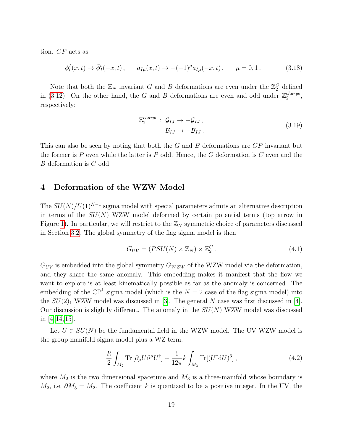tion. CP acts as

$$
\phi_i^I(x,t) \to \bar{\phi}_I^i(-x,t) \,, \qquad a_{I\mu}(x,t) \to -(-1)^{\mu} a_{I\mu}(-x,t) \,, \qquad \mu = 0,1 \,. \tag{3.18}
$$

Note that both the  $\mathbb{Z}_N$  invariant G and B deformations are even under the  $\mathbb{Z}_2^C$  defined in [\(3.12\)](#page-17-3). On the other hand, the G and B deformations are even and odd under  $\mathbb{Z}_2^{charge}$ 2 , respectively:

<span id="page-19-1"></span>
$$
\mathbb{Z}_2^{charge}: \mathcal{G}_{IJ} \to +\mathcal{G}_{IJ},
$$
  

$$
\mathcal{B}_{IJ} \to -\mathcal{B}_{IJ}.
$$
 (3.19)

This can also be seen by noting that both the  $G$  and  $B$  deformations are  $\overline{CP}$  invariant but the former is P even while the latter is P odd. Hence, the G deformation is  $C$  even and the B deformation is C odd.

## <span id="page-19-0"></span>4 Deformation of the WZW Model

The  $SU(N)/U(1)^{N-1}$  sigma model with special parameters admits an alternative description in terms of the  $SU(N)$  WZW model deformed by certain potential terms (top arrow in Figure [1\)](#page-5-0). In particular, we will restrict to the  $\mathbb{Z}_N$  symmetric choice of parameters discussed in Section [3.2.](#page-14-0) The global symmetry of the flag sigma model is then

$$
G_{UV} = (PSU(N) \times \mathbb{Z}_N) \rtimes \mathbb{Z}_2^C. \tag{4.1}
$$

 $G_{UV}$  is embedded into the global symmetry  $G_{WZW}$  of the WZW model via the deformation, and they share the same anomaly. This embedding makes it manifest that the flow we want to explore is at least kinematically possible as far as the anomaly is concerned. The embedding of the  $\mathbb{CP}^1$  sigma model (which is the  $N = 2$  case of the flag sigma model) into the  $SU(2)_1$  WZW model was discussed in [\[3\]](#page-57-2). The general N case was first discussed in [\[4\]](#page-57-3). Our discussion is slightly different. The anomaly in the  $SU(N)$  WZW model was discussed in  $[4, 14, 15]$  $[4, 14, 15]$  $[4, 14, 15]$ .

Let  $U \in SU(N)$  be the fundamental field in the WZW model. The UV WZW model is the group manifold sigma model plus a WZ term:

<span id="page-19-2"></span>
$$
\frac{R}{2} \int_{M_2} \text{Tr} \left[ \partial_{\mu} U \partial^{\mu} U^{\dagger} \right] + \frac{\mathbf{i}}{12\pi} k \int_{M_3} \text{Tr} \left[ (U^{\dagger} \mathbf{d} U)^3 \right],\tag{4.2}
$$

where  $M_2$  is the two dimensional spacetime and  $M_3$  is a three-manifold whose boundary is  $M_2$ , i.e.  $\partial M_3 = M_2$ . The coefficient k is quantized to be a positive integer. In the UV, the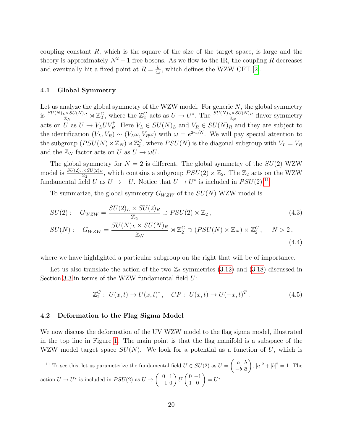coupling constant  $R$ , which is the square of the size of the target space, is large and the theory is approximately  $N^2 - 1$  free bosons. As we flow to the IR, the coupling R decreases and eventually hit a fixed point at  $R = \frac{k}{4a}$  $\frac{k}{4\pi}$ , which defines the WZW CFT [\[2\]](#page-57-1).

#### <span id="page-20-0"></span>4.1 Global Symmetry

Let us analyze the global symmetry of the WZW model. For generic  $N$ , the global symmetry is  $\frac{SU(N)_L\times SU(N)_R}{\mathbb{Z}_N}\rtimes \mathbb{Z}_2^C$ , where the  $\mathbb{Z}_2^C$  acts as  $U\to U^*$ . The  $\frac{SU(N)_L\times SU(N)_R}{\mathbb{Z}_N}$  flavor symmetry acts on U as  $U \to V_L UV_R^{\dagger}$ . Here  $V_L \in SU(N)_L$  and  $V_R \in SU(N)_R$  and they are subject to the identification  $(V_L, V_R) \sim (V_L \omega, V_R \omega)$  with  $\omega = e^{2\pi i/N}$ . We will pay special attention to the subgroup  $(PSU(N) \times \mathbb{Z}_N) \rtimes \mathbb{Z}_2^C$ , where  $PSU(N)$  is the diagonal subgroup with  $V_L = V_R$ and the  $\mathbb{Z}_N$  factor acts on U as  $U \to \omega U$ .

The global symmetry for  $N = 2$  is different. The global symmetry of the  $SU(2)$  WZW model is  $\frac{SU(2)_L\times SU(2)_R}{\mathbb{Z}_2}$ , which contains a subgroup  $PSU(2)\times\mathbb{Z}_2$ . The  $\mathbb{Z}_2$  acts on the WZW fundamental field U as  $U \to -U$ . Notice that  $U \to U^*$  is included in  $PSU(2).^{11}$  $PSU(2).^{11}$  $PSU(2).^{11}$ 

To summarize, the global symmetry  $G_{WZW}$  of the  $SU(N)$  WZW model is

$$
SU(2): \quad G_{WZW} = \frac{SU(2)_L \times SU(2)_R}{\mathbb{Z}_2} \supset PSU(2) \times \mathbb{Z}_2 \,, \tag{4.3}
$$

$$
SU(N): \quad G_{WZW} = \frac{SU(N)_L \times SU(N)_R}{\mathbb{Z}_N} \rtimes \mathbb{Z}_2^C \supset (PSU(N) \times \mathbb{Z}_N) \rtimes \mathbb{Z}_2^C, \qquad N > 2,
$$
\n
$$
(4.4)
$$

where we have highlighted a particular subgroup on the right that will be of importance.

Let us also translate the action of the two  $\mathbb{Z}_2$  symmetries  $(3.12)$  and  $(3.18)$  discussed in Section [3.3](#page-17-0) in terms of the WZW fundamental field U:

<span id="page-20-4"></span><span id="page-20-3"></span>
$$
\mathbb{Z}_2^C: \ U(x,t) \to U(x,t)^*, \quad CP: \ U(x,t) \to U(-x,t)^T. \tag{4.5}
$$

#### <span id="page-20-1"></span>4.2 Deformation to the Flag Sigma Model

We now discuss the deformation of the UV WZW model to the flag sigma model, illustrated in the top line in Figure [1.](#page-5-0) The main point is that the flag manifold is a subspace of the WZW model target space  $SU(N)$ . We look for a potential as a function of U, which is

<span id="page-20-2"></span><sup>11</sup> To see this, let us parameterize the fundamental field  $U \in SU(2)$  as  $U = \begin{pmatrix} a & b \\ b & \overline{b} & \overline{c} \end{pmatrix}$  $-\bar{b}$   $\bar{a}$  $\Big), |a|^2 + |b|^2 = 1.$  The action  $U \to U^*$  is included in  $PSU(2)$  as  $U \to \begin{pmatrix} 0 & 1 \\ -1 & 0 \end{pmatrix} U \begin{pmatrix} 0 & -1 \\ 1 & 0 \end{pmatrix} = U^*.$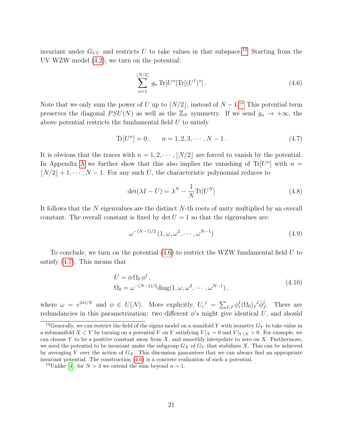invariant under  $G_{UV}$  and restricts U to take values in that subspace.<sup>[12](#page-21-0)</sup> Starting from the UV WZW model [\(4.2\)](#page-19-2), we turn on the potential:

<span id="page-21-3"></span><span id="page-21-2"></span>
$$
\sum_{n=1}^{\lfloor N/2 \rfloor} g_n \operatorname{Tr}[U^n] \operatorname{Tr}[(U^\dagger)^n]. \tag{4.6}
$$

Note that we only sum the power of U up to  $\lfloor N/2 \rfloor$ , instead of  $N - 1$ .<sup>[13](#page-21-1)</sup> This potential term preserves the diagonal  $PSU(N)$  as well as the  $\mathbb{Z}_N$  symmetry. If we send  $g_n \to +\infty$ , the above potential restricts the fundamental field  $U$  to satisfy

$$
\text{Tr}[U^n] = 0, \qquad n = 1, 2, 3, \cdots, N - 1. \tag{4.7}
$$

It is obvious that the traces with  $n = 1, 2, \dots, |N/2|$  are forced to vanish by the potential. In [A](#page-45-0)ppendix A we further show that this also implies the vanishing of Tr[ $U<sup>n</sup>$ ] with  $n =$  $\lfloor N/2 \rfloor + 1, \cdots, N - 1$ . For any such U, the characteristic polynomial reduces to

$$
\det(\lambda I - U) = \lambda^N - \frac{1}{N} \text{Tr}[U^N]
$$
\n(4.8)

It follows that the N eigenvalues are the distinct N-th roots of unity multiplied by an overall constant. The overall constant is fixed by det  $U = 1$  so that the eigenvalues are:

<span id="page-21-4"></span>
$$
\omega^{-(N-1)/2} \left( 1, \omega, \omega^2, \cdots, \omega^{N-1} \right) \tag{4.9}
$$

To conclude, we turn on the potential  $(4.6)$  to restrict the WZW fundamental field U to satisfy [\(4.7\)](#page-21-3). This means that

$$
U = \phi \Omega_0 \phi^{\dagger},
$$
  
\n
$$
\Omega_0 = \omega^{-(N-1)/2} \text{diag}(1, \omega, \omega^2, \cdots, \omega^{N-1}),
$$
\n(4.10)

where  $\omega = e^{2\pi i/N}$  and  $\phi \in U(N)$ . More explicitly,  $U_i^j = \sum_{I,J} \phi_i^I(\Omega_0)_I^J \overline{\phi}_J^j$ . There are redundancies in this parametrization: two different  $\phi$ 's might give identical U, and should

<span id="page-21-0"></span><sup>&</sup>lt;sup>12</sup>Generally, we can restrict the field of the sigma model on a manifold Y with isometry  $G_Y$  to take value in a submanifold  $X \subset Y$  by turning on a potential V on Y satisfying  $V|_X = 0$  and  $V|_{Y \setminus X} > 0$ . For example, we can choose  $V$  to be a positive constant away from  $X$ , and smoothly interpolate to zero on  $X$ . Furthermore, we need the potential to be invariant under the subgroup  $G_X$  of  $G_Y$  that stabilizes X. This can be achieved by averaging V over the action of  $G_X$ . This discussion guarantees that we can always find an appropriate invariant potential. The construction [\(4.6\)](#page-21-2) is a concrete realization of such a potential.

<span id="page-21-1"></span><sup>&</sup>lt;sup>13</sup>Unlike [\[4\]](#page-57-3), for  $N > 3$  we extend the sum beyond  $n = 1$ .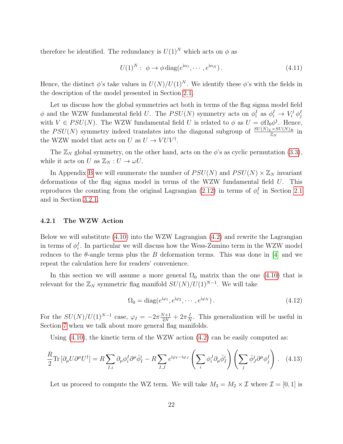therefore be identified. The redundancy is  $U(1)^N$  which acts on  $\phi$  as

$$
U(1)^N: \ \phi \to \phi \operatorname{diag}(e^{i\alpha_1}, \cdots, e^{i\alpha_N}). \tag{4.11}
$$

Hence, the distinct  $\phi$ 's take values in  $U(N)/U(1)^N$ . We identify these  $\phi$ 's with the fields in the description of the model presented in Section [2.1.](#page-8-1)

Let us discuss how the global symmetries act both in terms of the flag sigma model field  $\phi$  and the WZW fundamental field U. The  $PSU(N)$  symmetry acts on  $\phi_i^I$  as  $\phi_i^I \to V_i^j \phi_j^I$ with  $V \in PSU(N)$ . The WZW fundamental field U is related to  $\phi$  as  $U = \phi \Omega_0 \phi^{\dagger}$ . Hence, the  $PSU(N)$  symmetry indeed translates into the diagonal subgroup of  $\frac{SU(N)_L \times SU(N)_R}{\mathbb{Z}_N}$  in the WZW model that acts on U as  $U \to VUV^{\dagger}$ .

The  $\mathbb{Z}_N$  global symmetry, on the other hand, acts on the  $\phi$ 's as cyclic permutation [\(3.3\)](#page-14-3), while it acts on U as  $\mathbb{Z}_N : U \to \omega U$ .

In Appendix [B](#page-46-0) we will enumerate the number of  $PSU(N)$  and  $PSU(N) \times \mathbb{Z}_N$  invariant deformations of the flag sigma model in terms of the WZW fundamental field U. This reproduces the counting from the original Lagrangian [\(2.12\)](#page-11-0) in terms of  $\phi_i^I$  in Section [2.1](#page-8-1) and in Section [3.2.1.](#page-16-0)

#### <span id="page-22-0"></span>4.2.1 The WZW Action

Below we will substitute [\(4.10\)](#page-21-4) into the WZW Lagrangian [\(4.2\)](#page-19-2) and rewrite the Lagrangian in terms of  $\phi_i^I$ . In particular we will discuss how the Wess-Zumino term in the WZW model reduces to the  $\theta$ -angle terms plus the B deformation terms. This was done in [\[4\]](#page-57-3) and we repeat the calculation here for readers' convenience.

In this section we will assume a more general  $\Omega_0$  matrix than the one [\(4.10\)](#page-21-4) that is relevant for the  $\mathbb{Z}_N$  symmetric flag manifold  $SU(N)/U(1)^{N-1}$ . We will take

<span id="page-22-1"></span>
$$
\Omega_0 = \text{diag}(e^{\mathrm{i}\varphi_1}, e^{\mathrm{i}\varphi_2}, \cdots, e^{\mathrm{i}\varphi_N}).\tag{4.12}
$$

For the  $SU(N)/U(1)^{N-1}$  case,  $\varphi_I = -2\pi \frac{N+1}{2N} + 2\pi \frac{I}{N}$  $\frac{1}{N}$ . This generalization will be useful in Section [7](#page-35-0) when we talk about more general flag manifolds.

Using  $(4.10)$ , the kinetic term of the WZW action  $(4.2)$  can be easily computed as:

$$
\frac{R}{2} \text{Tr} \left[ \partial_{\mu} U \partial^{\mu} U^{\dagger} \right] = R \sum_{I,i} \partial_{\mu} \phi_i^I \partial^{\mu} \bar{\phi}_I^i - R \sum_{I,J} e^{i\varphi_I - i\varphi_J} \left( \sum_i \phi_i^J \partial_{\mu} \bar{\phi}_I^i \right) \left( \sum_j \bar{\phi}_J^j \partial^{\mu} \phi_j^I \right) . \tag{4.13}
$$

Let us proceed to compute the WZ term. We will take  $M_3 = M_2 \times \mathcal{I}$  where  $\mathcal{I} = [0, 1]$  is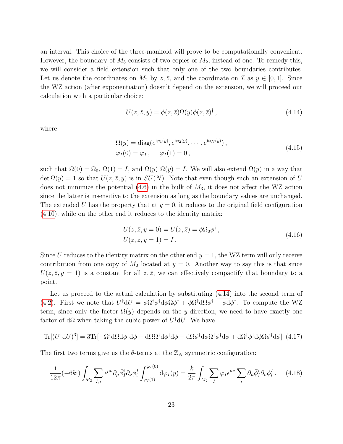an interval. This choice of the three-manifold will prove to be computationally convenient. However, the boundary of  $M_3$  consists of two copies of  $M_2$ , instead of one. To remedy this, we will consider a field extension such that only one of the two boundaries contributes. Let us denote the coordinates on  $M_2$  by  $z, \bar{z}$ , and the coordinate on  $\mathcal I$  as  $y \in [0, 1]$ . Since the WZ action (after exponentiation) doesn't depend on the extension, we will proceed our calculation with a particular choice:

<span id="page-23-0"></span>
$$
U(z, \bar{z}, y) = \phi(z, \bar{z})\Omega(y)\phi(z, \bar{z})^{\dagger}, \qquad (4.14)
$$

where

$$
\Omega(y) = \text{diag}(e^{\text{i}\varphi_1(y)}, e^{\text{i}\varphi_2(y)}, \cdots, e^{\text{i}\varphi_N(y)}),
$$
  
\n
$$
\varphi_I(0) = \varphi_I, \quad \varphi_I(1) = 0,
$$
\n(4.15)

such that  $\Omega(0) = \Omega_0$ ,  $\Omega(1) = I$ , and  $\Omega(y)^\dagger \Omega(y) = I$ . We will also extend  $\Omega(y)$  in a way that  $\det \Omega(y) = 1$  so that  $U(z, \overline{z}, y)$  is in  $SU(N)$ . Note that even though such an extension of U does not minimize the potential  $(4.6)$  in the bulk of  $M_3$ , it does not affect the WZ action since the latter is insensitive to the extension as long as the boundary values are unchanged. The extended U has the property that at  $y = 0$ , it reduces to the original field configuration [\(4.10\)](#page-21-4), while on the other end it reduces to the identity matrix:

<span id="page-23-1"></span>
$$
U(z, \bar{z}, y = 0) = U(z, \bar{z}) = \phi \Omega_0 \phi^{\dagger}, U(z, \bar{z}, y = 1) = I.
$$
 (4.16)

Since U reduces to the identity matrix on the other end  $y = 1$ , the WZ term will only receive contribution from one copy of  $M_2$  located at  $y = 0$ . Another way to say this is that since  $U(z, \bar{z}, y = 1)$  is a constant for all  $z, \bar{z}$ , we can effectively compactify that boundary to a point.

Let us proceed to the actual calculation by substituting [\(4.14\)](#page-23-0) into the second term of [\(4.2\)](#page-19-2). First we note that  $U^{\dagger}dU = \phi \Omega^{\dagger} \phi^{\dagger} d\phi \Omega \phi^{\dagger} + \phi \Omega^{\dagger} d\Omega \phi^{\dagger} + \phi d\phi^{\dagger}$ . To compute the WZ term, since only the factor  $\Omega(y)$  depends on the y-direction, we need to have exactly one factor of d $\Omega$  when taking the cubic power of  $U^{\dagger}dU$ . We have

$$
\text{Tr}[(U^{\dagger}dU)^{3}] = 3\text{Tr}[-\Omega^{\dagger}d\Omega d\phi^{\dagger} d\phi - d\Omega\Omega^{\dagger} d\phi^{\dagger} d\phi - d\Omega\phi^{\dagger} d\phi\Omega^{\dagger} \phi^{\dagger} d\phi + d\Omega^{\dagger} \phi^{\dagger} d\phi\Omega \phi^{\dagger} d\phi]
$$
(4.17)

The first two terms give us the  $\theta$ -terms at the  $\mathbb{Z}_N$  symmetric configuration:

$$
\frac{i}{12\pi}(-6k i)\int_{M_2}\sum_{I,i}\epsilon^{\mu\nu}\partial_{\mu}\bar{\phi}_I^i\partial_{\nu}\phi_i^I\int_{\varphi_I(1)}^{\varphi_I(0)}\mathrm{d}\varphi_I(y)=\frac{k}{2\pi}\int_{M_2}\sum_{I}\varphi_I\epsilon^{\mu\nu}\sum_{i}\partial_{\mu}\bar{\phi}_I^i\partial_{\nu}\phi_i^I.
$$
 (4.18)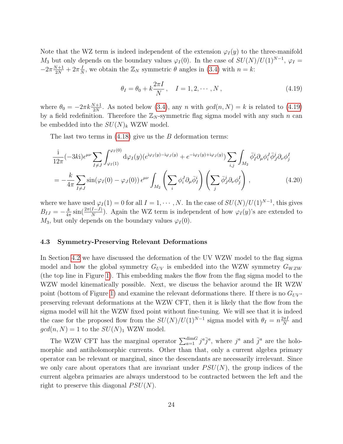Note that the WZ term is indeed independent of the extension  $\varphi_I(y)$  to the three-manifold  $M_3$  but only depends on the boundary values  $\varphi_I(0)$ . In the case of  $SU(N)/U(1)^{N-1}$ ,  $\varphi_I =$  $-2\pi \frac{N+1}{2N} + 2\pi \frac{1}{N}$  $\frac{I}{N}$ , we obtain the  $\mathbb{Z}_N$  symmetric  $\theta$  angles in [\(3.4\)](#page-14-2) with  $n = k$ :

<span id="page-24-2"></span><span id="page-24-1"></span>
$$
\theta_I = \theta_0 + k \frac{2\pi I}{N}, \quad I = 1, 2, \cdots, N,
$$
\n(4.19)

where  $\theta_0 = -2\pi k \frac{N+1}{2N}$ . As noted below [\(3.4\)](#page-14-2), any n with  $gcd(n, N) = k$  is related to [\(4.19\)](#page-24-1) by a field redefinition. Therefore the  $\mathbb{Z}_N$ -symmetric flag sigma model with any such n can be embedded into the  $SU(N)_k$  WZW model.

The last two terms in  $(4.18)$  give us the B deformation terms:

$$
\frac{i}{12\pi}(-3ki)\epsilon^{\mu\nu}\sum_{I\neq J}\int_{\varphi_I(1)}^{\varphi_I(0)}d\varphi_I(y)(e^{i\varphi_I(y)-i\varphi_J(y)}+e^{-i\varphi_I(y)+i\varphi_J(y)})\sum_{i,j}\int_{M_2}\bar{\phi}_I^i\partial_\mu\phi_i^J\bar{\phi}_J^j\partial_\nu\phi_j^I
$$
\n
$$
=-\frac{k}{4\pi}\sum_{I\neq J}\sin(\varphi_I(0)-\varphi_J(0))\epsilon^{\mu\nu}\int_{M_2}\left(\sum_i\phi_i^J\partial_\mu\bar{\phi}_I^i\right)\left(\sum_j\bar{\phi}_J^j\partial_\nu\phi_j^I\right),\qquad(4.20)
$$

where we have used  $\varphi_I(1) = 0$  for all  $I = 1, \cdots, N$ . In the case of  $SU(N)/U(1)^{N-1}$ , this gives  $B_{IJ} = -\frac{k}{4\pi}$  $\frac{k}{4\pi}$  sin( $\frac{2\pi(I-J)}{N}$ ). Again the WZ term is independent of how  $\varphi_I(y)$ 's are extended to  $M_3$ , but only depends on the boundary values  $\varphi_I(0)$ .

#### <span id="page-24-0"></span>4.3 Symmetry-Preserving Relevant Deformations

In Section [4.2](#page-20-1) we have discussed the deformation of the UV WZW model to the flag sigma model and how the global symmetry  $G_{UV}$  is embedded into the WZW symmetry  $G_{WZW}$ (the top line in Figure [1\)](#page-5-0). This embedding makes the flow from the flag sigma model to the WZW model kinematically possible. Next, we discuss the behavior around the IR WZW point (bottom of Figure [1\)](#page-5-0) and examine the relevant deformations there. If there is no  $G_{UV}$ preserving relevant deformations at the WZW CFT, then it is likely that the flow from the sigma model will hit the WZW fixed point without fine-tuning. We will see that it is indeed the case for the proposed flow from the  $SU(N)/U(1)^{N-1}$  sigma model with  $\theta_I = n \frac{2\pi I}{N}$  $\frac{2\pi I}{N}$  and  $gcd(n, N) = 1$  to the  $SU(N)_1$  WZW model.

The WZW CFT has the marginal operator  $\sum_{a=1}^{\dim G} j^a \bar{j}^a$ , where  $j^a$  and  $\bar{j}^a$  are the holomorphic and antiholomorphic currents. Other than that, only a current algebra primary operator can be relevant or marginal, since the descendants are necessarily irrelevant. Since we only care about operators that are invariant under  $PSU(N)$ , the group indices of the current algebra primaries are always understood to be contracted between the left and the right to preserve this diagonal  $PSU(N)$ .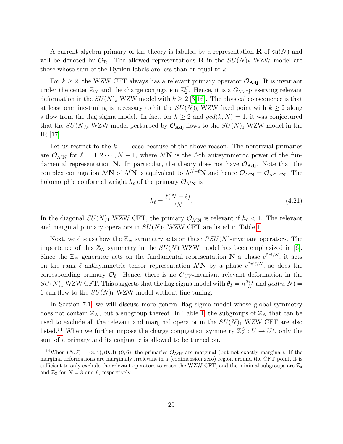A current algebra primary of the theory is labeled by a representation **R** of  $\mathfrak{su}(N)$  and will be denoted by  $\mathcal{O}_\mathbf{R}$ . The allowed representations **R** in the  $SU(N)_k$  WZW model are those whose sum of the Dynkin labels are less than or equal to k.

For  $k \geq 2$ , the WZW CFT always has a relevant primary operator  $\mathcal{O}_{\text{Adj}}$ . It is invariant under the center  $\mathbb{Z}_N$  and the charge conjugation  $\mathbb{Z}_2^C$ . Hence, it is a  $G_{UV}$ -preserving relevant deformation in the  $SU(N)_k$  WZW model with  $k \geq 2$  [\[3,](#page-57-2)[16\]](#page-58-6). The physical consequence is that at least one fine-tuning is necessary to hit the  $SU(N)_k$  WZW fixed point with  $k \geq 2$  along a flow from the flag sigma model. In fact, for  $k \geq 2$  and  $gcd(k, N) = 1$ , it was conjectured that the  $SU(N)_k$  WZW model perturbed by  $\mathcal{O}_{\text{Adj}}$  flows to the  $SU(N)_1$  WZW model in the IR [\[17\]](#page-58-7).

Let us restrict to the  $k = 1$  case because of the above reason. The nontrivial primaries are  $\mathcal{O}_{\Lambda^{\ell}N}$  for  $\ell = 1, 2 \cdots, N - 1$ , where  $\Lambda^{\ell}N$  is the  $\ell$ -th antisymmetric power of the fundamental representation N. In particular, the theory does not have  $\mathcal{O}_{\text{Adj}}$ . Note that the complex conjugation  $\overline{\Lambda^{\ell}N}$  of  $\Lambda^{\ell}N$  is equivalent to  $\Lambda^{N-\ell}N$  and hence  $\overline{\mathcal{O}}_{\Lambda^{\ell}N} = \mathcal{O}_{\Lambda^{N-\ell}N}$ . The holomorphic conformal weight  $h_\ell$  of the primary  $\mathcal{O}_{\Lambda^{\ell}N}$  is

$$
h_{\ell} = \frac{\ell(N - \ell)}{2N}.\tag{4.21}
$$

In the diagonal  $SU(N)_1$  WZW CFT, the primary  $\mathcal{O}_{\Lambda^{\ell}N}$  is relevant if  $h_{\ell} < 1$ . The relevant and marginal primary operators in  $SU(N)_1$  WZW CFT are listed in Table [1.](#page-26-2)

Next, we discuss how the  $\mathbb{Z}_N$  symmetry acts on these  $PSU(N)$ -invariant operators. The importance of this  $\mathbb{Z}_N$  symmetry in the  $SU(N)$  WZW model has been emphasized in [\[6\]](#page-57-5). Since the  $\mathbb{Z}_N$  generator acts on the fundamental representation N a phase  $e^{2\pi i/N}$ , it acts on the rank  $\ell$  antisymmetric tensor representation  $\Lambda^{\ell}N$  by a phase  $e^{2\pi i\ell/N}$ , so does the corresponding primary  $\mathcal{O}_\ell$ . Hence, there is no  $G_{UV}$ -invariant relevant deformation in the  $SU(N)_1$  WZW CFT. This suggests that the flag sigma model with  $\theta_I = n \frac{2\pi I}{N}$  $\frac{2\pi I}{N}$  and  $gcd(n, N) =$ 1 can flow to the  $SU(N)_1$  WZW model without fine-tuning.

In Section [7.1,](#page-35-2) we will discuss more general flag sigma model whose global symmetry does not contain  $\mathbb{Z}_N$ , but a subgroup thereof. In Table [1,](#page-26-2) the subgroups of  $\mathbb{Z}_N$  that can be used to exclude all the relevant and marginal operator in the  $SU(N)_1$  WZW CFT are also listed.<sup>[14](#page-25-0)</sup> When we further impose the charge conjugation symmetry  $\mathbb{Z}_2^C : U \to U^*$ , only the sum of a primary and its conjugate is allowed to be turned on.

<span id="page-25-0"></span><sup>&</sup>lt;sup>14</sup>When  $(N, \ell) = (8, 4), (9, 3), (9, 6)$ , the primaries  $\mathcal{O}_{\Lambda^{\ell} N}$  are marginal (but not exactly marginal). If the marginal deformations are marginally irrelevant in a (codimension zero) region around the CFT point, it is sufficient to only exclude the relevant operators to reach the WZW CFT, and the minimal subgroups are  $\mathbb{Z}_4$ and  $\mathbb{Z}_3$  for  $N = 8$  and 9, respectively.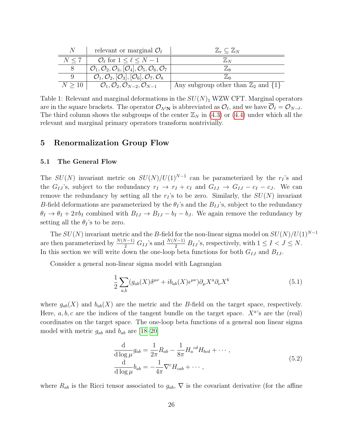<span id="page-26-2"></span>

| N           | relevant or marginal $\mathcal{O}_{\ell}$                                                                   | $\mathbb{Z}_r\subseteq \mathbb{Z}_N$               |
|-------------|-------------------------------------------------------------------------------------------------------------|----------------------------------------------------|
| N < 7       | $\mathcal{O}_{\ell}$ for $1 \leq \ell \leq N-1$                                                             | $\mathbb{Z}_N$                                     |
|             | $\mathcal{O}_1, \mathcal{O}_2, \mathcal{O}_3, [\mathcal{O}_4], \mathcal{O}_5, \mathcal{O}_6, \mathcal{O}_7$ | '/Lo                                               |
| 9           | $\mathcal{O}_1, \mathcal{O}_2, [\mathcal{O}_3], [\mathcal{O}_6], \mathcal{O}_7, \mathcal{O}_8$              | $\mathbb{Z}_9$                                     |
| $N \geq 10$ | $\mathcal{O}_1,\mathcal{O}_2,\mathcal{O}_{N-2},\mathcal{O}_{N-1}$                                           | Any subgroup other than $\mathbb{Z}_2$ and $\{1\}$ |

Table 1: Relevant and marginal deformations in the  $SU(N)_1$  WZW CFT. Marginal operators are in the square brackets. The operator  $\mathcal{O}_{\Lambda^{\ell} \mathbf{N}}$  is abbreviated as  $\mathcal{O}_{\ell}$ , and we have  $\mathcal{O}_{\ell} = \mathcal{O}_{N-\ell}$ . The third column shows the subgroups of the center  $\mathbb{Z}_N$  in [\(4.3\)](#page-20-3) or [\(4.4\)](#page-20-4) under which all the relevant and marginal primary operators transform nontrivially.

### <span id="page-26-0"></span>5 Renormalization Group Flow

#### <span id="page-26-1"></span>5.1 The General Flow

The  $SU(N)$  invariant metric on  $SU(N)/U(1)^{N-1}$  can be parameterized by the  $r_I$ 's and the  $G_{IJ}$ 's, subject to the redundancy  $r_I \rightarrow r_I + c_I$  and  $G_{IJ} \rightarrow G_{IJ} - c_I - c_J$ . We can remove the redundancy by setting all the  $r<sub>I</sub>$ 's to be zero. Similarly, the  $SU(N)$  invariant B-field deformations are parameterized by the  $\theta_I$ 's and the  $B_{IJ}$ 's, subject to the redundancy  $\theta_I \to \theta_I + 2\pi b_I$  combined with  $B_{IJ} \to B_{IJ} - b_I - b_J$ . We again remove the redundancy by setting all the  $\theta_I$ 's to be zero.

The  $SU(N)$  invariant metric and the B-field for the non-linear sigma model on  $SU(N)/U(1)^{N-1}$ are then parameterized by  $\frac{N(N-1)}{2} G_{IJ}$ 's and  $\frac{N(N-1)}{2} B_{IJ}$ 's, respectively, with  $1 \leq I < J \leq N$ . In this section we will write down the one-loop beta functions for both  $G_{IJ}$  and  $B_{IJ}$ .

Consider a general non-linear sigma model with Lagrangian

$$
\frac{1}{2} \sum_{a,b} (g_{ab}(X)\delta^{\mu\nu} + ib_{ab}(X)\epsilon^{\mu\nu}) \partial_{\mu} X^a \partial_{\nu} X^b \tag{5.1}
$$

where  $g_{ab}(X)$  and  $b_{ab}(X)$  are the metric and the B-field on the target space, respectively. Here,  $a, b, c$  are the indices of the tangent bundle on the target space.  $X^{a}$ 's are the (real) coordinates on the target space. The one-loop beta functions of a general non linear sigma model with metric  $g_{ab}$  and  $b_{ab}$  are [\[18–](#page-58-8)[20\]](#page-58-9)

<span id="page-26-3"></span>
$$
\frac{\mathrm{d}}{\mathrm{d}\log\mu}g_{ab} = \frac{1}{2\pi}R_{ab} - \frac{1}{8\pi}H_a^{cd}H_{bcd} + \cdots,
$$
\n
$$
\frac{\mathrm{d}}{\mathrm{d}\log\mu}b_{ab} = -\frac{1}{4\pi}\nabla^cH_{cab} + \cdots,
$$
\n(5.2)

where  $R_{ab}$  is the Ricci tensor associated to  $g_{ab}$ ,  $\nabla$  is the covariant derivative (for the affine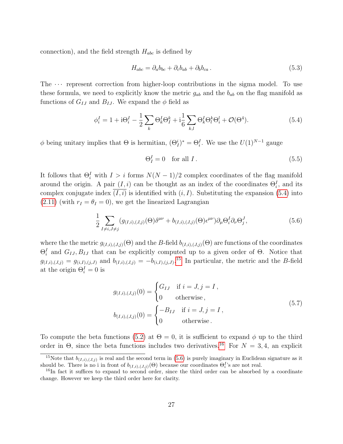connection), and the field strength  $H_{abc}$  is defined by

$$
H_{abc} = \partial_a b_{bc} + \partial_c b_{ab} + \partial_b b_{ca} \,. \tag{5.3}
$$

The  $\cdots$  represent correction from higher-loop contributions in the sigma model. To use these formula, we need to explicitly know the metric  $g_{ab}$  and the  $b_{ab}$  on the flag manifold as functions of  $G_{IJ}$  and  $B_{IJ}$ . We expand the  $\phi$  field as

<span id="page-27-0"></span>
$$
\phi_i^I = 1 + i\Theta_i^I - \frac{1}{2} \sum_k \Theta_k^I \Theta_l^k + i\frac{1}{6} \sum_{k,l} \Theta_k^I \Theta_l^k \Theta_i^l + \mathcal{O}(\Theta^4).
$$
 (5.4)

 $\phi$  being unitary implies that  $\Theta$  is hermitian,  $(\Theta^i_I)^* = \Theta^I_i$ . We use the  $U(1)^{N-1}$  gauge

$$
\Theta_I^I = 0 \quad \text{for all } I. \tag{5.5}
$$

It follows that  $\Theta_i^I$  with  $I > i$  forms  $N(N-1)/2$  complex coordinates of the flag manifold around the origin. A pair  $(I, i)$  can be thought as an index of the coordinates  $\Theta_i^I$ , and its complex conjugate index  $(I, i)$  is identified with  $(i, I)$ . Substituting the expansion [\(5.4\)](#page-27-0) into  $(2.11)$  (with  $r_I = \theta_I = 0$ ), we get the linearized Lagrangian

<span id="page-27-3"></span>
$$
\frac{1}{2} \sum_{I \neq i, J \neq j} (g_{(I,i),(J,j)}(\Theta) \delta^{\mu\nu} + b_{(I,i),(J,j)}(\Theta) \epsilon^{\mu\nu}) \partial_{\mu} \Theta_i^I \partial_{\nu} \Theta_j^J, \tag{5.6}
$$

where the the metric  $g_{(I,i),(J,j)}(\Theta)$  and the B-field  $b_{(I,i),(J,j)}(\Theta)$  are functions of the coordinates  $\Theta_i^I$  and  $G_{IJ}, B_{IJ}$  that can be explicitly computed up to a given order of  $\Theta$ . Notice that  $g_{(I,i),(J,j)} = g_{(i,I),(j,J)}$  and  $b_{(I,i),(J,j)} = -b_{(i,I),(j,J)}$ .<sup>[15](#page-27-1)</sup> In particular, the metric and the B-field at the origin  $\Theta_i^I = 0$  is

<span id="page-27-4"></span>
$$
g_{(I,i),(J,j)}(0) = \begin{cases} G_{IJ} & \text{if } i = J, j = I, \\ 0 & \text{otherwise,} \end{cases}
$$
  
\n
$$
b_{(I,i),(J,j)}(0) = \begin{cases} -B_{IJ} & \text{if } i = J, j = I, \\ 0 & \text{otherwise.} \end{cases}
$$
 (5.7)

To compute the beta functions [\(5.2\)](#page-26-3) at  $\Theta = 0$ , it is sufficient to expand  $\phi$  up to the third order in  $\Theta$ , since the beta functions includes two derivatives.<sup>[16](#page-27-2)</sup> For  $N = 3, 4$ , an explicit

<span id="page-27-1"></span><sup>&</sup>lt;sup>15</sup>Note that  $b_{(I,i),(J,j)}$  is real and the second term in [\(5.6\)](#page-27-3) is purely imaginary in Euclidean signature as it should be. There is no i in front of  $b_{(I,i),(J,j)}(\Theta)$  because our coordinates  $\Theta_i^I$ 's are not real.

<span id="page-27-2"></span><sup>&</sup>lt;sup>16</sup>In fact it suffices to expand to second order, since the third order can be absorbed by a coordinate change. However we keep the third order here for clarity.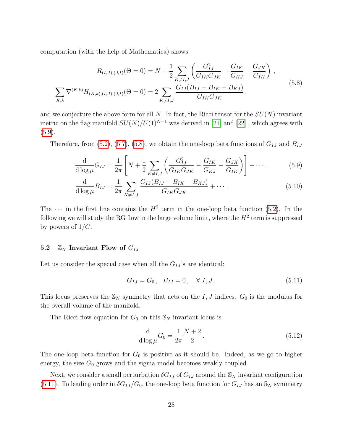computation (with the help of Mathematica) shows

$$
R_{(I,J),(J,I)}(\Theta=0) = N + \frac{1}{2} \sum_{K \neq I,J} \left( \frac{G_{IJ}^2}{G_{IK} G_{JK}} - \frac{G_{IK}}{G_{KJ}} - \frac{G_{JK}}{G_{IK}} \right),
$$
  

$$
\sum_{K,k} \nabla^{(K,k)} H_{(K,k),(I,J),(J,I)}(\Theta=0) = 2 \sum_{K \neq I,J} \frac{G_{IJ}(B_{IJ} - B_{IK} - B_{KJ})}{G_{IK} G_{JK}},
$$
(5.8)

and we conjecture the above form for all N. In fact, the Ricci tensor for the  $SU(N)$  invariant metric on the flag manifold  $SU(N)/U(1)^{N-1}$  was derived in [\[21\]](#page-58-10) and [\[22\]](#page-58-11), which agrees with  $(5.9).$  $(5.9).$ 

Therefore, from [\(5.2\)](#page-26-3), [\(5.7\)](#page-27-4), [\(5.8\)](#page-28-2), we obtain the one-loop beta functions of  $G_{IJ}$  and  $B_{IJ}$ 

<span id="page-28-2"></span>
$$
\frac{\mathrm{d}}{\mathrm{d}\log\mu}G_{IJ} = \frac{1}{2\pi} \left[ N + \frac{1}{2} \sum_{K \neq I,J} \left( \frac{G_{IJ}^2}{G_{IK}G_{JK}} - \frac{G_{IK}}{G_{KJ}} - \frac{G_{JK}}{G_{IK}} \right) \right] + \cdots, \tag{5.9}
$$

$$
\frac{\mathrm{d}}{\mathrm{d}\log\mu}B_{IJ} = \frac{1}{2\pi} \sum_{K \neq I,J} \frac{G_{IJ}(B_{IJ} - B_{IK} - B_{KJ})}{G_{IK}G_{JK}} + \cdots
$$
\n(5.10)

The  $\cdots$  in the first line contains the  $H^2$  term in the one-loop beta function [\(5.2\)](#page-26-3). In the following we will study the RG flow in the large volume limit, where the  $H^2$  term is suppressed by powers of  $1/G$ .

#### <span id="page-28-0"></span>5.2  $\mathbb{Z}_N$  Invariant Flow of  $G_{IJ}$

Let us consider the special case when all the  $G_{IJ}$ 's are identical:

<span id="page-28-5"></span><span id="page-28-1"></span>
$$
G_{IJ} = G_0, \quad B_{IJ} = 0, \quad \forall \ I, J. \tag{5.11}
$$

This locus preserves the  $\mathbb{S}_N$  symmetry that acts on the I, J indices.  $G_0$  is the modulus for the overall volume of the manifold.

The Ricci flow equation for  $G_0$  on this  $\mathbb{S}_N$  invariant locus is

<span id="page-28-4"></span><span id="page-28-3"></span>
$$
\frac{d}{d \log \mu} G_0 = \frac{1}{2\pi} \frac{N+2}{2} \,. \tag{5.12}
$$

The one-loop beta function for  $G_0$  is positive as it should be. Indeed, as we go to higher energy, the size  $G_0$  grows and the sigma model becomes weakly coupled.

Next, we consider a small perturbation  $\delta G_{IJ}$  of  $G_{IJ}$  around the  $\mathbb{S}_N$  invariant configuration [\(5.11\)](#page-28-3). To leading order in  $\delta G_{IJ}/G_0$ , the one-loop beta function for  $G_{IJ}$  has an  $\mathcal{S}_N$  symmetry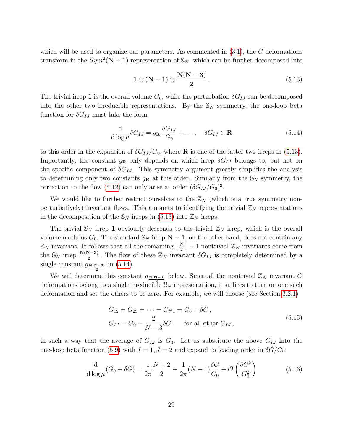which will be used to organize our parameters. As commented in  $(3.1)$ , the G deformations transform in the  $Sym^2(N-1)$  representation of  $\mathbb{S}_N$ , which can be further decomposed into

<span id="page-29-1"></span><span id="page-29-0"></span>
$$
1 \oplus (N-1) \oplus \frac{N(N-3)}{2}.
$$
\n
$$
(5.13)
$$

The trivial irrep 1 is the overall volume  $G_0$ , while the perturbation  $\delta G_{IJ}$  can be decomposed into the other two irreducible representations. By the  $\mathbb{S}_N$  symmetry, the one-loop beta function for  $\delta G_{IJ}$  must take the form

$$
\frac{\mathrm{d}}{\mathrm{d}\log\mu} \delta G_{IJ} = g_{\mathbf{R}} \frac{\delta G_{IJ}}{G_0} + \cdots, \quad \delta G_{IJ} \in \mathbf{R} \tag{5.14}
$$

to this order in the expansion of  $\delta G_{IJ}/G_0$ , where **R** is one of the latter two irreps in [\(5.13\)](#page-29-0). Importantly, the constant  $g_{\mathbf{R}}$  only depends on which irrep  $\delta G_{IJ}$  belongs to, but not on the specific component of  $\delta G_{IJ}$ . This symmetry argument greatly simplifies the analysis to determining only two constants  $g_{\mathbf{R}}$  at this order. Similarly from the  $\mathbb{S}_N$  symmetry, the correction to the flow [\(5.12\)](#page-28-4) can only arise at order  $(\delta G_{IJ}/G_0)^2$ .

We would like to further restrict ourselves to the  $\mathbb{Z}_N$  (which is a true symmetry nonperturbatively) invariant flows. This amounts to identifying the trivial  $\mathbb{Z}_N$  representations in the decomposition of the  $\mathbb{S}_N$  irreps in [\(5.13\)](#page-29-0) into  $\mathbb{Z}_N$  irreps.

The trivial  $\mathbb{S}_N$  irrep 1 obviously descends to the trivial  $\mathbb{Z}_N$  irrep, which is the overall volume modulus  $G_0$ . The standard  $\mathbb{S}_N$  irrep  $\mathbb{N} - 1$ , on the other hand, does not contain any  $\mathbb{Z}_N$  invariant. It follows that all the remaining  $\lfloor \frac{N}{2} \rfloor$  $\frac{N}{2}$  | − 1 nontrivial  $\mathbb{Z}_N$  invariants come from the  $\mathbb{S}_N$  irrep  $\frac{N(N-3)}{2}$ . The flow of these  $\mathbb{Z}_N$  invariant  $\delta G_{IJ}$  is completely determined by a single constant  $g_{\mathbf{N(N-3)}}$  in [\(5.14\)](#page-29-1). 2

We will determine this constant  $g_{N(N-3)}$  below. Since all the nontrivial  $\mathbb{Z}_N$  invariant G deformations belong to a single irreducible  $\mathbb{S}_N$  representation, it suffices to turn on one such deformation and set the others to be zero. For example, we will choose (see Section [3.2.1\)](#page-16-0)

$$
G_{12} = G_{23} = \dots = G_{N1} = G_0 + \delta G,
$$
  
\n
$$
G_{IJ} = G_0 - \frac{2}{N-3} \delta G, \quad \text{for all other } G_{IJ},
$$
\n(5.15)

in such a way that the average of  $G_{IJ}$  is  $G_0$ . Let us substitute the above  $G_{IJ}$  into the one-loop beta function [\(5.9\)](#page-28-1) with  $I = 1, J = 2$  and expand to leading order in  $\delta G/G_0$ :

$$
\frac{\mathrm{d}}{\mathrm{d}\log\mu}(G_0 + \delta G) = \frac{1}{2\pi} \frac{N+2}{2} + \frac{1}{2\pi}(N-1)\frac{\delta G}{G_0} + \mathcal{O}\left(\frac{\delta G^2}{G_0^2}\right) \tag{5.16}
$$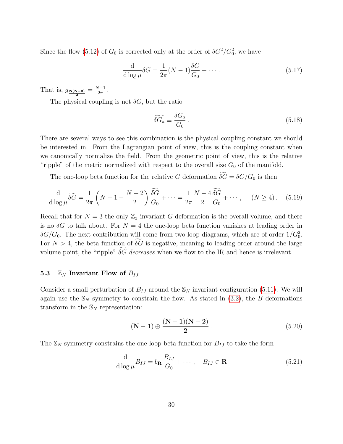Since the flow [\(5.12\)](#page-28-4) of  $G_0$  is corrected only at the order of  $\delta G^2/G_0^2$ , we have

$$
\frac{\mathrm{d}}{\mathrm{d}\log\mu}\delta G = \frac{1}{2\pi}(N-1)\frac{\delta G}{G_0} + \cdots. \tag{5.17}
$$

That is,  $g_{\frac{N(N-3)}{2}} = \frac{N-1}{2\pi}$  $rac{\sqrt{-1}}{2\pi}$ .

The physical coupling is not  $\delta G$ , but the ratio

$$
\widetilde{\delta G_a} \equiv \frac{\delta G_a}{G_0} \,. \tag{5.18}
$$

There are several ways to see this combination is the physical coupling constant we should be interested in. From the Lagrangian point of view, this is the coupling constant when we canonically normalize the field. From the geometric point of view, this is the relative "ripple" of the metric normalized with respect to the overall size  $G_0$  of the manifold.

The one-loop beta function for the relative G deformation  $\widetilde{\delta G} = \delta G/G_0$  is then

$$
\frac{\mathrm{d}}{\mathrm{d}\log\mu}\widetilde{\delta G} = \frac{1}{2\pi}\left(N - 1 - \frac{N+2}{2}\right)\frac{\widetilde{\delta G}}{G_0} + \dots = \frac{1}{2\pi}\frac{N - 4}{2}\frac{\widetilde{\delta G}}{G_0} + \dots, \quad (N \ge 4). \tag{5.19}
$$

Recall that for  $N = 3$  the only  $\mathbb{Z}_3$  invariant G deformation is the overall volume, and there is no  $\delta G$  to talk about. For  $N = 4$  the one-loop beta function vanishes at leading order in  $\delta G/G_0$ . The next contribution will come from two-loop diagrams, which are of order  $1/G_0^2$ . For  $N > 4$ , the beta function of  $\widetilde{\delta G}$  is negative, meaning to leading order around the large volume point, the "ripple"  $\delta \widetilde{G}$  decreases when we flow to the IR and hence is irrelevant.

#### <span id="page-30-0"></span>5.3  $\mathbb{Z}_N$  Invariant Flow of  $B_{IJ}$

Consider a small perturbation of  $B_{IJ}$  around the  $\mathcal{S}_N$  invariant configuration [\(5.11\)](#page-28-3). We will again use the  $\mathbb{S}_N$  symmetry to constrain the flow. As stated in [\(3.2\)](#page-14-5), the B deformations transform in the  $\mathbb{S}_N$  representation:

<span id="page-30-1"></span>
$$
(N-1) \oplus \frac{(N-1)(N-2)}{2}.
$$
 (5.20)

The  $\mathbb{S}_N$  symmetry constrains the one-loop beta function for  $B_{IJ}$  to take the form

$$
\frac{\mathrm{d}}{\mathrm{d}\log\mu}B_{IJ} = b_{\mathbf{R}}\frac{B_{IJ}}{G_0} + \cdots, \quad B_{IJ} \in \mathbf{R}
$$
\n(5.21)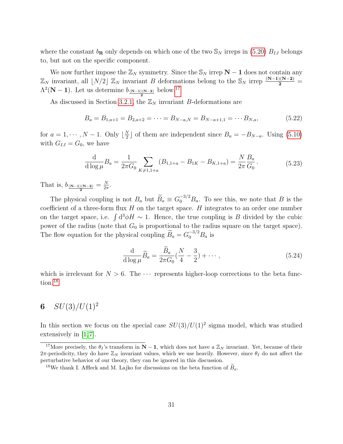where the constant  $b_{\mathbf{R}}$  only depends on which one of the two  $\mathcal{S}_N$  irreps in [\(5.20\)](#page-30-1)  $B_{IJ}$  belongs to, but not on the specific component.

We now further impose the  $\mathbb{Z}_N$  symmetry. Since the  $\mathbb{S}_N$  irrep  $N-1$  does not contain any  $\mathbb{Z}_N$  invariant, all  $\lfloor N/2 \rfloor \mathbb{Z}_N$  invariant B deformations belong to the  $\mathbb{S}_N$  irrep  $\frac{(N-1)(N-2)}{2}$  $\Lambda^2(N-1)$ . Let us determine  $b_{\frac{(N-1)(N-2)}{2}}$  below.<sup>[17](#page-31-1)</sup>

As discussed in Section [3.2.1,](#page-16-0) the  $\mathbb{Z}_N$  invariant B-deformations are

$$
B_a = B_{1,a+1} = B_{2,a+2} = \dots = B_{N-a,N} = B_{N-a+1,1} = \dots B_{N,a},
$$
\n(5.22)

for  $a = 1, \cdots, N-1$ . Only  $\lfloor \frac{N}{2} \rfloor$  $\frac{N}{2}$  of them are independent since  $B_a = -B_{N-a}$ . Using [\(5.10\)](#page-28-5) with  $G_{IJ} = G_0$ , we have

$$
\frac{\mathrm{d}}{\mathrm{d}\log\mu}B_a = \frac{1}{2\pi G_0} \sum_{K \neq 1,1+a} (B_{1,1+a} - B_{1K} - B_{K,1+a}) = \frac{N}{2\pi} \frac{B_a}{G_0}.
$$
\n(5.23)

That is,  $b_{\frac{(N-1)(N-2)}{2}} = \frac{N}{2\pi}$  $\frac{N}{2\pi}$ .

The physical coupling is not  $B_a$  but  $\widetilde{B}_a \equiv G_0^{-3/2} B_a$ . To see this, we note that B is the coefficient of a three-form flux  $H$  on the target space.  $H$  integrates to an order one number on the target space, i.e.  $\int d^3\phi H \sim 1$ . Hence, the true coupling is B divided by the cubic power of the radius (note that  $G_0$  is proportional to the radius square on the target space). The flow equation for the physical coupling  $\widetilde{B}_a = G_0^{-3/2} B_a$  is

$$
\frac{\mathrm{d}}{\mathrm{d}\log\mu}\widetilde{B}_a = \frac{\widetilde{B}_a}{2\pi G_0}(\frac{N}{4} - \frac{3}{2}) + \cdots,\tag{5.24}
$$

which is irrelevant for  $N > 6$ . The  $\cdots$  represents higher-loop corrections to the beta func-tion.<sup>[18](#page-31-2)</sup>

## <span id="page-31-0"></span>6  $SU(3)/U(1)^2$

In this section we focus on the special case  $SU(3)/U(1)^2$  sigma model, which was studied extensively in [\[1,](#page-57-0) [7\]](#page-57-6).

<span id="page-31-1"></span><sup>&</sup>lt;sup>17</sup>More precisely, the  $\theta_I$ 's transform in **N** − **1**, which does not have a  $\mathbb{Z}_N$  invariant. Yet, because of their 2π-periodicity, they do have  $\mathbb{Z}_N$  invariant values, which we use heavily. However, since  $\theta_I$  do not affect the perturbative behavior of our theory, they can be ignored in this discussion.

<span id="page-31-2"></span><sup>&</sup>lt;sup>18</sup>We thank I. Affleck and M. Lajko for discussions on the beta function of  $B_a$ .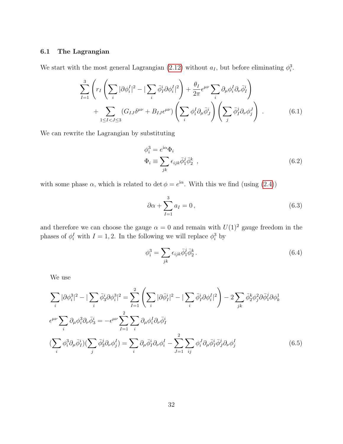#### <span id="page-32-0"></span>6.1 The Lagrangian

We start with the most general Lagrangian [\(2.12\)](#page-11-0) without  $a_I$ , but before eliminating  $\phi_i^3$ .

$$
\sum_{I=1}^{3} \left( r_I \left( \sum_i |\partial \phi_i^I|^2 - |\sum_i \bar{\phi}_I^i \partial \phi_i^I|^2 \right) + \frac{\theta_I}{2\pi} \epsilon^{\mu\nu} \sum_i \partial_\mu \phi_i^I \partial_\nu \bar{\phi}_I^i \right) + \sum_{1 \leq I < J \leq 3} (G_{IJ} \delta^{\mu\nu} + B_{IJ} \epsilon^{\mu\nu}) \left( \sum_i \phi_i^I \partial_\mu \bar{\phi}_J^i \right) \left( \sum_j \bar{\phi}_I^j \partial_\nu \phi_j^J \right) . \tag{6.1}
$$

We can rewrite the Lagrangian by substituting

<span id="page-32-1"></span>
$$
\phi_i^3 = e^{i\alpha} \Phi_i
$$
  

$$
\Phi_i \equiv \sum_{jk} \epsilon_{ijk} \bar{\phi}_1^j \bar{\phi}_2^k ,
$$
 (6.2)

with some phase  $\alpha$ , which is related to det  $\phi = e^{i\alpha}$ . With this we find (using [\(2.4\)](#page-9-1))

$$
\partial \alpha + \sum_{I=1}^{3} a_I = 0, \qquad (6.3)
$$

and therefore we can choose the gauge  $\alpha = 0$  and remain with  $U(1)^2$  gauge freedom in the phases of  $\phi_i^I$  with  $I = 1, 2$ . In the following we will replace  $\phi_i^3$  by

<span id="page-32-2"></span>
$$
\phi_i^3 = \sum_{jk} \epsilon_{ijk} \bar{\phi}_1^j \bar{\phi}_2^k. \tag{6.4}
$$

We use

$$
\sum_{i} |\partial \phi_i^3|^2 - |\sum_{i} \bar{\phi}_3^i \partial \phi_i^3|^2 = \sum_{I=1}^2 \left( \sum_{i} |\partial \bar{\phi}_I^i|^2 - |\sum_{i} \bar{\phi}_I^i \partial \phi_i^I|^2 \right) - 2 \sum_{jk} \bar{\phi}_2^k \phi_j^2 \partial \bar{\phi}_1^j \partial \phi_k^1
$$
  

$$
\epsilon^{\mu\nu} \sum_{i} \partial_\mu \phi_i^3 \partial_\nu \bar{\phi}_3^i = -\epsilon^{\mu\nu} \sum_{I=1}^2 \sum_{i} \partial_\mu \phi_i^I \partial_\nu \bar{\phi}_I^i
$$
  

$$
(\sum_{i} \phi_i^3 \partial_\mu \bar{\phi}_I^i)(\sum_{j} \bar{\phi}_3^j \partial_\nu \phi_j^I) = \sum_{i} \partial_\mu \bar{\phi}_I^i \partial_\nu \phi_i^I - \sum_{J=1}^2 \sum_{ij} \phi_i^J \partial_\mu \bar{\phi}_I^i \bar{\phi}_J^j \partial_\nu \phi_j^I
$$
 (6.5)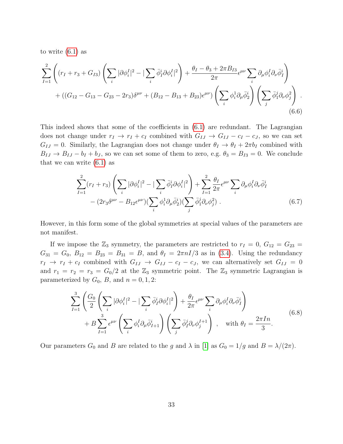to write [\(6.1\)](#page-32-1) as

$$
\sum_{I=1}^{2} \left( (r_I + r_3 + G_{I3}) \left( \sum_i |\partial \phi_i^I|^2 - |\sum_i \bar{\phi}_I^i \partial \phi_i^I|^2 \right) + \frac{\theta_I - \theta_3 + 2\pi B_{I3}}{2\pi} \epsilon^{\mu\nu} \sum_i \partial_\mu \phi_i^I \partial_\nu \bar{\phi}_I^i \right) + ((G_{12} - G_{13} - G_{23} - 2r_3) \delta^{\mu\nu} + (B_{12} - B_{13} + B_{23}) \epsilon^{\mu\nu}) \left( \sum_i \phi_i^1 \partial_\mu \bar{\phi}_2^i \right) \left( \sum_j \bar{\phi}_1^j \partial_\nu \phi_j^2 \right) .
$$
\n(6.6)

This indeed shows that some of the coefficients in [\(6.1\)](#page-32-1) are redundant. The Lagrangian does not change under  $r_I \rightarrow r_I + c_I$  combined with  $G_{IJ} \rightarrow G_{IJ} - c_I - c_J$ , so we can set  $G_{IJ} = 0$ . Similarly, the Lagrangian does not change under  $\theta_I \rightarrow \theta_I + 2\pi b_I$  combined with  $B_{IJ} \rightarrow B_{IJ} - b_I + b_J$ , so we can set some of them to zero, e.g.  $\theta_3 = B_{I3} = 0$ . We conclude that we can write  $(6.1)$  as

<span id="page-33-0"></span>
$$
\sum_{I=1}^{2} (r_I + r_3) \left( \sum_i |\partial \phi_i^I|^2 - \sum_i \bar{\phi}_I^i \partial \phi_i^I|^2 \right) + \sum_{I=1}^{2} \frac{\theta_I}{2\pi} \epsilon^{\mu\nu} \sum_i \partial_\mu \phi_i^I \partial_\nu \bar{\phi}_I^i
$$

$$
- (2r_3 \delta^{\mu\nu} - B_{12} \epsilon^{\mu\nu}) (\sum_i \phi_i^1 \partial_\mu \bar{\phi}_2^i) (\sum_j \bar{\phi}_1^j \partial_\nu \phi_j^2) . \tag{6.7}
$$

However, in this form some of the global symmetries at special values of the parameters are not manifest.

If we impose the  $\mathbb{Z}_3$  symmetry, the parameters are restricted to  $r_I = 0$ ,  $G_{12} = G_{23}$  $G_{31} = G_0, B_{12} = B_{23} = B_{31} = B$ , and  $\theta_I = 2\pi nI/3$  as in [\(3.4\)](#page-14-2). Using the redundancy  $r_I \rightarrow r_I + c_I$  combined with  $G_{IJ} \rightarrow G_{IJ} - c_I - c_J$ , we can alternatively set  $G_{IJ} = 0$ and  $r_1 = r_2 = r_3 = G_0/2$  at the  $\mathbb{Z}_3$  symmetric point. The  $\mathbb{Z}_3$  symmetric Lagrangian is parameterized by  $G_0$ , B, and  $n = 0, 1, 2$ :

$$
\sum_{I=1}^{3} \left( \frac{G_0}{2} \left( \sum_i |\partial \phi_i^I|^2 - |\sum_i \bar{\phi}_I^i \partial \phi_i^I|^2 \right) + \frac{\theta_I}{2\pi} \epsilon^{\mu\nu} \sum_i \partial_\mu \phi_i^I \partial_\nu \bar{\phi}_I^i \right) + B \sum_{I=1}^{3} \epsilon^{\mu\nu} \left( \sum_i \phi_i^I \partial_\mu \bar{\phi}_{I+1}^i \right) \left( \sum_j \bar{\phi}_I^j \partial_\nu \phi_j^{I+1} \right) , \quad \text{with } \theta_I = \frac{2\pi I n}{3}.
$$
\n
$$
(6.8)
$$

Our parameters  $G_0$  and B are related to the g and  $\lambda$  in [\[1\]](#page-57-0) as  $G_0 = 1/g$  and  $B = \lambda/(2\pi)$ .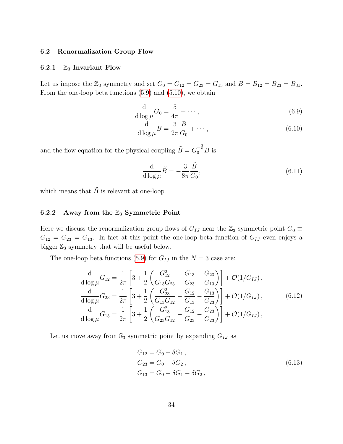#### <span id="page-34-0"></span>6.2 Renormalization Group Flow

#### <span id="page-34-1"></span>6.2.1  $\mathbb{Z}_3$  Invariant Flow

Let us impose the  $\mathbb{Z}_3$  symmetry and set  $G_0 = G_{12} = G_{23} = G_{13}$  and  $B = B_{12} = B_{23} = B_{31}$ . From the one-loop beta functions [\(5.9\)](#page-28-1) and [\(5.10\)](#page-28-5), we obtain

$$
\frac{\mathrm{d}}{\mathrm{d}\log\mu}G_0 = \frac{5}{4\pi} + \cdots,\tag{6.9}
$$

$$
\frac{\mathrm{d}}{\mathrm{d}\log\mu}B = \frac{3}{2\pi}\frac{B}{G_0} + \cdots,\tag{6.10}
$$

and the flow equation for the physical coupling  $\tilde{B} = G_0^{-\frac{3}{2}}B$  is

$$
\frac{\mathrm{d}}{\mathrm{d}\log\mu}\widetilde{B} = -\frac{3}{8\pi}\frac{\widetilde{B}}{G_0},\tag{6.11}
$$

which means that  $\widetilde{B}$  is relevant at one-loop.

#### <span id="page-34-2"></span>6.2.2 Away from the  $\mathbb{Z}_3$  Symmetric Point

Here we discuss the renormalization group flows of  $G_{IJ}$  near the  $\mathbb{Z}_3$  symmetric point  $G_0 \equiv$  $G_{12} = G_{23} = G_{13}$ . In fact at this point the one-loop beta function of  $G_{IJ}$  even enjoys a bigger  $\mathbb{S}_3$  symmetry that will be useful below.

The one-loop beta functions [\(5.9\)](#page-28-1) for  $G_{IJ}$  in the  $N = 3$  case are:

$$
\frac{\mathrm{d}}{\mathrm{d}\log\mu}G_{12} = \frac{1}{2\pi} \left[ 3 + \frac{1}{2} \left( \frac{G_{12}^2}{G_{13}G_{23}} - \frac{G_{13}}{G_{23}} - \frac{G_{23}}{G_{13}} \right) \right] + \mathcal{O}(1/G_{IJ}),
$$
\n
$$
\frac{\mathrm{d}}{\mathrm{d}\log\mu}G_{23} = \frac{1}{2\pi} \left[ 3 + \frac{1}{2} \left( \frac{G_{23}^2}{G_{13}G_{12}} - \frac{G_{12}}{G_{13}} - \frac{G_{13}}{G_{23}} \right) \right] + \mathcal{O}(1/G_{IJ}),
$$
\n
$$
\frac{\mathrm{d}}{\mathrm{d}\log\mu}G_{13} = \frac{1}{2\pi} \left[ 3 + \frac{1}{2} \left( \frac{G_{13}^2}{G_{23}G_{12}} - \frac{G_{12}}{G_{23}} - \frac{G_{23}}{G_{23}} \right) \right] + \mathcal{O}(1/G_{IJ}),
$$
\n(6.12)

Let us move away from  $\mathbb{S}_3$  symmetric point by expanding  $G_{IJ}$  as

<span id="page-34-3"></span>
$$
G_{12} = G_0 + \delta G_1,
$$
  
\n
$$
G_{23} = G_0 + \delta G_2,
$$
  
\n
$$
G_{13} = G_0 - \delta G_1 - \delta G_2,
$$
\n(6.13)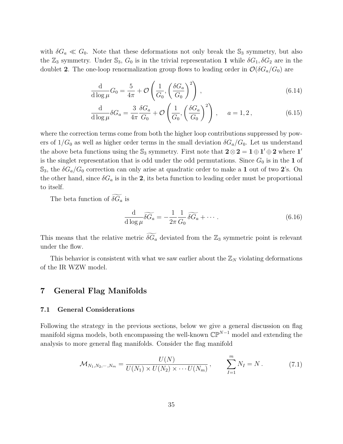with  $\delta G_a \ll G_0$ . Note that these deformations not only break the  $\mathbb{S}_3$  symmetry, but also the  $\mathbb{Z}_3$  symmetry. Under  $\mathbb{S}_3$ ,  $G_0$  is in the trivial representation 1 while  $\delta G_1$ ,  $\delta G_2$  are in the doublet 2. The one-loop renormalization group flows to leading order in  $\mathcal{O}(\delta G_a/G_0)$  are

$$
\frac{\mathrm{d}}{\mathrm{d}\log\mu}G_0 = \frac{5}{4\pi} + \mathcal{O}\left(\frac{1}{G_0}, \left(\frac{\delta G_a}{G_0}\right)^2\right),\tag{6.14}
$$

$$
\frac{\mathrm{d}}{\mathrm{d}\log\mu} \delta G_a = \frac{3}{4\pi} \frac{\delta G_a}{G_0} + \mathcal{O}\left(\frac{1}{G_0}, \left(\frac{\delta G_a}{G_0}\right)^2\right), \quad a = 1, 2, \tag{6.15}
$$

where the correction terms come from both the higher loop contributions suppressed by powers of  $1/G_0$  as well as higher order terms in the small deviation  $\delta G_a/G_0$ . Let us understand the above beta functions using the  $\mathbb{S}_3$  symmetry. First note that  $\mathbf{2} \otimes \mathbf{2} = \mathbf{1} \oplus \mathbf{1}' \oplus \mathbf{2}$  where  $\mathbf{1}'$ is the singlet representation that is odd under the odd permutations. Since  $G_0$  is in the 1 of  $\mathbb{S}_3$ , the  $\delta G_a/G_0$  correction can only arise at quadratic order to make a 1 out of two 2's. On the other hand, since  $\delta G_a$  is in the 2, its beta function to leading order must be proportional to itself.

The beta function of  $\widetilde{\delta G}_a$  is

$$
\frac{\mathrm{d}}{\mathrm{d}\log\mu}\widetilde{\delta G_a} = -\frac{1}{2\pi}\frac{1}{G_0}\widetilde{\delta G_a} + \cdots. \tag{6.16}
$$

This means that the relative metric  $\widetilde{\delta G}_a$  deviated from the  $\mathbb{Z}_3$  symmetric point is relevant under the flow.

This behavior is consistent with what we saw earlier about the  $\mathbb{Z}_N$  violating deformations of the IR WZW model.

## <span id="page-35-0"></span>7 General Flag Manifolds

#### <span id="page-35-1"></span>7.1 General Considerations

Following the strategy in the previous sections, below we give a general discussion on flag manifold sigma models, both encompassing the well-known  $\mathbb{CP}^{N-1}$  model and extending the analysis to more general flag manifolds. Consider the flag manifold

<span id="page-35-2"></span>
$$
\mathcal{M}_{N_1, N_2, \cdots, N_m} = \frac{U(N)}{U(N_1) \times U(N_2) \times \cdots U(N_m)}, \qquad \sum_{I=1}^m N_I = N. \tag{7.1}
$$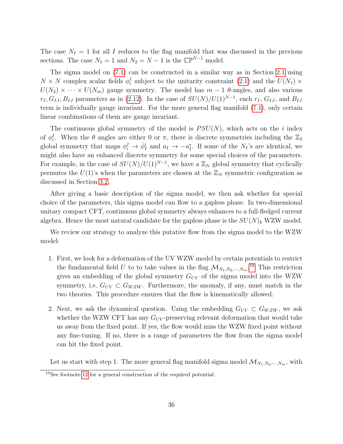The case  $N_I = 1$  for all I reduces to the flag manifold that was discussed in the previous sections. The case  $N_1 = 1$  and  $N_2 = N - 1$  is the  $\mathbb{CP}^{N-1}$  model.

The sigma model on [\(7.1\)](#page-35-2) can be constructed in a similar way as in Section [2.1](#page-8-1) using  $N \times N$  complex scalar fields  $\phi_i^I$  subject to the unitarity constraint [\(2.1\)](#page-8-2) and the  $U(N_1) \times$  $U(N_2) \times \cdots \times U(N_m)$  gauge symmetry. The model has  $m-1$  θ-angles, and also various  $r_I, G_{IJ}, B_{IJ}$  parameters as in [\(2.12\)](#page-11-0). In the case of  $SU(N)/U(1)^{N-1}$ , each  $r_I, G_{IJ}$ , and  $B_{IJ}$ term is individually gauge invariant. For the more general flag manifold [\(7.1\)](#page-35-2), only certain linear combinations of them are gauge invariant.

The continuous global symmetry of the model is  $PSU(N)$ , which acts on the i index of  $\phi_i^I$ . When the  $\theta$  angles are either 0 or  $\pi$ , there is discrete symmetries including the  $\mathbb{Z}_2$ global symmetry that maps  $\phi_i^I \to \bar{\phi}_I^i$  and  $a_I \to -a_I^*$ . If some of the  $N_I$ 's are identical, we might also have an enhanced discrete symmetry for some special choices of the parameters. For example, in the case of  $SU(N)/U(1)^{N-1}$ , we have a  $\mathbb{Z}_N$  global symmetry that cyclically permutes the  $U(1)$ 's when the parameters are chosen at the  $\mathbb{Z}_N$  symmetric configuration as discussed in Section [3.2.](#page-14-0)

After giving a basic description of the sigma model, we then ask whether for special choice of the parameters, this sigma model can flow to a gapless phase. In two-dimensional unitary compact CFT, continuous global symmetry always enhances to a full-fledged current algebra. Hence the most natural candidate for the gapless phase is the  $SU(N)_k$  WZW model.

We review our strategy to analyze this putative flow from the sigma model to the WZW model:

- 1. First, we look for a deformation of the UV WZW model by certain potentials to restrict the fundamental field U to to take values in the flag  $\mathcal{M}_{N_1,N_2,\cdots,N_m}$ <sup>[19](#page-36-0)</sup> This restriction gives an embedding of the global symmetry  $G_{UV}$  of the sigma model into the WZW symmetry, i.e.  $G_{UV} \subset G_{WZW}$ . Furthermore, the anomaly, if any, must match in the two theories. This procedure ensures that the flow is kinematically allowed.
- 2. Next, we ask the dynamical question. Using the embedding  $G_{UV} \subset G_{WZW}$ , we ask whether the WZW CFT has any  $G_{UV}$ -preserving relevant deformation that would take us away from the fixed point. If yes, the flow would miss the WZW fixed point without any fine-tuning. If no, there is a range of parameters the flow from the sigma model can hit the fixed point.

Let us start with step 1. The more general flag manifold sigma model  $\mathcal{M}_{N_1,N_2,\cdots,N_m}$ , with

<span id="page-36-0"></span><sup>19</sup>See footnote [12](#page-21-0) for a general construction of the required potential.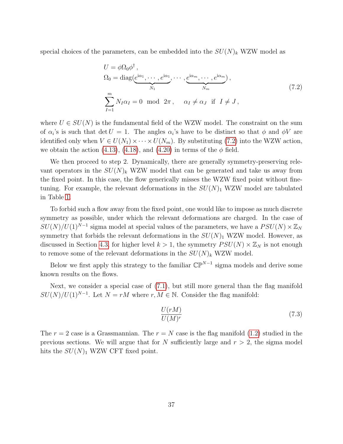special choices of the parameters, can be embedded into the  $SU(N)_k$  WZW model as

<span id="page-37-0"></span>
$$
U = \phi \Omega_0 \phi^{\dagger},
$$
  
\n
$$
\Omega_0 = \text{diag}(\underbrace{e^{i\alpha_1}, \cdots, e^{i\alpha_1}}_{N_1}, \cdots, \underbrace{e^{i\alpha_m}, \cdots, e^{i\alpha_m}}_{N_m}),
$$
  
\n
$$
\sum_{I=1}^m N_I \alpha_I = 0 \mod 2\pi, \quad \alpha_I \neq \alpha_J \text{ if } I \neq J,
$$
\n(7.2)

where  $U \in SU(N)$  is the fundamental field of the WZW model. The constraint on the sum of  $\alpha_i$ 's is such that det  $U = 1$ . The angles  $\alpha_i$ 's have to be distinct so that  $\phi$  and  $\phi V$  are identified only when  $V \in U(N_1) \times \cdots \times U(N_m)$ . By substituting [\(7.2\)](#page-37-0) into the WZW action, we obtain the action [\(4.13\)](#page-22-1), [\(4.18\)](#page-23-1), and [\(4.20\)](#page-24-2) in terms of the  $\phi$  field.

We then proceed to step 2. Dynamically, there are generally symmetry-preserving relevant operators in the  $SU(N)_k$  WZW model that can be generated and take us away from the fixed point. In this case, the flow generically misses the WZW fixed point without finetuning. For example, the relevant deformations in the  $SU(N)_1$  WZW model are tabulated in Table [1.](#page-26-2)

To forbid such a flow away from the fixed point, one would like to impose as much discrete symmetry as possible, under which the relevant deformations are charged. In the case of  $SU(N)/U(1)^{N-1}$  sigma model at special values of the parameters, we have a  $PSU(N) \times \mathbb{Z}_N$ symmetry that forbids the relevant deformations in the  $SU(N)_1$  WZW model. However, as discussed in Section [4.3,](#page-24-0) for higher level  $k > 1$ , the symmetry  $PSU(N) \times \mathbb{Z}_N$  is not enough to remove some of the relevant deformations in the  $SU(N)_k$  WZW model.

Below we first apply this strategy to the familiar  $\mathbb{CP}^{N-1}$  sigma models and derive some known results on the flows.

Next, we consider a special case of [\(7.1\)](#page-35-2), but still more general than the flag manifold  $SU(N)/U(1)^{N-1}$ . Let  $N = rM$  where  $r, M \in \mathbb{N}$ . Consider the flag manifold:

<span id="page-37-1"></span>
$$
\frac{U(rM)}{U(M)^r} \tag{7.3}
$$

The  $r = 2$  case is a Grassmannian. The  $r = N$  case is the flag manifold [\(1.2\)](#page-3-0) studied in the previous sections. We will argue that for N sufficiently large and  $r > 2$ , the sigma model hits the  $SU(N)_1$  WZW CFT fixed point.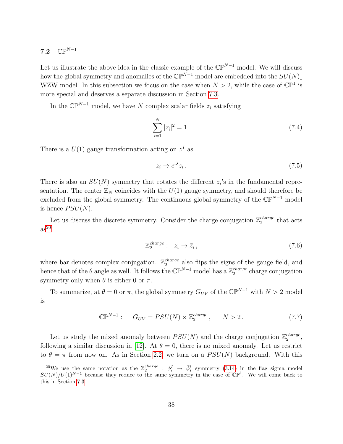## <span id="page-38-0"></span>7.2  $\mathbb{CP}^{N-1}$

Let us illustrate the above idea in the classic example of the  $\mathbb{CP}^{N-1}$  model. We will discuss how the global symmetry and anomalies of the  $\mathbb{CP}^{\tilde{N}-1}$  model are embedded into the  $SU(N)_1$ WZW model. In this subsection we focus on the case when  $N > 2$ , while the case of  $\mathbb{CP}^1$  is more special and deserves a separate discussion in Section [7.3.](#page-41-0)

In the  $\mathbb{CP}^{N-1}$  model, we have N complex scalar fields  $z_i$  satisfying

$$
\sum_{i=1}^{N} |z_i|^2 = 1.
$$
\n(7.4)

There is a  $U(1)$  gauge transformation acting on  $z<sup>I</sup>$  as

$$
z_i \to e^{i\lambda} z_i \,. \tag{7.5}
$$

There is also an  $SU(N)$  symmetry that rotates the different  $z<sub>i</sub>$ 's in the fundamental representation. The center  $\mathbb{Z}_N$  coincides with the  $U(1)$  gauge symmetry, and should therefore be excluded from the global symmetry. The continuous global symmetry of the  $\mathbb{CP}^{N-1}$  model is hence  $PSU(N)$ .

Let us discuss the discrete symmetry. Consider the charge conjugation  $\mathbb{Z}_2^{charge}$  $_2^{charge}$  that acts  $as^{20}$  $as^{20}$  $as^{20}$ 

<span id="page-38-2"></span>
$$
\mathbb{Z}_2^{charge}: \quad z_i \to \bar{z}_i \,, \tag{7.6}
$$

where bar denotes complex conjugation.  $\mathbb{Z}_2^{charge}$  $_2^{charge}$  also flips the signs of the gauge field, and hence that of the  $\theta$  angle as well. It follows the  $\mathbb{CP}^{N-1}$  model has a  $\mathbb{Z}_2^{charge}$  $_2^{charge}$  charge conjugation symmetry only when  $\theta$  is either 0 or  $\pi$ .

To summarize, at  $\theta = 0$  or  $\pi$ , the global symmetry  $G_{UV}$  of the  $\mathbb{CP}^{N-1}$  with  $N > 2$  model is

$$
\mathbb{CP}^{N-1}: \quad G_{UV} = PSU(N) \rtimes \mathbb{Z}_2^{charge}, \quad N > 2. \tag{7.7}
$$

Let us study the mixed anomaly between  $PSU(N)$  and the charge conjugation  $\mathbb{Z}_2^{charge}$ 2 , following a similar discussion in [\[12\]](#page-58-2). At  $\theta = 0$ , there is no mixed anomaly. Let us restrict to  $\theta = \pi$  from now on. As in Section [2.2,](#page-12-0) we turn on a  $PSU(N)$  background. With this

<span id="page-38-1"></span><sup>&</sup>lt;sup>20</sup>We use the same notation as the  $\mathbb{Z}_2^{charge}$  :  $\phi_i^I \to \bar{\phi}_I^i$  symmetry [\(3.14\)](#page-18-0) in the flag sigma model  $SU(N)/U(1)^{N-1}$  because they reduce to the same symmetry in the case of  $\mathbb{CP}^1$ . We will come back to this in Section [7.3.](#page-41-0)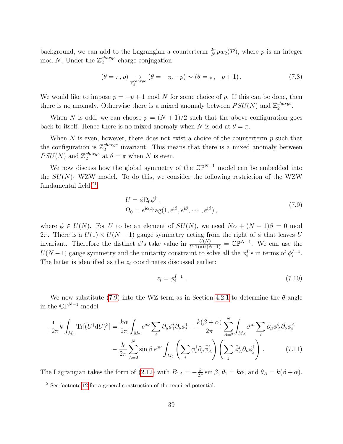background, we can add to the Lagrangian a counterterm  $\frac{2\pi}{N}pw_2(\mathcal{P})$ , where p is an integer mod N. Under the  $\mathbb{Z}_2^{charge}$  $_2^{charge}$  charge conjugation

$$
(\theta = \pi, p) \underset{\mathbb{Z}_2^{charge}}{\rightarrow} (\theta = -\pi, -p) \sim (\theta = \pi, -p+1).
$$
 (7.8)

We would like to impose  $p = -p + 1 \mod N$  for some choice of p. If this can be done, then there is no anomaly. Otherwise there is a mixed anomaly between  $PSU(N)$  and  $\mathbb{Z}_2^{charge}$ cnarge<br>2

When N is odd, we can choose  $p = (N + 1)/2$  such that the above configuration goes back to itself. Hence there is no mixed anomaly when N is odd at  $\theta = \pi$ .

When  $N$  is even, however, there does not exist a choice of the counterterm  $p$  such that the configuration is  $\mathbb{Z}_2^{charge}$  $\frac{charge}{2}$  invariant. This means that there is a mixed anomaly between  $PSU(N)$  and  $\mathbb{Z}_2^{charge}$  $_2^{charge}$  at  $\theta = \pi$  when N is even.

We now discuss how the global symmetry of the  $\mathbb{CP}^{N-1}$  model can be embedded into the  $SU(N)_1$  WZW model. To do this, we consider the following restriction of the WZW fundamental field:<sup>[21](#page-39-0)</sup>

$$
U = \phi \Omega_0 \phi^{\dagger} ,
$$
  
\n
$$
\Omega_0 = e^{i\alpha} \text{diag}(1, e^{i\beta}, e^{i\beta}, \cdots, e^{i\beta}),
$$
\n(7.9)

where  $\phi \in U(N)$ . For U to be an element of  $SU(N)$ , we need  $N\alpha + (N-1)\beta = 0$  mod 2π. There is a  $U(1) \times U(N-1)$  gauge symmetry acting from the right of  $\phi$  that leaves U invariant. Therefore the distinct  $\phi$ 's take value in  $\frac{U(N)}{U(1)\times U(N-1)} = \mathbb{CP}^{N-1}$ . We can use the  $U(N-1)$  gauge symmetry and the unitarity constraint to solve all the  $\phi_i^I$ 's in terms of  $\phi_i^{I=1}$ . The latter is identified as the  $z_i$  coordinates discussed earlier:

<span id="page-39-2"></span><span id="page-39-1"></span>
$$
z_i = \phi_i^{I=1} \tag{7.10}
$$

We now substitute [\(7.9\)](#page-39-1) into the WZ term as in Section [4.2.1](#page-22-0) to determine the  $\theta$ -angle in the  $\mathbb{CP}^{N-1}$  model

$$
\frac{i}{12\pi}k\int_{M_3}\text{Tr}[(U^\dagger\text{d}U)^3] = \frac{k\alpha}{2\pi}\int_{M_2}\epsilon^{\mu\nu}\sum_i\partial_\mu\bar{\phi}_1^i\partial_\nu\phi_i^1 + \frac{k(\beta+\alpha)}{2\pi}\sum_{A=2}^N\int_{M_2}\epsilon^{\mu\nu}\sum_i\partial_\mu\bar{\phi}_A^i\partial_\nu\phi_i^A
$$

$$
-\frac{k}{2\pi}\sum_{A=2}^N\sin\beta\,\epsilon^{\mu\nu}\int_{M_2}\left(\sum_i\phi_i^1\partial_\mu\bar{\phi}_A^i\right)\left(\sum_j\bar{\phi}_A^j\partial_\nu\phi_j^1\right). \tag{7.11}
$$

The Lagrangian takes the form of  $(2.12)$  with  $B_{1A} = -\frac{k}{2i}$  $\frac{k}{2\pi} \sin \beta$ ,  $\theta_1 = k\alpha$ , and  $\theta_A = k(\beta + \alpha)$ .

<span id="page-39-0"></span> $21$ See footnote [12](#page-21-0) for a general construction of the required potential.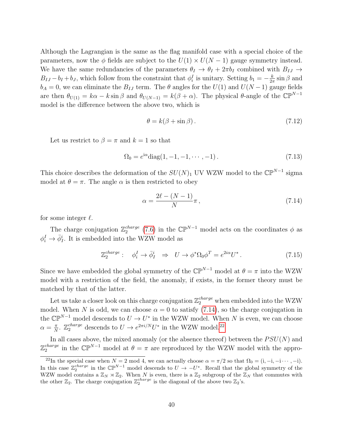Although the Lagrangian is the same as the flag manifold case with a special choice of the parameters, now the  $\phi$  fields are subject to the  $U(1) \times U(N-1)$  gauge symmetry instead. We have the same redundancies of the parameters  $\theta_I \to \theta_I + 2\pi b_I$  combined with  $B_{IJ} \to$  $B_{IJ} - b_I + b_J$ , which follow from the constraint that  $\phi_i^I$  is unitary. Setting  $b_1 = -\frac{k}{2i}$  $\frac{k}{2\pi}$  sin  $\beta$  and  $b_A = 0$ , we can eliminate the  $B_{IJ}$  term. The  $\theta$  angles for the  $U(1)$  and  $U(N-1)$  gauge fields are then  $\theta_{U(1)} = k\alpha - k \sin \beta$  and  $\theta_{U(N-1)} = k(\beta + \alpha)$ . The physical  $\theta$ -angle of the  $\mathbb{CP}^{N-1}$ model is the difference between the above two, which is

$$
\theta = k(\beta + \sin \beta). \tag{7.12}
$$

Let us restrict to  $\beta = \pi$  and  $k = 1$  so that

$$
\Omega_0 = e^{i\alpha} \text{diag}(1, -1, -1, \cdots, -1).
$$
\n(7.13)

This choice describes the deformation of the  $SU(N)_1$  UV WZW model to the  $\mathbb{CP}^{N-1}$  sigma model at  $\theta = \pi$ . The angle  $\alpha$  is then restricted to obey

<span id="page-40-0"></span>
$$
\alpha = \frac{2\ell - (N-1)}{N}\pi\,,\tag{7.14}
$$

for some integer  $\ell$ .

The charge conjugation  $\mathbb{Z}_2^{charge}$  $_2^{charge}$  [\(7.6\)](#page-38-2) in the  $\mathbb{CP}^{N-1}$  model acts on the coordinates  $\phi$  as  $\phi_i^I \rightarrow \bar{\phi}_I^i$ . It is embedded into the WZW model as

$$
\mathbb{Z}_2^{charge}: \quad \phi_i^I \to \bar{\phi}_I^i \quad \Rightarrow \quad U \to \phi^* \Omega_0 \phi^T = e^{2i\alpha} U^* \,. \tag{7.15}
$$

Since we have embedded the global symmetry of the  $\mathbb{CP}^{N-1}$  model at  $\theta = \pi$  into the WZW model with a restriction of the field, the anomaly, if exists, in the former theory must be matched by that of the latter.

Let us take a closer look on this charge conjugation  $\mathbb{Z}_2^{charge}$  when embedded into the WZW model. When N is odd, we can choose  $\alpha = 0$  to satisfy [\(7.14\)](#page-40-0), so the charge conjugation in the  $\mathbb{CP}^{N-1}$  model descends to  $U \to U^*$  in the WZW model. When N is even, we can choose  $\alpha = \frac{\pi}{N}$  $\frac{\pi}{N}$ .  $\mathbb{Z}_2^{charge}$  descends to  $U \to e^{2\pi i/N} U^*$  in the WZW model.<sup>[22](#page-40-1)</sup>

In all cases above, the mixed anomaly (or the absence thereof) between the  $PSU(N)$  and  $\mathbb{Z}_2^{charge}$ <sup>*charge*</sup> in the  $\mathbb{CP}^{N-1}$  model at  $\theta = \pi$  are reproduced by the WZW model with the appro-

<span id="page-40-1"></span><sup>&</sup>lt;sup>22</sup>In the special case when  $N = 2 \mod 4$ , we can actually choose  $\alpha = \pi/2$  so that  $\Omega_0 = (i, -i, -i \cdots, -i)$ . In this case  $\mathbb{Z}_2^{charge}$  in the  $\mathbb{CP}^{N-1}$  model descends to  $U \to -U^*$ . Recall that the global symmetry of the WZW model contains a  $\mathbb{Z}_N \rtimes \mathbb{Z}_2$ . When N is even, there is a  $\mathbb{Z}_2$  subgroup of the  $\mathbb{Z}_N$  that commutes with the other  $\mathbb{Z}_2$ . The charge conjugation  $\mathbb{Z}_2^{charge}$  is the diagonal of the above two  $\mathbb{Z}_2$ 's.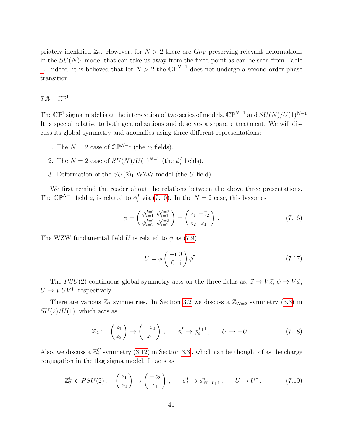priately identified  $\mathbb{Z}_2$ . However, for  $N > 2$  there are  $G_{UV}$ -preserving relevant deformations in the  $SU(N)_1$  model that can take us away from the fixed point as can be seen from Table [1.](#page-26-2) Indeed, it is believed that for  $N > 2$  the  $\mathbb{CP}^{N-1}$  does not undergo a second order phase transition.

### <span id="page-41-0"></span>7.3  $\mathbb{CP}^1$

The  $\mathbb{CP}^1$  sigma model is at the intersection of two series of models,  $\mathbb{CP}^{N-1}$  and  $SU(N)/U(1)^{N-1}$ . It is special relative to both generalizations and deserves a separate treatment. We will discuss its global symmetry and anomalies using three different representations:

- 1. The  $N = 2$  case of  $\mathbb{CP}^{N-1}$  (the  $z_i$  fields).
- 2. The  $N = 2$  case of  $SU(N)/U(1)^{N-1}$  (the  $\phi_i^I$  fields).
- 3. Deformation of the  $SU(2)_1$  WZW model (the U field).

We first remind the reader about the relations between the above three presentations. The  $\mathbb{CP}^{N-1}$  field  $z_i$  is related to  $\phi_i^I$  via [\(7.10\)](#page-39-2). In the  $N=2$  case, this becomes

$$
\phi = \begin{pmatrix} \phi_{i=1}^{I=1} & \phi_{i=1}^{I=2} \\ \phi_{i=2}^{I=1} & \phi_{i=2}^{I=2} \end{pmatrix} = \begin{pmatrix} z_1 & -\bar{z}_2 \\ z_2 & \bar{z}_1 \end{pmatrix} . \tag{7.16}
$$

The WZW fundamental field U is related to  $\phi$  as [\(7.9\)](#page-39-1)

<span id="page-41-2"></span><span id="page-41-1"></span>
$$
U = \phi \begin{pmatrix} -\mathrm{i} \ 0 \\ 0 \ \mathrm{i} \end{pmatrix} \phi^{\dagger} \,. \tag{7.17}
$$

The PSU(2) continuous global symmetry acts on the three fields as,  $\vec{z} \to V \vec{z}$ ,  $\phi \to V \phi$ ,  $U \to VUV^{\dagger}$ , respectively.

There are various  $\mathbb{Z}_2$  symmetries. In Section [3.2](#page-14-0) we discuss a  $\mathbb{Z}_{N=2}$  symmetry [\(3.3\)](#page-14-3) in  $SU(2)/U(1)$ , which acts as

$$
\mathbb{Z}_2: \quad \begin{pmatrix} z_1 \\ z_2 \end{pmatrix} \to \begin{pmatrix} -\bar{z}_2 \\ \bar{z}_1 \end{pmatrix}, \qquad \phi_i^I \to \phi_i^{I+1}, \qquad U \to -U. \tag{7.18}
$$

Also, we discuss a  $\mathbb{Z}_2^C$  symmetry [\(3.12\)](#page-17-3) in Section [3.3](#page-17-0) , which can be thought of as the charge conjugation in the flag sigma model. It acts as

$$
\mathbb{Z}_2^C \in PSU(2): \quad \begin{pmatrix} z_1 \\ z_2 \end{pmatrix} \to \begin{pmatrix} -z_2 \\ z_1 \end{pmatrix}, \qquad \phi_i^I \to \bar{\phi}_{N-I+1}^i, \qquad U \to U^* \,. \tag{7.19}
$$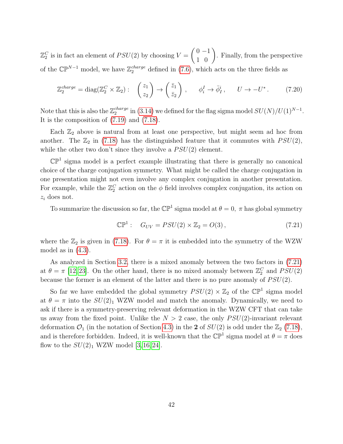$\mathbb{Z}_2^C$  is in fact an element of  $PSU(2)$  by choosing  $V =$  $\binom{0-1}{1\ 0}$ . Finally, from the perspective of the  $\mathbb{CP}^{N-1}$  model, we have  $\mathbb{Z}_2^{charge}$  defined in [\(7.6\)](#page-38-2), which acts on the three fields as

$$
\mathbb{Z}_2^{charge} = \text{diag}(\mathbb{Z}_2^C \times \mathbb{Z}_2): \begin{pmatrix} z_1 \\ z_2 \end{pmatrix} \to \begin{pmatrix} \bar{z}_1 \\ \bar{z}_2 \end{pmatrix}, \quad \phi_i^I \to \bar{\phi}_I^i, \quad U \to -U^*.
$$
 (7.20)

Note that this is also the  $\mathbb{Z}_2^{charge}$  $_2^{charge}$  in [\(3.14\)](#page-18-0) we defined for the flag sigma model  $SU(N)/U(1)^{N-1}$ . It is the composition of [\(7.19\)](#page-41-1) and [\(7.18\)](#page-41-2).

Each  $\mathbb{Z}_2$  above is natural from at least one perspective, but might seem ad hoc from another. The  $\mathbb{Z}_2$  in [\(7.18\)](#page-41-2) has the distinguished feature that it commutes with  $PSU(2)$ , while the other two don't since they involve a  $PSU(2)$  element.

 $\mathbb{CP}^1$  sigma model is a perfect example illustrating that there is generally no canonical choice of the charge conjugation symmetry. What might be called the charge conjugation in one presentation might not even involve any complex conjugation in another presentation. For example, while the  $\mathbb{Z}_2^C$  action on the  $\phi$  field involves complex conjugation, its action on  $z_i$  does not.

To summarize the discussion so far, the  $\mathbb{CP}^1$  sigma model at  $\theta = 0, \pi$  has global symmetry

<span id="page-42-0"></span>
$$
\mathbb{CP}^1: \quad G_{UV} = PSU(2) \times \mathbb{Z}_2 = O(3), \tag{7.21}
$$

where the  $\mathbb{Z}_2$  is given in [\(7.18\)](#page-41-2). For  $\theta = \pi$  it is embedded into the symmetry of the WZW model as in  $(4.3)$ .

As analyzed in Section [3.2,](#page-14-0) there is a mixed anomaly between the two factors in [\(7.21\)](#page-42-0) at  $\theta = \pi$  [\[12,](#page-58-2) [23\]](#page-58-12). On the other hand, there is no mixed anomaly between  $\mathbb{Z}_2^C$  and  $PSU(2)$ because the former is an element of the latter and there is no pure anomaly of  $PSU(2)$ .

So far we have embedded the global symmetry  $PSU(2) \times \mathbb{Z}_2$  of the  $\mathbb{CP}^1$  sigma model at  $\theta = \pi$  into the  $SU(2)_1$  WZW model and match the anomaly. Dynamically, we need to ask if there is a symmetry-preserving relevant deformation in the WZW CFT that can take us away from the fixed point. Unlike the  $N > 2$  case, the only  $PSU(2)$ -invariant relevant deformation  $\mathcal{O}_1$  (in the notation of Section [4.3\)](#page-24-0) in the 2 of  $SU(2)$  is odd under the  $\mathbb{Z}_2$  [\(7.18\)](#page-41-2), and is therefore forbidden. Indeed, it is well-known that the  $\mathbb{CP}^1$  sigma model at  $\theta = \pi$  does flow to the  $SU(2)_1$  WZW model [\[3,](#page-57-2) [16,](#page-58-6) [24\]](#page-59-0).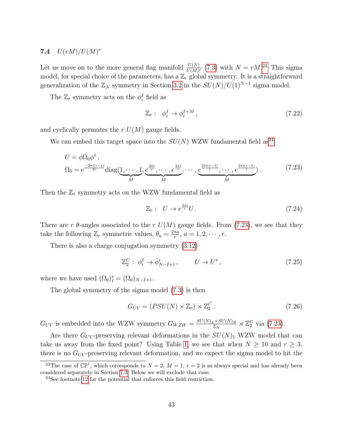## <span id="page-43-0"></span>7.4  $U(rM)/U(M)^r$

Let us move on to the more general flag manifold  $\frac{U(N)}{U(M)^r}$  [\(7.3\)](#page-37-1) with  $N = rM^{23}$  $N = rM^{23}$  $N = rM^{23}$  This sigma model, for special choice of the parameters, has a  $\mathbb{Z}_r$  global symmetry. It is a straightforward generalization of the  $\mathbb{Z}_N$  symmetry in Section [3.2](#page-14-0) in the  $SU(N)/U(1)^{N-1}$  sigma model.

The  $\mathbb{Z}_r$  symmetry acts on the  $\phi_i^I$  field as

$$
\mathbb{Z}_r: \phi_i^I \to \phi_i^{I+M}, \qquad (7.22)
$$

and cyclically permutes the  $r U(M)$  gauge fields.

We can embed this target space into the  $SU(N)$  WZW fundamental field as<sup>[24](#page-43-2)</sup>

$$
U = \phi \Omega_0 \phi^{\dagger},
$$
  
\n
$$
\Omega_0 = e^{\frac{-2\pi i(r-1)}{2r}} \text{diag}(\underbrace{1, \cdots, 1}_{M}, \underbrace{e^{\frac{2\pi i}{r}}, \cdots, e^{\frac{2\pi i}{r}}, \cdots, e^{\frac{2\pi i(r-1)}{r}}, \cdots, e^{\frac{2\pi i(r-1)}{r}}}_{M}).
$$
\n(7.23)

Then the  $\mathbb{Z}_r$  symmetry acts on the WZW fundamental field as

<span id="page-43-3"></span>
$$
\mathbb{Z}_r: \quad U \to e^{\frac{2\pi i}{r}} U \,. \tag{7.24}
$$

There are r  $\theta$ -angles associated to the r  $U(M)$  gauge fields. From [\(7.23\)](#page-43-3), we see that they take the following  $\mathbb{Z}_r$  symmetric values,  $\theta_a = \frac{2\pi a}{r}$  $\frac{\pi a}{r}, a = 1, 2, \cdots, r.$ 

There is also a charge conjugation symmetry [\(3.12\)](#page-17-3)

$$
\mathbb{Z}_2^C: \phi_i^I \to \bar{\phi}_{N-I+1}^i, \qquad U \to U^*, \qquad (7.25)
$$

where we have used  $(\Omega_0)_I^* = (\Omega_0)_{N-I+1}$ .

The global symmetry of the sigma model [\(7.3\)](#page-37-1) is then

$$
G_{UV} = (PSU(N) \times \mathbb{Z}_r) \rtimes \mathbb{Z}_2^C. \tag{7.26}
$$

 $G_{UV}$  is embedded into the WZW symmetry  $G_{WZW} = \frac{SU(N)_L \times SU(N)_R}{\mathbb{Z}_N}$  $\frac{Z\times SU(N)_R}{Z_N} \rtimes \mathbb{Z}_2^C$  via [\(7.23\)](#page-43-3).

Are there  $G_{UV}$ -preserving relevant deformations in the  $SU(N)_1$  WZW model that can take us away from the fixed point? Using Table [1,](#page-26-2) we see that when  $N \geq 10$  and  $r \geq 3$ , there is no  $G_{UV}$ -preserving relevant deformation, and we expect the sigma model to hit the

<span id="page-43-1"></span><sup>&</sup>lt;sup>23</sup>The case of  $\mathbb{CP}^1$ , which corresponds to  $N=2$ ,  $M=1$ ,  $r=2$  is as always special and has already been considered separately in Section [7.3.](#page-41-0) Below we will exclude that case.

<span id="page-43-2"></span><sup>24</sup>See footnote [12](#page-21-0) for the potential that enforces this field restriction.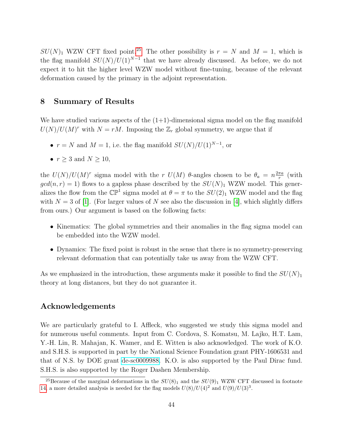$SU(N)_1$  WZW CFT fixed point.<sup>[25](#page-44-1)</sup> The other possibility is  $r = N$  and  $M = 1$ , which is the flag manifold  $SU(N)/U(1)^{N-1}$  that we have already discussed. As before, we do not expect it to hit the higher level WZW model without fine-tuning, because of the relevant deformation caused by the primary in the adjoint representation.

## <span id="page-44-0"></span>8 Summary of Results

We have studied various aspects of the  $(1+1)$ -dimensional sigma model on the flag manifold  $U(N)/U(M)^r$  with  $N = rM$ . Imposing the  $\mathbb{Z}_r$  global symmetry, we argue that if

- $r = N$  and  $M = 1$ , i.e. the flag manifold  $SU(N)/U(1)^{N-1}$ , or
- $r > 3$  and  $N > 10$ ,

the  $U(N)/U(M)^r$  sigma model with the r  $U(M)$   $\theta$ -angles chosen to be  $\theta_a = n \frac{2\pi a}{r}$  $\frac{\pi a}{r}$  (with  $gcd(n, r) = 1)$  flows to a gapless phase described by the  $SU(N)_1$  WZW model. This generalizes the flow from the  $\mathbb{CP}^1$  sigma model at  $\theta = \pi$  to the  $SU(2)_1$  WZW model and the flag with  $N = 3$  of [\[1\]](#page-57-0). (For larger values of N see also the discussion in [\[4\]](#page-57-3), which slightly differs from ours.) Our argument is based on the following facts:

- Kinematics: The global symmetries and their anomalies in the flag sigma model can be embedded into the WZW model.
- Dynamics: The fixed point is robust in the sense that there is no symmetry-preserving relevant deformation that can potentially take us away from the WZW CFT.

As we emphasized in the introduction, these arguments make it possible to find the  $SU(N)_1$ theory at long distances, but they do not guarantee it.

## Acknowledgements

We are particularly grateful to I. Affleck, who suggested we study this sigma model and for numerous useful comments. Input from C. Cordova, S. Komatsu, M. Lajko, H.T. Lam, Y.-H. Lin, R. Mahajan, K. Wamer, and E. Witten is also acknowledged. The work of K.O. and S.H.S. is supported in part by the National Science Foundation grant PHY-1606531 and that of N.S. by DOE grant [de-sc0009988.](http://arxiv.org/abs/de-sc/0009988) K.O. is also supported by the Paul Dirac fund. S.H.S. is also supported by the Roger Dashen Membership.

<span id="page-44-1"></span><sup>&</sup>lt;sup>25</sup>Because of the marginal deformations in the  $SU(8)_1$  and the  $SU(9)_1$  WZW CFT discussed in footnote [14,](#page-25-0) a more detailed analysis is needed for the flag models  $U(8)/U(4)^2$  and  $U(9)/U(3)^3$ .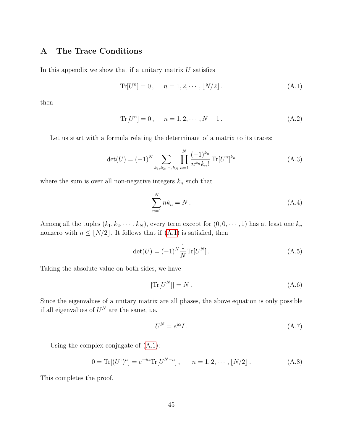## <span id="page-45-0"></span>A The Trace Conditions

In this appendix we show that if a unitary matrix  $U$  satisfies

<span id="page-45-1"></span>
$$
\text{Tr}[U^n] = 0, \quad n = 1, 2, \cdots, \lfloor N/2 \rfloor. \tag{A.1}
$$

then

$$
\text{Tr}[U^n] = 0, \quad n = 1, 2, \cdots, N - 1. \tag{A.2}
$$

Let us start with a formula relating the determinant of a matrix to its traces:

$$
\det(U) = (-1)^N \sum_{k_1, k_2, \cdots, k_N} \prod_{n=1}^N \frac{(-1)^{k_n}}{n^{k_n} k_n!} \operatorname{Tr}[U^n]^{k_n}
$$
 (A.3)

where the sum is over all non-negative integers  $k_n$  such that

$$
\sum_{n=1}^{N} nk_n = N.
$$
\n(A.4)

Among all the tuples  $(k_1, k_2, \dots, k_N)$ , every term except for  $(0, 0, \dots, 1)$  has at least one  $k_n$ nonzero with  $n \leq \lfloor N/2 \rfloor$ . It follows that if [\(A.1\)](#page-45-1) is satisfied, then

$$
\det(U) = (-1)^N \frac{1}{N} \text{Tr}[U^N].
$$
\n(A.5)

Taking the absolute value on both sides, we have

$$
|\text{Tr}[U^N]| = N. \tag{A.6}
$$

Since the eigenvalues of a unitary matrix are all phases, the above equation is only possible if all eigenvalues of  $U^N$  are the same, i.e.

$$
U^N = e^{i\alpha} I. \tag{A.7}
$$

Using the complex conjugate of [\(A.1\)](#page-45-1):

$$
0 = \text{Tr}[(U^{\dagger})^n] = e^{-i\alpha} \text{Tr}[U^{N-n}], \qquad n = 1, 2, \cdots, \lfloor N/2 \rfloor. \tag{A.8}
$$

This completes the proof.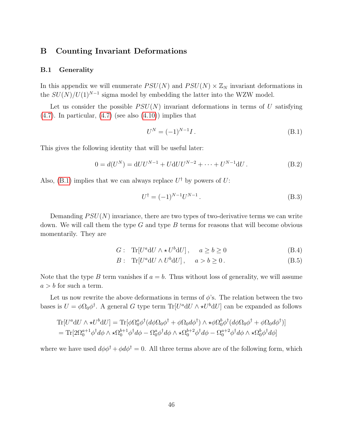### <span id="page-46-0"></span>B Counting Invariant Deformations

#### <span id="page-46-1"></span>B.1 Generality

In this appendix we will enumerate  $PSU(N)$  and  $PSU(N) \times \mathbb{Z}_N$  invariant deformations in the  $SU(N)/U(1)^{N-1}$  sigma model by embedding the latter into the WZW model.

Let us consider the possible  $PSU(N)$  invariant deformations in terms of U satisfying  $(4.7)$ . In particular,  $(4.7)$  (see also  $(4.10)$ ) implies that

<span id="page-46-3"></span><span id="page-46-2"></span>
$$
U^N = (-1)^{N-1} I. \tag{B.1}
$$

This gives the following identity that will be useful later:

$$
0 = d(UN) = dUUN-1 + UdUUN-2 + \dots + UN-1dU.
$$
 (B.2)

Also, [\(B.1\)](#page-46-2) implies that we can always replace  $U^{\dagger}$  by powers of U:

$$
U^{\dagger} = (-1)^{N-1} U^{N-1}.
$$
\n(B.3)

Demanding  $PSU(N)$  invariance, there are two types of two-derivative terms we can write down. We will call them the type  $G$  and type  $B$  terms for reasons that will become obvious momentarily. They are

$$
G: \text{Tr}[U^a \text{d}U \wedge \star U^b \text{d}U], \quad a \ge b \ge 0 \tag{B.4}
$$

$$
B: \text{Tr}[U^a \text{d} U \wedge U^b \text{d} U], \quad a > b \ge 0. \tag{B.5}
$$

Note that the type B term vanishes if  $a = b$ . Thus without loss of generality, we will assume  $a > b$  for such a term.

Let us now rewrite the above deformations in terms of  $\phi$ 's. The relation between the two bases is  $U = \phi \Omega_0 \phi^{\dagger}$ . A general G type term  $\text{Tr}[U^a \text{d}U \wedge \star U^b \text{d}U]$  can be expanded as follows

$$
\begin{split} \text{Tr}[U^a \mathrm{d}U \wedge \star U^b \mathrm{d}U] &= \text{Tr}[\phi \Omega_0^a \phi^\dagger (d\phi \Omega_0 \phi^\dagger + \phi \Omega_0 d\phi^\dagger) \wedge \star \phi \Omega_0^b \phi^\dagger (d\phi \Omega_0 \phi^\dagger + \phi \Omega_0 d\phi^\dagger)] \\ &= \text{Tr}[2\Omega_0^{a+1} \phi^\dagger d\phi \wedge \star \Omega_0^{b+1} \phi^\dagger d\phi - \Omega_0^a \phi^\dagger d\phi \wedge \star \Omega_0^{b+2} \phi^\dagger d\phi - \Omega_0^{a+2} \phi^\dagger d\phi \wedge \star \Omega_0^b \phi^\dagger d\phi] \end{split}
$$

where we have used  $d\phi\phi^{\dagger} + \phi d\phi^{\dagger} = 0$ . All three terms above are of the following form, which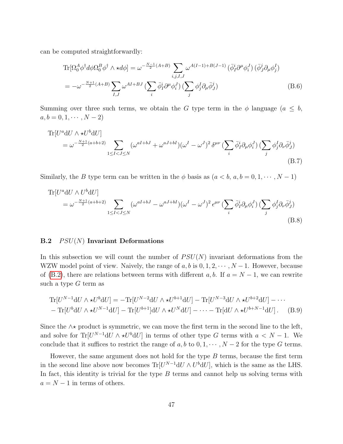can be computed straightforwardly:

$$
\operatorname{Tr}[\Omega_0^A \phi^\dagger d\phi \Omega_0^B \phi^\dagger \wedge \star d\phi] = \omega^{-\frac{N-1}{2}(A+B)} \sum_{i,j,I,J} \omega^{A(I-1)+B(J-1)} \left(\bar{\phi}_I^i \partial^\mu \phi_i^J\right) \left(\bar{\phi}_J^j \partial_\mu \phi_j^I\right)
$$

$$
= -\omega^{-\frac{N+1}{2}(A+B)} \sum_{I,J} \omega^{AI+BJ} \left(\sum_i \bar{\phi}_I^i \partial^\mu \phi_i^J\right) \left(\sum_j \phi_j^I \partial_\mu \bar{\phi}_J^j\right) \tag{B.6}
$$

Summing over three such terms, we obtain the G type term in the  $\phi$  language  $(a \leq b,$  $a, b = 0, 1, \cdots, N - 2$ 

$$
\begin{split} \text{Tr}[U^a \mathrm{d}U \wedge \star U^b \mathrm{d}U] \\ &= \omega^{-\frac{N+1}{2}(a+b+2)} \sum_{1 \leq I < J \leq N} (\omega^{aI+bJ} + \omega^{aJ+bI}) (\omega^I - \omega^J)^2 \, \delta^{\mu\nu} \left( \sum_i \bar{\phi}_I^i \partial_\mu \phi_i^J \right) \left( \sum_j \phi_j^I \partial_\nu \bar{\phi}_J^j \right) \end{split} \tag{B.7}
$$

Similarly, the B type term can be written in the  $\phi$  basis as  $(a < b, a, b = 0, 1, \dots, N - 1)$ 

$$
\begin{split} \text{Tr}[U^a \mathrm{d}U \wedge U^b \mathrm{d}U] \\ &= \omega^{-\frac{N+1}{2}(a+b+2)} \sum_{1 \leq I < J \leq N} (\omega^{aI+bJ} - \omega^{aJ+bI}) (\omega^I - \omega^J)^2 \,\epsilon^{\mu\nu} \left( \sum_i \bar{\phi}_I^i \partial_\mu \phi_i^J \right) \left( \sum_j \phi_j^I \partial_\nu \bar{\phi}_J^j \right) \end{split} \tag{B.8}
$$

#### <span id="page-47-0"></span>B.2  $PSU(N)$  Invariant Deformations

In this subsection we will count the number of  $PSU(N)$  invariant deformations from the WZW model point of view. Naively, the range of  $a, b$  is  $0, 1, 2, \dots, N-1$ . However, because of [\(B.2\)](#page-46-3), there are relations between terms with different a, b. If  $a = N - 1$ , we can rewrite such a type  $G$  term as

$$
\text{Tr}[U^{N-1}\text{d}U\wedge\star U^b\text{d}U] = -\text{Tr}[U^{N-2}\text{d}U\wedge\star U^{b+1}\text{d}U] - \text{Tr}[U^{N-3}\text{d}U\wedge\star U^{b+2}\text{d}U] - \cdots
$$

$$
-\text{Tr}[U^b\text{d}U\wedge\star U^{N-1}\text{d}U] - \text{Tr}[U^{b+1}]\text{d}U\wedge\star U^N\text{d}U] - \cdots - \text{Tr}[\text{d}U\wedge\star U^{b+N-1}\text{d}U]. \tag{B.9}
$$

Since the  $\wedge\star$  product is symmetric, we can move the first term in the second line to the left, and solve for  $\text{Tr}[U^{N-1}dU \wedge \star U^b dU]$  in terms of other type G terms with  $a < N - 1$ . We conclude that it suffices to restrict the range of a, b to  $0, 1, \dots, N-2$  for the type G terms.

However, the same argument does not hold for the type  $B$  terms, because the first term in the second line above now becomes  $\text{Tr}[U^{N-1}dU \wedge U^b dU]$ , which is the same as the LHS. In fact, this identity is trivial for the type  $B$  terms and cannot help us solving terms with  $a = N - 1$  in terms of others.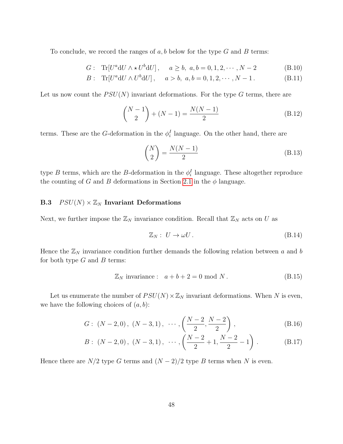To conclude, we record the ranges of  $a, b$  below for the type G and B terms:

$$
G: \text{Tr}[U^a \, dU \wedge \star U^b \, dU], \quad a \ge b, \ a, b = 0, 1, 2, \cdots, N - 2 \tag{B.10}
$$

$$
B: \text{Tr}[U^a \, dU \wedge U^b \, dU], \quad a > b, \ a, b = 0, 1, 2, \cdots, N - 1. \tag{B.11}
$$

Let us now count the  $PSU(N)$  invariant deformations. For the type G terms, there are

$$
\binom{N-1}{2} + (N-1) = \frac{N(N-1)}{2} \tag{B.12}
$$

terms. These are the G-deformation in the  $\phi_i^I$  language. On the other hand, there are

$$
\binom{N}{2} = \frac{N(N-1)}{2} \tag{B.13}
$$

type B terms, which are the B-deformation in the  $\phi_i^I$  language. These altogether reproduce the counting of G and B deformations in Section [2.1](#page-8-1) in the  $\phi$  language.

## <span id="page-48-0"></span>**B.3**  $PSU(N) \times \mathbb{Z}_N$  Invariant Deformations

Next, we further impose the  $\mathbb{Z}_N$  invariance condition. Recall that  $\mathbb{Z}_N$  acts on U as

$$
\mathbb{Z}_N: U \to \omega U. \tag{B.14}
$$

Hence the  $\mathbb{Z}_N$  invariance condition further demands the following relation between a and b for both type  $G$  and  $B$  terms:

$$
\mathbb{Z}_N \text{ invariance}: \quad a+b+2=0 \text{ mod } N. \tag{B.15}
$$

Let us enumerate the number of  $PSU(N) \times \mathbb{Z}_N$  invariant deformations. When N is even, we have the following choices of  $(a, b)$ :

$$
G: (N-2,0), (N-3,1), \cdots, \left(\frac{N-2}{2}, \frac{N-2}{2}\right), \tag{B.16}
$$

$$
B: (N-2,0), (N-3,1), \cdots, \left(\frac{N-2}{2}+1, \frac{N-2}{2}-1\right). \tag{B.17}
$$

Hence there are  $N/2$  type G terms and  $(N-2)/2$  type B terms when N is even.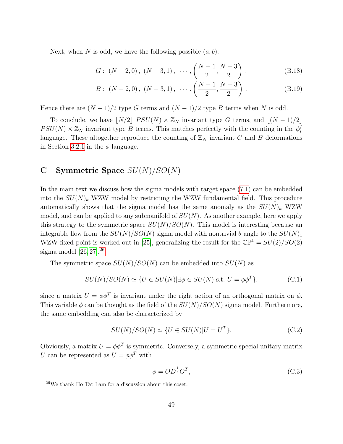Next, when N is odd, we have the following possible  $(a, b)$ :

$$
G: (N-2,0), (N-3,1), \cdots, \left(\frac{N-1}{2}, \frac{N-3}{2}\right), \tag{B.18}
$$

$$
B: (N-2,0), (N-3,1), \cdots, \left(\frac{N-1}{2}, \frac{N-3}{2}\right).
$$
 (B.19)

Hence there are  $(N-1)/2$  type G terms and  $(N-1)/2$  type B terms when N is odd.

To conclude, we have  $\vert N/2 \vert PSU(N) \times \mathbb{Z}_N$  invariant type G terms, and  $\vert (N - 1)/2 \vert$  $PSU(N) \times \mathbb{Z}_N$  invariant type B terms. This matches perfectly with the counting in the  $\phi_i^I$ language. These altogether reproduce the counting of  $\mathbb{Z}_N$  invariant G and B deformations in Section [3.2.1](#page-16-0) in the  $\phi$  language.

## <span id="page-49-0"></span>C Symmetric Space  $SU(N)/SO(N)$

In the main text we discuss how the sigma models with target space [\(7.1\)](#page-35-2) can be embedded into the  $SU(N)_k$  WZW model by restricting the WZW fundamental field. This procedure automatically shows that the sigma model has the same anomaly as the  $SU(N)_k$  WZW model, and can be applied to any submanifold of  $SU(N)$ . As another example, here we apply this strategy to the symmetric space  $SU(N)/SO(N)$ . This model is interesting because an integrable flow from the  $SU(N)/SO(N)$  sigma model with nontrivial  $\theta$  angle to the  $SU(N)_1$ WZW fixed point is worked out in [\[25\]](#page-59-1), generalizing the result for the  $\mathbb{CP}^1 = SU(2)/SO(2)$ sigma model  $[26, 27]$  $[26, 27]$ .<sup>[26](#page-49-1)</sup>

The symmetric space  $SU(N)/SO(N)$  can be embedded into  $SU(N)$  as

$$
SU(N)/SO(N) \simeq \{ U \in SU(N) | \exists \phi \in SU(N) \text{ s.t. } U = \phi \phi^T \},
$$
 (C.1)

since a matrix  $U = \phi \phi^T$  is invariant under the right action of an orthogonal matrix on  $\phi$ . This variable  $\phi$  can be thought as the field of the  $SU(N)/SO(N)$  sigma model. Furthermore, the same embedding can also be characterized by

$$
SU(N)/SO(N) \simeq \{ U \in SU(N) | U = UT \}. \tag{C.2}
$$

Obviously, a matrix  $U = \phi \phi^T$  is symmetric. Conversely, a symmetric special unitary matrix U can be represented as  $U = \phi \phi^T$  with

$$
\phi = OD^{\frac{1}{2}}O^T,\tag{C.3}
$$

<span id="page-49-1"></span><sup>26</sup>We thank Ho Tat Lam for a discussion about this coset.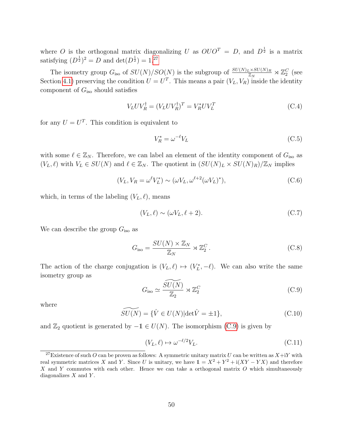where O is the orthogonal matrix diagonalizing U as  $OU O^T = D$ , and  $D^{\frac{1}{2}}$  is a matrix satisfying  $(D^{\frac{1}{2}})^2 = D$  and  $\det(D^{\frac{1}{2}}) = 1$ .<sup>[27](#page-50-0)</sup>

The isometry group  $G_{\text{iso}}$  of  $SU(N)/SO(N)$  is the subgroup of  $\frac{SU(N)_L\times SU(N)_R}{\mathbb{Z}_N}\rtimes \mathbb{Z}_2^C$  (see Section [4.1\)](#page-20-0) preserving the condition  $U = U<sup>T</sup>$ . This means a pair  $(V<sub>L</sub>, V<sub>R</sub>)$  inside the identity component of  $G<sub>iso</sub>$  should satisfies

$$
V_L UV_R^{\dagger} = (V_L UV_R^{\dagger})^T = V_R^* UV_L^T
$$
\n(C.4)

for any  $U = U<sup>T</sup>$ . This condition is equivalent to

<span id="page-50-2"></span>
$$
V_R^* = \omega^{-\ell} V_L \tag{C.5}
$$

with some  $\ell \in \mathbb{Z}_N$ . Therefore, we can label an element of the identity component of  $G_{\text{iso}}$  as  $(V_L, \ell)$  with  $V_L \in SU(N)$  and  $\ell \in \mathbb{Z}_N$ . The quotient in  $(SU(N)<sub>L</sub> \times SU(N)<sub>R</sub>)/\mathbb{Z}_N$  implies

$$
(V_L, V_R = \omega^{\ell} V_L^*) \sim (\omega V_L, \omega^{\ell+2} (\omega V_L)^*), \tag{C.6}
$$

which, in terms of the labeling  $(V_L, \ell)$ , means

$$
(V_L, \ell) \sim (\omega V_L, \ell + 2). \tag{C.7}
$$

We can describe the group  $G_{\text{iso}}$  as

$$
G_{\text{iso}} = \frac{SU(N) \times \mathbb{Z}_N}{\mathbb{Z}_N} \rtimes \mathbb{Z}_2^C.
$$
 (C.8)

The action of the charge conjugation is  $(V_L, \ell) \mapsto (V_L^*, -\ell)$ . We can also write the same isometry group as

<span id="page-50-1"></span>
$$
G_{\rm iso} \simeq \frac{\widetilde{SU(N)}}{\mathbb{Z}_2} \rtimes \mathbb{Z}_2^C \tag{C.9}
$$

where

$$
\widetilde{SU(N)} = \{ \hat{V} \in U(N) \mid \det \hat{V} = \pm 1 \},\tag{C.10}
$$

and  $\mathbb{Z}_2$  quotient is generated by  $-1 \in U(N)$ . The isomorphism [\(C.9\)](#page-50-1) is given by

$$
(V_L, \ell) \mapsto \omega^{-\ell/2} V_L. \tag{C.11}
$$

<span id="page-50-0"></span><sup>&</sup>lt;sup>27</sup>Existence of such O can be proven as follows: A symmetric unitary matrix U can be written as  $X+iY$  with real symmetric matrices X and Y. Since U is unitary, we have  $1 = X^2 + Y^2 + i(XY - YX)$  and therefore X and Y commutes with each other. Hence we can take a orthogonal matrix O which simultaneously diagonalizes  $X$  and  $Y$ .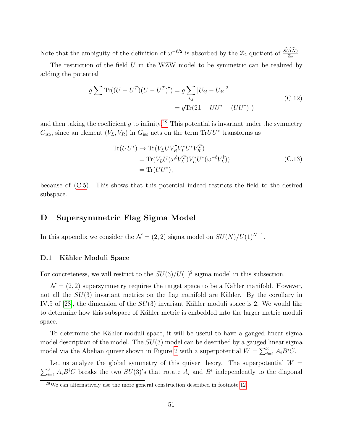Note that the ambiguity of the definition of  $\omega^{-\ell/2}$  is absorbed by the  $\mathbb{Z}_2$  quotient of  $\frac{\widetilde{SU(N)}}{\mathbb{Z}_2}$ .

The restriction of the field  $U$  in the WZW model to be symmetric can be realized by adding the potential

$$
g \sum \text{Tr}((U - U^T)(U - U^T)^{\dagger}) = g \sum_{i,j} |U_{ij} - U_{ji}|^2
$$
  
=  $g \text{Tr}(2\mathbb{1} - UU^* - (UU^*)^{\dagger})$  (C.12)

and then taking the coefficient q to infinity.<sup>[28](#page-51-2)</sup> This potential is invariant under the symmetry  $G<sub>iso</sub>$ , since an element  $(V<sub>L</sub>, V<sub>R</sub>)$  in  $G<sub>iso</sub>$  acts on the term TrUU<sup>\*</sup> transforms as

$$
\begin{split} \text{Tr}(UU^*) &\to \text{Tr}(V_L UV_R^\dagger V_L^* U^* V_R^T) \\ &= \text{Tr}(V_L U(\omega^\ell V_L^T) V_L^* U^* (\omega^{-\ell} V_L^\dagger)) \\ &= \text{Tr}(UU^*), \end{split} \tag{C.13}
$$

because of [\(C.5\)](#page-50-2). This shows that this potential indeed restricts the field to the desired subspace.

## <span id="page-51-0"></span>D Supersymmetric Flag Sigma Model

In this appendix we consider the  $\mathcal{N} = (2, 2)$  sigma model on  $SU(N)/U(1)^{N-1}$ .

#### <span id="page-51-1"></span>D.1 Kähler Moduli Space

For concreteness, we will restrict to the  $SU(3)/U(1)^2$  sigma model in this subsection.

 $\mathcal{N} = (2, 2)$  supersymmetry requires the target space to be a Kähler manifold. However, not all the  $SU(3)$  invariant metrics on the flag manifold are Kähler. By the corollary in IV.5 of [\[28\]](#page-59-4), the dimension of the  $SU(3)$  invariant Kähler moduli space is 2. We would like to determine how this subspace of Kähler metric is embedded into the larger metric moduli space.

To determine the Kähler moduli space, it will be useful to have a gauged linear sigma model description of the model. The  $SU(3)$  model can be described by a gauged linear sigma model via the Abelian quiver shown in Figure [2](#page-52-0) with a superpotential  $W = \sum_{i=1}^{3} A_i B^i C$ .

Let us analyze the global symmetry of this quiver theory. The superpotential  $W =$  $\sum_{i=1}^{3} A_i B^i C$  breaks the two  $SU(3)$ 's that rotate  $A_i$  and  $B^i$  independently to the diagonal

<span id="page-51-2"></span> $28$ We can alternatively use the more general construction described in footnote [12.](#page-21-0)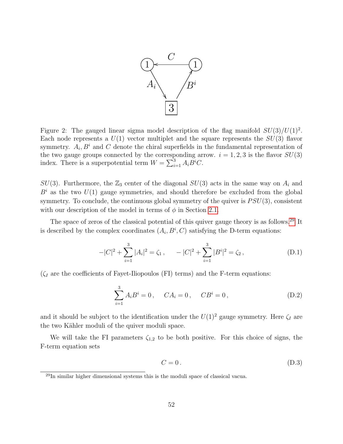

<span id="page-52-0"></span>Figure 2: The gauged linear sigma model description of the flag manifold  $SU(3)/U(1)^2$ . Each node represents a  $U(1)$  vector multiplet and the square represents the  $SU(3)$  flavor symmetry.  $A_i, B^i$  and C denote the chiral superfields in the fundamental representation of the two gauge groups connected by the corresponding arrow.  $i = 1, 2, 3$  is the flavor  $SU(3)$ index. There is a superpotential term  $W = \sum_{i=1}^{3} A_i B^i C$ .

 $SU(3)$ . Furthermore, the  $\mathbb{Z}_3$  center of the diagonal  $SU(3)$  acts in the same way on  $A_i$  and  $B^i$  as the two  $U(1)$  gauge symmetries, and should therefore be excluded from the global symmetry. To conclude, the continuous global symmetry of the quiver is  $PSU(3)$ , consistent with our description of the model in terms of  $\phi$  in Section [2.1.](#page-8-1)

The space of zeros of the classical potential of this quiver gauge theory is as follows.<sup>[29](#page-52-1)</sup> It is described by the complex coordinates  $(A_i, B^i, C)$  satisfying the D-term equations:

$$
-|C|^2 + \sum_{i=1}^3 |A_i|^2 = \zeta_1, \qquad -|C|^2 + \sum_{i=1}^3 |B^i|^2 = \zeta_2, \tag{D.1}
$$

 $(\zeta_I)$  are the coefficients of Fayet-Iliopoulos (FI) terms) and the F-term equations:

$$
\sum_{i=1}^{3} A_i B^i = 0, \quad CA_i = 0, \quad CB^i = 0,
$$
 (D.2)

and it should be subject to the identification under the  $U(1)^2$  gauge symmetry. Here  $\zeta_I$  are the two Kähler moduli of the quiver moduli space.

We will take the FI parameters  $\zeta_{1,2}$  to be both positive. For this choice of signs, the F-term equation sets

$$
C = 0. \tag{D.3}
$$

<span id="page-52-1"></span><sup>29</sup>In similar higher dimensional systems this is the moduli space of classical vacua.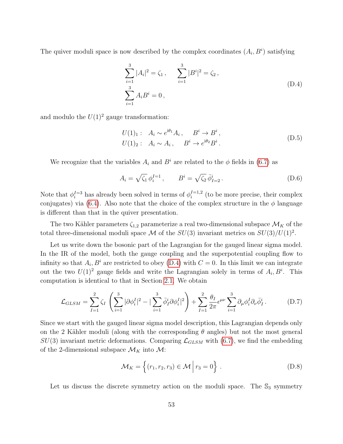The quiver moduli space is now described by the complex coordinates  $(A_i, B^i)$  satisfying

<span id="page-53-0"></span>
$$
\sum_{i=1}^{3} |A_i|^2 = \zeta_1, \qquad \sum_{i=1}^{3} |B^i|^2 = \zeta_2,
$$
\n
$$
\sum_{i=1}^{3} A_i B^i = 0,
$$
\n(D.4)

and modulo the  $U(1)^2$  gauge transformation:

$$
U(1)1: Ai \sim e^{i\theta_1} A_i, Bi \to Bi,U(1)2: Ai \sim Ai, Bi \to e^{i\theta_2} Bi.
$$
 (D.5)

We recognize that the variables  $A_i$  and  $B^i$  are related to the  $\phi$  fields in [\(6.7\)](#page-33-0) as

$$
A_i = \sqrt{\zeta_1} \, \phi_i^{I=1} \,, \qquad B^i = \sqrt{\zeta_2} \, \bar{\phi}_{I=2}^i \,. \tag{D.6}
$$

Note that  $\phi_i^{I=3}$  has already been solved in terms of  $\phi_i^{I=1,2}$  $i^{I=1,2}$  (to be more precise, their complex conjugates) via [\(6.4\)](#page-32-2). Also note that the choice of the complex structure in the  $\phi$  language is different than that in the quiver presentation.

The two Kähler parameters  $\zeta_{1,2}$  parameterize a real two-dimensional subspace  $\mathcal{M}_K$  of the total three-dimensional moduli space M of the  $SU(3)$  invariant metrics on  $SU(3)/U(1)^2$ .

Let us write down the bosonic part of the Lagrangian for the gauged linear sigma model. In the IR of the model, both the gauge coupling and the superpotential coupling flow to infinity so that  $A_i, B^i$  are restricted to obey [\(D.4\)](#page-53-0) with  $C = 0$ . In this limit we can integrate out the two  $U(1)^2$  gauge fields and write the Lagrangian solely in terms of  $A_i, B^i$ . This computation is identical to that in Section [2.1.](#page-8-1) We obtain

$$
\mathcal{L}_{GLSM} = \sum_{I=1}^{2} \zeta_I \left( \sum_{i=1}^{3} |\partial \phi_i^I|^2 - |\sum_{i=1}^{3} \bar{\phi}_I^i \partial \phi_i^I|^2 \right) + \sum_{I=1}^{2} \frac{\theta_I}{2\pi} \epsilon^{\mu\nu} \sum_{i=1}^{3} \partial_\mu \phi_i^I \partial_\nu \bar{\phi}_I^i.
$$
 (D.7)

Since we start with the gauged linear sigma model description, this Lagrangian depends only on the 2 Kähler moduli (along with the corresponding  $\theta$  angles) but not the most general  $SU(3)$  invariant metric deformations. Comparing  $\mathcal{L}_{GLSM}$  with [\(6.7\)](#page-33-0), we find the embedding of the 2-dimensional subspace  $\mathcal{M}_K$  into  $\mathcal{M}$ :

$$
\mathcal{M}_K = \left\{ (r_1, r_2, r_3) \in \mathcal{M} \mid r_3 = 0 \right\}.
$$
 (D.8)

Let us discuss the discrete symmetry action on the moduli space. The  $\mathbb{S}_3$  symmetry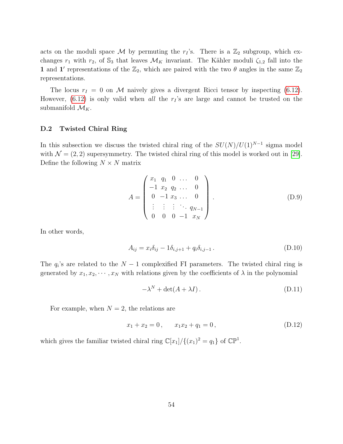acts on the moduli space M by permuting the  $r_I$ 's. There is a  $\mathbb{Z}_2$  subgroup, which exchanges  $r_1$  with  $r_2$ , of  $\mathbb{S}_3$  that leaves  $\mathcal{M}_K$  invariant. The Kähler moduli  $\zeta_{1,2}$  fall into the 1 and 1' representations of the  $\mathbb{Z}_2$ , which are paired with the two  $\theta$  angles in the same  $\mathbb{Z}_2$ representations.

The locus  $r_I = 0$  on M naively gives a divergent Ricci tensor by inspecting [\(6.12\)](#page-34-3). However,  $(6.12)$  is only valid when all the  $r<sub>I</sub>$ 's are large and cannot be trusted on the submanifold  $\mathcal{M}_K$ .

#### <span id="page-54-0"></span>D.2 Twisted Chiral Ring

In this subsection we discuss the twisted chiral ring of the  $SU(N)/U(1)^{N-1}$  sigma model with  $\mathcal{N} = (2, 2)$  supersymmetry. The twisted chiral ring of this model is worked out in [\[29\]](#page-59-5). Define the following  $N \times N$  matrix

$$
A = \begin{pmatrix} x_1 & q_1 & 0 & \dots & 0 \\ -1 & x_2 & q_2 & \dots & 0 \\ 0 & -1 & x_3 & \dots & 0 \\ \vdots & \vdots & \vdots & \ddots & q_{N-1} \\ 0 & 0 & 0 & -1 & x_N \end{pmatrix} .
$$
 (D.9)

In other words,

$$
A_{ij} = x_i \delta_{ij} - 1 \delta_{i,j+1} + q_i \delta_{i,j-1}.
$$
\n(D.10)

The  $q_i$ 's are related to the  $N-1$  complexified FI parameters. The twisted chiral ring is generated by  $x_1, x_2, \dots, x_N$  with relations given by the coefficients of  $\lambda$  in the polynomial

$$
-\lambda^N + \det(A + \lambda I). \tag{D.11}
$$

For example, when  $N = 2$ , the relations are

$$
x_1 + x_2 = 0, \qquad x_1 x_2 + q_1 = 0, \tag{D.12}
$$

which gives the familiar twisted chiral ring  $\mathbb{C}[x_1]/\{(x_1)^2 = q_1\}$  of  $\mathbb{CP}^1$ .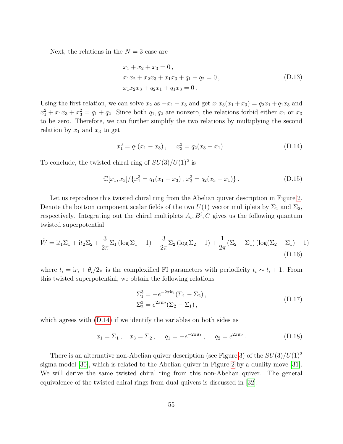Next, the relations in the  $N = 3$  case are

$$
x_1 + x_2 + x_3 = 0,
$$
  
\n
$$
x_1x_2 + x_2x_3 + x_1x_3 + q_1 + q_2 = 0,
$$
  
\n
$$
x_1x_2x_3 + q_2x_1 + q_1x_3 = 0.
$$
\n(D.13)

Using the first relation, we can solve  $x_2$  as  $-x_1 - x_3$  and get  $x_1x_3(x_1 + x_3) = q_2x_1 + q_1x_3$  and  $x_1^2 + x_1x_3 + x_3^2 = q_1 + q_2$ . Since both  $q_1, q_2$  are nonzero, the relations forbid either  $x_1$  or  $x_3$ to be zero. Therefore, we can further simplify the two relations by multiplying the second relation by  $x_1$  and  $x_3$  to get

<span id="page-55-1"></span><span id="page-55-0"></span>
$$
x_1^3 = q_1(x_1 - x_3), \quad x_3^3 = q_2(x_3 - x_1).
$$
 (D.14)

To conclude, the twisted chiral ring of  $SU(3)/U(1)^2$  is

$$
\mathbb{C}[x_1, x_3] / \{x_1^3 = q_1(x_1 - x_3), x_3^3 = q_2(x_3 - x_1)\}.
$$
 (D.15)

Let us reproduce this twisted chiral ring from the Abelian quiver description in Figure [2.](#page-52-0) Denote the bottom component scalar fields of the two  $U(1)$  vector multiplets by  $\Sigma_1$  and  $\Sigma_2$ , respectively. Integrating out the chiral multiplets  $A_i, B^i, C$  gives us the following quantum twisted superpotential

$$
\tilde{W} = it_1 \Sigma_1 + it_2 \Sigma_2 + \frac{3}{2\pi} \Sigma_1 (\log \Sigma_1 - 1) - \frac{3}{2\pi} \Sigma_2 (\log \Sigma_2 - 1) + \frac{1}{2\pi} (\Sigma_2 - \Sigma_1) (\log (\Sigma_2 - \Sigma_1) - 1)
$$
\n(D.16)

where  $t_i = ir_i + \theta_i/2\pi$  is the complexified FI parameters with periodicity  $t_i \sim t_i + 1$ . From this twisted superpotential, we obtain the following relations

$$
\Sigma_1^3 = -e^{-2\pi i t_1} (\Sigma_1 - \Sigma_2), \n\Sigma_2^3 = e^{2\pi i t_2} (\Sigma_2 - \Sigma_1),
$$
\n(D.17)

which agrees with  $(D.14)$  if we identify the variables on both sides as

$$
x_1 = \Sigma_1
$$
,  $x_3 = \Sigma_2$ ,  $q_1 = -e^{-2\pi i t_1}$ ,  $q_2 = e^{2\pi i t_2}$ . (D.18)

There is an alternative non-Abelian quiver description (see Figure [3\)](#page-56-0) of the  $SU(3)/U(1)^2$ sigma model [\[30\]](#page-59-6), which is related to the Abelian quiver in Figure [2](#page-52-0) by a duality move [\[31\]](#page-59-7). We will derive the same twisted chiral ring from this non-Abelian quiver. The general equivalence of the twisted chiral rings from dual quivers is discussed in [\[32\]](#page-59-8).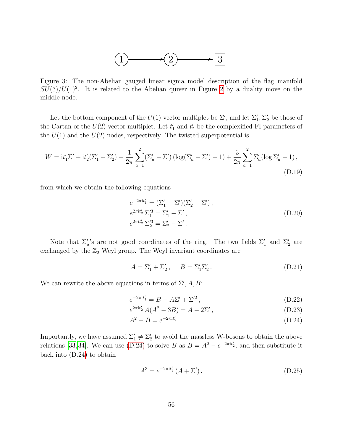

<span id="page-56-0"></span>Figure 3: The non-Abelian gauged linear sigma model description of the flag manifold  $SU(3)/U(1)^2$ . It is related to the Abelian quiver in Figure [2](#page-52-0) by a duality move on the middle node.

Let the bottom component of the  $U(1)$  vector multiplet be  $\Sigma'$ , and let  $\Sigma'_1, \Sigma'_2$  be those of the Cartan of the  $U(2)$  vector multiplet. Let  $t'_1$  and  $t'_2$  be the complexified FI parameters of the  $U(1)$  and the  $U(2)$  nodes, respectively. The twisted superpotential is

$$
\tilde{W} = \mathrm{i}t'_1\Sigma' + \mathrm{i}t'_2(\Sigma'_1 + \Sigma'_2) - \frac{1}{2\pi} \sum_{a=1}^2 (\Sigma'_a - \Sigma') \left( \log(\Sigma'_a - \Sigma') - 1 \right) + \frac{3}{2\pi} \sum_{a=1}^2 \Sigma'_a (\log \Sigma'_a - 1),\tag{D.19}
$$

from which we obtain the following equations

$$
e^{-2\pi i t'_1} = (\Sigma'_1 - \Sigma')(\Sigma'_2 - \Sigma'),
$$
  
\n
$$
e^{2\pi i t'_2} \Sigma_1'^3 = \Sigma'_1 - \Sigma',
$$
  
\n
$$
e^{2\pi i t'_2} \Sigma_2'^3 = \Sigma'_2 - \Sigma'.
$$
\n(D.20)

Note that  $\Sigma_a'$ 's are not good coordinates of the ring. The two fields  $\Sigma_1'$  and  $\Sigma_2'$  are exchanged by the  $\mathbb{Z}_2$  Weyl group. The Weyl invariant coordinates are

$$
A = \Sigma_1' + \Sigma_2', \qquad B = \Sigma_1' \Sigma_2'.
$$
 (D.21)

We can rewrite the above equations in terms of  $\Sigma', A, B$ :

<span id="page-56-2"></span>
$$
e^{-2\pi i t_1'} = B - A\Sigma' + \Sigma'^2, \tag{D.22}
$$

$$
e^{2\pi i t_2'} A(A^2 - 3B) = A - 2\Sigma', \tag{D.23}
$$

$$
A^2 - B = e^{-2\pi i t'_2}.
$$
 (D.24)

Importantly, we have assumed  $\Sigma'_1 \neq \Sigma'_2$  to avoid the massless W-bosons to obtain the above relations [\[33,](#page-59-9) [34\]](#page-59-10). We can use [\(D.24\)](#page-56-1) to solve B as  $B = A^2 - e^{-2\pi i t_2'}$ , and then substitute it back into [\(D.24\)](#page-56-1) to obtain

<span id="page-56-3"></span><span id="page-56-1"></span>
$$
A^{3} = e^{-2\pi i t'_{2}} (A + \Sigma'). \qquad (D.25)
$$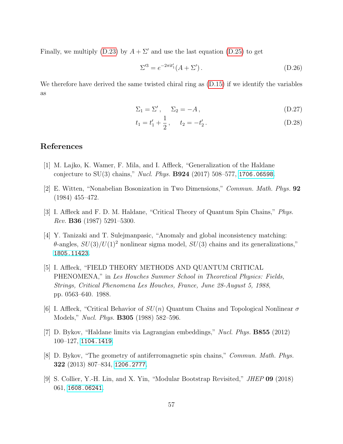Finally, we multiply [\(D.23\)](#page-56-2) by  $A + \Sigma'$  and use the last equation [\(D.25\)](#page-56-3) to get

$$
\Sigma^{\prime 3} = e^{-2\pi i t_1'} (A + \Sigma'). \tag{D.26}
$$

We therefore have derived the same twisted chiral ring as  $(D.15)$  if we identify the variables as

$$
\Sigma_1 = \Sigma', \quad \Sigma_2 = -A, \tag{D.27}
$$

$$
t_1 = t_1' + \frac{1}{2}, \qquad t_2 = -t_2' \,. \tag{D.28}
$$

## References

- <span id="page-57-0"></span>[1] M. Lajko, K. Wamer, F. Mila, and I. Affleck, "Generalization of the Haldane conjecture to  $SU(3)$  chains," *Nucl. Phys.* **B924** (2017) 508–577, [1706.06598](http://www.arXiv.org/abs/1706.06598).
- <span id="page-57-1"></span>[2] E. Witten, "Nonabelian Bosonization in Two Dimensions," Commun. Math. Phys. 92 (1984) 455–472.
- <span id="page-57-2"></span>[3] I. Affleck and F. D. M. Haldane, "Critical Theory of Quantum Spin Chains," Phys. Rev. B36 (1987) 5291–5300.
- <span id="page-57-3"></span>[4] Y. Tanizaki and T. Sulejmanpasic, "Anomaly and global inconsistency matching:  $\theta$ -angles,  $SU(3)/U(1)^2$  nonlinear sigma model,  $SU(3)$  chains and its generalizations," [1805.11423](http://www.arXiv.org/abs/1805.11423).
- <span id="page-57-4"></span>[5] I. Affleck, "FIELD THEORY METHODS AND QUANTUM CRITICAL PHENOMENA," in Les Houches Summer School in Theoretical Physics: Fields, Strings, Critical Phenomena Les Houches, France, June 28-August 5, 1988, pp. 0563–640. 1988.
- <span id="page-57-5"></span>[6] I. Affleck, "Critical Behavior of  $SU(n)$  Quantum Chains and Topological Nonlinear  $\sigma$ Models," *Nucl. Phys.* **B305** (1988) 582–596.
- <span id="page-57-6"></span>[7] D. Bykov, "Haldane limits via Lagrangian embeddings," Nucl. Phys. B855 (2012) 100–127, [1104.1419](http://www.arXiv.org/abs/1104.1419).
- <span id="page-57-7"></span>[8] D. Bykov, "The geometry of antiferromagnetic spin chains," Commun. Math. Phys. 322 (2013) 807–834, [1206.2777](http://www.arXiv.org/abs/1206.2777).
- <span id="page-57-8"></span>[9] S. Collier, Y.-H. Lin, and X. Yin, "Modular Bootstrap Revisited," JHEP 09 (2018) 061, [1608.06241](http://www.arXiv.org/abs/1608.06241).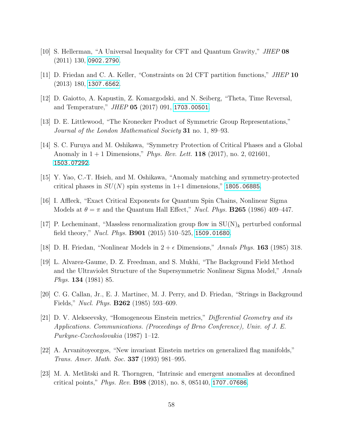- <span id="page-58-0"></span>[10] S. Hellerman, "A Universal Inequality for CFT and Quantum Gravity," JHEP 08 (2011) 130, [0902.2790](http://www.arXiv.org/abs/0902.2790).
- <span id="page-58-1"></span>[11] D. Friedan and C. A. Keller, "Constraints on 2d CFT partition functions," JHEP 10 (2013) 180, [1307.6562](http://www.arXiv.org/abs/1307.6562).
- <span id="page-58-2"></span>[12] D. Gaiotto, A. Kapustin, Z. Komargodski, and N. Seiberg, "Theta, Time Reversal, and Temperature," *JHEP* **05** (2017) 091, [1703.00501](http://www.arXiv.org/abs/1703.00501).
- <span id="page-58-3"></span>[13] D. E. Littlewood, "The Kronecker Product of Symmetric Group Representations," Journal of the London Mathematical Society 31 no. 1, 89–93.
- <span id="page-58-4"></span>[14] S. C. Furuya and M. Oshikawa, "Symmetry Protection of Critical Phases and a Global Anomaly in  $1 + 1$  Dimensions," *Phys. Rev. Lett.* **118** (2017), no. 2, 021601, [1503.07292](http://www.arXiv.org/abs/1503.07292).
- <span id="page-58-5"></span>[15] Y. Yao, C.-T. Hsieh, and M. Oshikawa, "Anomaly matching and symmetry-protected critical phases in  $SU(N)$  spin systems in 1+1 dimensions," [1805.06885](http://www.arXiv.org/abs/1805.06885).
- <span id="page-58-6"></span>[16] I. Affleck, "Exact Critical Exponents for Quantum Spin Chains, Nonlinear Sigma Models at  $\theta = \pi$  and the Quantum Hall Effect," *Nucl. Phys.* **B265** (1986) 409–447.
- <span id="page-58-7"></span>[17] P. Lecheminant, "Massless renormalization group flow in  $SU(N)_k$  perturbed conformal field theory," *Nucl. Phys.* **B901** (2015) 510–525, [1509.01680](http://www.arXiv.org/abs/1509.01680).
- <span id="page-58-8"></span>[18] D. H. Friedan, "Nonlinear Models in  $2 + \epsilon$  Dimensions," Annals Phys. 163 (1985) 318.
- [19] L. Alvarez-Gaume, D. Z. Freedman, and S. Mukhi, "The Background Field Method and the Ultraviolet Structure of the Supersymmetric Nonlinear Sigma Model," Annals Phys. 134 (1981) 85.
- <span id="page-58-9"></span>[20] C. G. Callan, Jr., E. J. Martinec, M. J. Perry, and D. Friedan, "Strings in Background Fields," *Nucl. Phys.* **B262** (1985) 593–609.
- <span id="page-58-10"></span>[21] D. V. Alekseevsky, "Homogeneous Einstein metrics," Differential Geometry and its Applications. Communications. (Proceedings of Brno Conference), Univ. of J. E. Purkyne-Czechoslovakia (1987) 1–12.
- <span id="page-58-11"></span>[22] A. Arvanitoyeorgos, "New invariant Einstein metrics on generalized flag manifolds," Trans. Amer. Math. Soc. 337 (1993) 981–995.
- <span id="page-58-12"></span>[23] M. A. Metlitski and R. Thorngren, "Intrinsic and emergent anomalies at deconfined critical points," *Phys. Rev.* **B98** (2018), no. 8, 085140, [1707.07686](http://www.arXiv.org/abs/1707.07686).